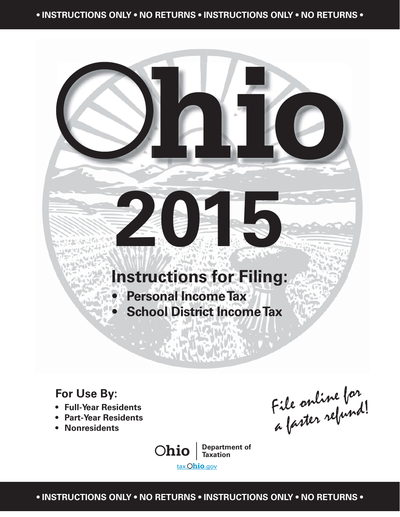**• INSTRUCTIONS ONLY • NO RETURNS • INSTRUCTIONS ONLY • NO RETURNS •**

**hio**

# **Instructions for Filing: • Personal Income Tax**

2015

 **• School District Income Tax**

# **For Use By:**

- **Full-Year Residents**
- **Part-Year Residents**
- **Nonresidents**

File online for File onur val!

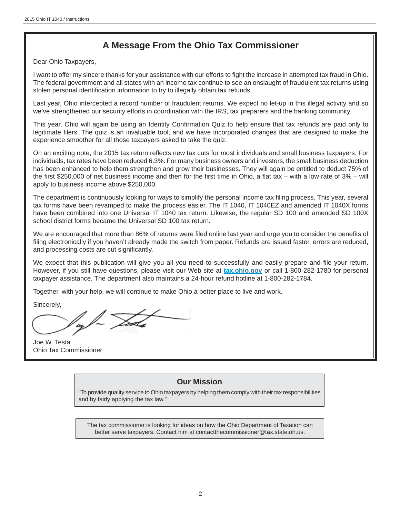# **A Message From the Ohio Tax Commissioner**

Dear Ohio Taxpayers,

I want to offer my sincere thanks for your assistance with our efforts to fight the increase in attempted tax fraud in Ohio. The federal government and all states with an income tax continue to see an onslaught of fraudulent tax returns using stolen personal identification information to try to illegally obtain tax refunds.

Last year, Ohio intercepted a record number of fraudulent returns. We expect no let-up in this illegal activity and so we've strengthened our security efforts in coordination with the IRS, tax preparers and the banking community.

This year, Ohio will again be using an Identity Confirmation Quiz to help ensure that tax refunds are paid only to legitimate filers. The quiz is an invaluable tool, and we have incorporated changes that are designed to make the experience smoother for all those taxpayers asked to take the quiz.

On an exciting note, the 2015 tax return reflects new tax cuts for most individuals and small business taxpayers. For individuals, tax rates have been reduced 6.3%. For many business owners and investors, the small business deduction has been enhanced to help them strengthen and grow their businesses. They will again be entitled to deduct 75% of the first \$250,000 of net business income and then for the first time in Ohio, a flat tax – with a low rate of  $3\%$  – will apply to business income above \$250,000.

The department is continuously looking for ways to simplify the personal income tax filing process. This year, several tax forms have been revamped to make the process easier. The IT 1040, IT 1040EZ and amended IT 1040X forms have been combined into one Universal IT 1040 tax return. Likewise, the regular SD 100 and amended SD 100X school district forms became the Universal SD 100 tax return.

We are encouraged that more than 86% of returns were filed online last year and urge you to consider the benefits of filing electronically if you haven't already made the switch from paper. Refunds are issued faster, errors are reduced, and processing costs are cut significantly.

We expect that this publication will give you all you need to successfully and easily prepare and file your return. However, if you still have questions, please visit our Web site at **[tax.ohio.gov](http://tax.ohio.gov/)** or call 1-800-282-1780 for personal taxpayer assistance. The department also maintains a 24-hour refund hotline at 1-800-282-1784.

Together, with your help, we will continue to make Ohio a better place to live and work.

Sincerely,

Joe W. Testa Ohio Tax Commissioner

# **Our Mission**

"To provide quality service to Ohio taxpayers by helping them comply with their tax responsibilities and by fairly applying the tax law."

The tax commissioner is looking for ideas on how the Ohio Department of Taxation can better serve taxpayers. Contact him at contactthecommissioner@tax.state.oh.us.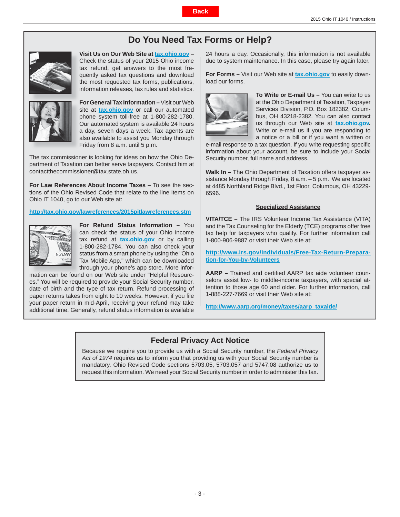# **Do You Need Tax Forms or Help?**

**Back**

<span id="page-2-0"></span>

**Visit Us on Our Web Site at <b>tax.ohio.gov** – Check the status of your 2015 Ohio income tax refund, get answers to the most frequently asked tax questions and download the most requested tax forms, publications, information releases, tax rules and statistics.



**For General Tax Information –** Visit our Web site at **[tax.ohio.gov](http://tax.ohio.gov/)** or call our automated phone system toll-free at 1-800-282-1780. Our automated system is available 24 hours a day, seven days a week. Tax agents are also available to assist you Monday through Friday from 8 a.m. until 5 p.m.

The tax commissioner is looking for ideas on how the Ohio Department of Taxation can better serve taxpayers. Contact him at contactthecommissioner@tax.state.oh.us.

**For Law References About Income Taxes –** To see the sections of the Ohio Revised Code that relate to the line items on Ohio IT 1040, go to our Web site at:

**<http://tax.ohio.gov/lawreferences/2015pitlawreferences.stm>**



**For Refund Status Information –** You can check the status of your Ohio income tax refund at **[tax.ohio.gov](http://tax.ohio.gov/)** or by calling 1-800-282-1784. You can also check your status from a smart phone by using the "Ohio Tax Mobile App," which can be downloaded through your phone's app store. More infor-t

mation can be found on our Web site under "Helpful Resources." You will be required to provide your Social Security number, date of birth and the type of tax return. Refund processing of paper returns takes from eight to 10 weeks. However, if you file your paper return in mid-April, receiving your refund may take additional time. Generally, refund status information is available

24 hours a day. Occasionally, this information is not available due to system maintenance. In this case, please try again later.

**For Forms –** Visit our Web site at **[tax.ohio.gov](http://tax.ohio.gov/)** to easily download our forms.



**To Write or E-mail Us –** You can write to us at the Ohio Department of Taxation, Taxpayer Services Division, P.O. Box 182382, Columbus, OH 43218-2382. You can also contact us through our Web site at **[tax.ohio.gov.](http://tax.ohio.gov/)** Write or e-mail us if you are responding to W a notice or a bill or if you want a written or

e-mail response to a tax question. If you write requesting specific information about your account, be sure to include your Social Security number, full name and address.

**Walk In –** The Ohio Department of Taxation offers taxpayer assistance Monday through Friday, 8 a.m. – 5 p.m. We are located at 4485 Northland Ridge Blvd., 1st Floor, Columbus, OH 43229- 6596.

#### **Specialized Assistance**

**VITA/TCE –** The IRS Volunteer Income Tax Assistance (VITA) and the Tax Counseling for the Elderly (TCE) programs offer free tax help for taxpayers who qualify. For further information call 1-800-906-9887 or visit their Web site at:

**[http://www.irs.gov/Individuals/Free-Tax-Return-Prepara](http://www.irs.gov/Individuals/Free-Tax-Return-Preparation-for-You-by-Volunteers)[tion-for-You-by-Volunteers](http://www.irs.gov/Individuals/Free-Tax-Return-Preparation-for-You-by-Volunteers)**

**AARP** – Trained and certified AARP tax aide volunteer counselors assist low- to middle-income taxpayers, with special attention to those age 60 and older. For further information, call 1-888-227-7669 or visit their Web site at:

**[http://www.aarp.org/money/taxes/aarp\\_taxaide/](http://www.aarp.org/money/taxes/aarp_taxaide/)**

# **Federal Privacy Act Notice**

Because we require you to provide us with a Social Security number, the *Federal Privacy Act of 1974* requires us to inform you that providing us with your Social Security number is mandatory. Ohio Revised Code sections 5703.05, 5703.057 and 5747.08 authorize us to request this information. We need your Social Security number in order to administer this tax.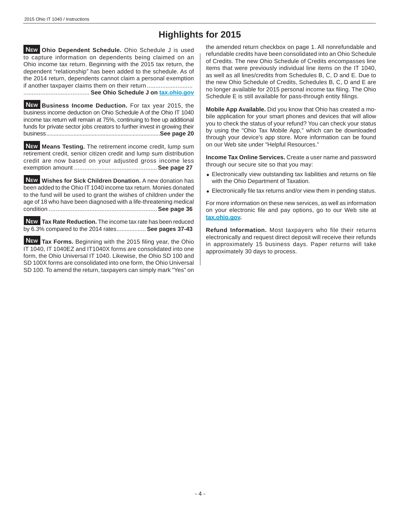# **Highlights for 2015**

 **Ohio Dependent Schedule.** Ohio Schedule J is used **NEW** to capture information on dependents being claimed on an Ohio income tax return. Beginning with the 2015 tax return, the dependent "relationship" has been added to the schedule. As of the 2014 return, dependents cannot claim a personal exemption if another taxpayer claims them on their return ................................

....................................... **See Ohio Schedule J o[n tax.ohio.gov](http://tax.ohio.gov/)**

**NEW Business Income Deduction.** For tax year 2015, the business income deduction on Ohio Schedule A of the Ohio IT 1040 income tax return will remain at 75%, continuing to free up additional funds for private sector jobs creators to further invest in growing their business ...........................................................................**See page 20**

 **Means Testing.** The retirement income credit, lump sum **NEW** retirement credit, senior citizen credit and lump sum distribution credit are now based on your adjusted gross income less exemption amount .................................................**See page 27**

**NEW** Wishes for Sick Children Donation. A new donation has been added to the Ohio IT 1040 income tax return. Monies donated to the fund will be used to grant the wishes of children under the age of 18 who have been diagnosed with a life-threatening medical condition ................................................................**See page 36**

**NEW Tax Rate Reduction.** The income tax rate has been reduced by 6.3% compared to the 2014 rates ..................**See pages 37-43** 

**NEW Tax Forms.** Beginning with the 2015 filing year, the Ohio IT 1040, IT 1040EZ and IT1040X forms are consolidated into one form, the Ohio Universal IT 1040. Likewise, the Ohio SD 100 and SD 100X forms are consolidated into one form, the Ohio Universal SD 100. To amend the return, taxpayers can simply mark "Yes" on

the amended return checkbox on page 1. All nonrefundable and refundable credits have been consolidated into an Ohio Schedule of Credits. The new Ohio Schedule of Credits encompasses line items that were previously individual line items on the IT 1040, as well as all lines/credits from Schedules B, C, D and E. Due to the new Ohio Schedule of Credits, Schedules B, C, D and E are no longer available for 2015 personal income tax filing. The Ohio Schedule E is still available for pass-through entity filings.

**Mobile App Available.** Did you know that Ohio has created a mobile application for your smart phones and devices that will allow you to check the status of your refund? You can check your status by using the "Ohio Tax Mobile App," which can be downloaded through your device's app store. More information can be found on our Web site under "Helpful Resources."

**Income Tax Online Services.** Create a user name and password through our secure site so that you may:

- Electronically view outstanding tax liabilities and returns on file with the Ohio Department of Taxation.
- Electronically file tax returns and/or view them in pending status.

For more information on these new services, as well as information on your electronic file and pay options, go to our Web site at **[tax.ohio.gov.](http://tax.ohio.gov/)**

**Refund Information.** Most taxpayers who file their returns electronically and request direct deposit will receive their refunds in approximately 15 business days. Paper returns will take approximately 30 days to process.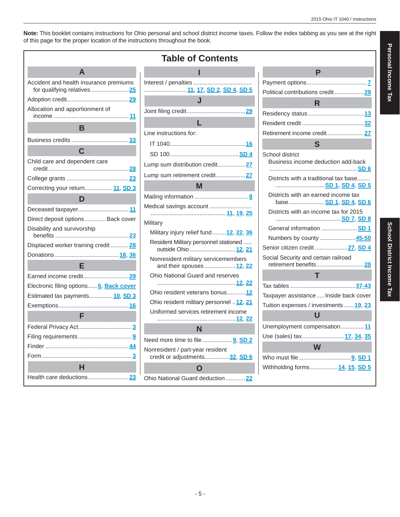**Note:** This booklet contains instructions for Ohio personal and school district income taxes. Follow the index tabbing as you see at the right of this page for the proper location of the instructions throughout the book.

|                                         | rapie                                       |
|-----------------------------------------|---------------------------------------------|
| A                                       |                                             |
| Accident and health insurance premiums  | Interest / penaltie                         |
|                                         |                                             |
|                                         |                                             |
| Allocation and apportionment of         | Joint filing credit.                        |
| B                                       | Line instructions                           |
|                                         |                                             |
| $\mathbf C$                             | IT 1040                                     |
| Child care and dependent care           | SD 100                                      |
|                                         | Lump sum distrik                            |
|                                         | Lump sum retire                             |
| Correcting your return 11, SD 3         |                                             |
| D                                       | Mailing informati                           |
|                                         | Medical savings                             |
| Direct deposit options Back cover       |                                             |
| Disability and survivorship             | Military                                    |
|                                         | Military injury r<br><b>Resident Milita</b> |
| Displaced worker training credit  28    | outside Ohio                                |
|                                         | Nonresident m                               |
| E                                       | and their sp                                |
|                                         | Ohio National                               |
| Electronic filing options 6, Back cover | .                                           |
| Estimated tax payments 10, SD 3         | Ohio resident v                             |
|                                         | Ohio resident r                             |
| F.                                      | Uniformed ser<br>.                          |
|                                         |                                             |
|                                         | Need more time                              |
|                                         | Nonresident / pa                            |
|                                         | credit or adjus                             |
| н                                       |                                             |
|                                         | <b>Ohio National Gu</b>                     |

ſ

| <b>Table of Contents</b>                                           |
|--------------------------------------------------------------------|
| I                                                                  |
| 11, 17, SD 2, SD 4, SD 5                                           |
| J                                                                  |
|                                                                    |
| Ĺ.                                                                 |
| Line instructions for:                                             |
|                                                                    |
|                                                                    |
| Lump sum distribution credit27                                     |
| Lump sum retirement credit27                                       |
| M                                                                  |
|                                                                    |
| Medical savings account                                            |
| Military                                                           |
| Military injury relief fund  12, 22, 36                            |
| Resident Military personnel stationed<br>outside Ohio 12, 21       |
| Nonresident military servicemembers<br>and their spouses  12, 22   |
| Ohio National Guard and reserves                                   |
| Ohio resident veterans bonus12                                     |
| Ohio resident military personnel  12, 21                           |
| Uniformed services retirement income                               |
| N                                                                  |
| Need more time to file  9, SD 2                                    |
| Nonresident / part-year resident<br>credit or adjustments 32, SD 6 |
|                                                                    |
| Ohio National Guard deduction  22                                  |

| Р                                                                |
|------------------------------------------------------------------|
|                                                                  |
| Political contributions credit29                                 |
| R                                                                |
|                                                                  |
|                                                                  |
| Retirement income credit 27                                      |
| S                                                                |
| School district<br>Business income deduction add-back            |
| Districts with a traditional tax base<br><u>SD 1, SD 4, SD 5</u> |
| Districts with an earned income tax<br>base SD 1, SD 4, SD 6     |
| Districts with an income tax for 2015                            |
| General information SD 1                                         |
| Numbers by county  45-50                                         |
| Senior citizen credit <b>27, SD 4</b>                            |
| Social Security and certain railroad                             |
|                                                                  |
|                                                                  |
| Taxpayer assistance  Inside back cover                           |
| Tuition expenses / investments  19, 23                           |
| U                                                                |
| Unemployment compensation 11                                     |
| Use (sales) tax 17, 34, 35                                       |
| W                                                                |
|                                                                  |
| Withholding forms 14, 15, SD 5                                   |

**Personal Income Tax**

Personal Income Tax

- 5 -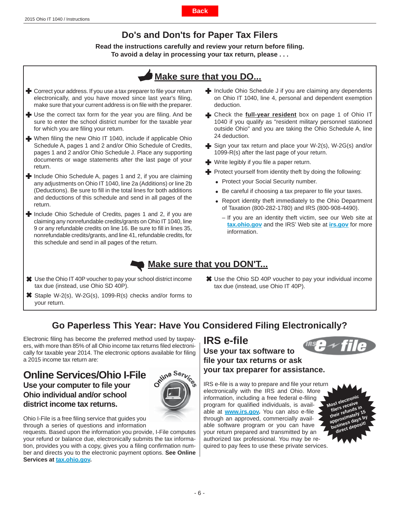# **Do's and Don'ts for Paper Tax Filers**

**Read the instructions carefully and review your return before fi ling. To avoid a delay in processing your tax return, please . . .**



- <span id="page-5-0"></span>**+** Correct your address. If you use a tax preparer to file your return electronically, and you have moved since last year's filing, make sure that your current address is on file with the preparer.
- $\blacklozenge$  Use the correct tax form for the year you are filing. And be sure to enter the school district number for the taxable year for which you are filing your return.
- $\blacktriangleright$  When filing the new Ohio IT 1040, include if applicable Ohio Schedule A, pages 1 and 2 and/or Ohio Schedule of Credits, pages 1 and 2 and/or Ohio Schedule J. Place any supporting documents or wage statements after the last page of your return.
- Include Ohio Schedule A, pages 1 and 2, if you are claiming any adjustments on Ohio IT 1040, line 2a (Additions) or line 2b (Deductions). Be sure to fill in the total lines for both additions and deductions of this schedule and send in all pages of the return.
- Include Ohio Schedule of Credits, pages 1 and 2, if you are claiming any nonrefundable credits/grants on Ohio IT 1040, line 9 or any refundable credits on line 16. Be sure to fill in lines 35, nonrefundable credits/grants, and line 41, refundable credits, for this schedule and send in all pages of the return.
- Include Ohio Schedule J if you are claiming any dependents on Ohio IT 1040, line 4, personal and dependent exemption deduction.
- Check the **full-year resident** box on page 1 of Ohio IT 1040 if you qualify as "resident military personnel stationed outside Ohio" and you are taking the Ohio Schedule A, line 24 deduction.
- Sign your tax return and place your W-2(s), W-2G(s) and/or 1099-R(s) after the last page of your return.
- $\blacktriangleright$  Write legibly if you file a paper return.
- Protect yourself from identity theft by doing the following: ٠
	- Protect your Social Security number.
	- Be careful if choosing a tax preparer to file your taxes.
	- Report identity theft immediately to the Ohio Department of Taxation (800-282-1780) and IRS (800-908-4490).
		- If you are an identity theft victim, see our Web site at **[tax.ohio.gov](http://tax.ohio.gov/)** and the IRS' Web site at **[irs.gov](http://www.irs.gov)** for more information.

# **Make sure that you DON'T...**

- Use the Ohio IT 40P voucher to pay your school district income tax due (instead, use Ohio SD 40P).
- Staple W-2(s), W-2G(s), 1099-R(s) checks and/or forms to your return.
- Use the Ohio SD 40P voucher to pay your individual income tax due (instead, use Ohio IT 40P).

# **Go Paperless This Year: Have You Considered Filing Electronically?**

Electronic filing has become the preferred method used by taxpayers, with more than 85% of all Ohio income tax returns filed electronically for taxable year 2014. The electronic options available for filing a 2015 income tax return are:

# **Online Services/Ohio I-File**

Use your computer to file your **Ohio individual and/or school district income tax returns.**



Ohio I-File is a free filing service that guides you through a series of questions and information

requests. Based upon the information you provide, I-File computes your refund or balance due, electronically submits the tax information, provides you with a copy, gives you a filing confirmation number and directs you to the electronic payment options. **See Online**  Services at **tax.ohio.gov.** 



IRS e-file is a way to prepare and file your return electronically with the IRS and Ohio. More information, including a free federal e-filing program for qualified individuals, is available at **www.irs.gov**. You can also e-file through an approved, commercially available software program or you can have your return prepared and transmitted by an authorized tax professional. You may be required to pay fees to use these private services.



**Most electronic** ost enversive<br>filers receive filers repunds in<br>their refunds in their refunce<br>their refuncedy 15<br>approximately by **busines** direc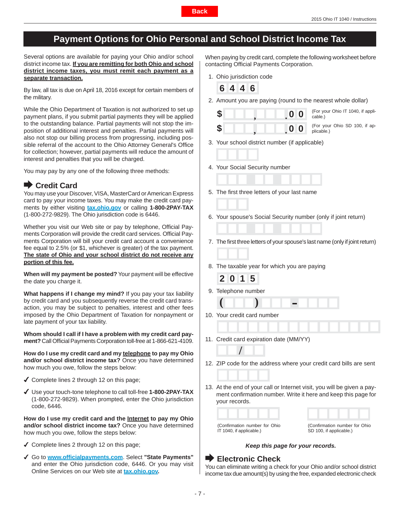# **Payment Options for Ohio Personal and School District Income Tax**

**Back**

<span id="page-6-0"></span>Several options are available for paying your Ohio and/or school district income tax. **If you are remitting for both Ohio and school district income taxes, you must remit each payment as a separate transaction.** 

By law, all tax is due on April 18, 2016 except for certain members of the military.

While the Ohio Department of Taxation is not authorized to set up payment plans, if you submit partial payments they will be applied to the outstanding balance. Partial payments will not stop the imposition of additional interest and penalties. Partial payments will also not stop our billing process from progressing, including possible referral of the account to the Ohio Attorney General's Office for collection; however, partial payments will reduce the amount of interest and penalties that you will be charged.

You may pay by any one of the following three methods:

# **■ Credit Card**

You may use your Discover, VISA, MasterCard or American Express card to pay your income taxes. You may make the credit card payments by either visiting **[tax.ohio.gov](http://tax.ohio.gov/)** or calling **1-800-2PAY-TAX** (1-800-272-9829). The Ohio jurisdiction code is 6446.

Whether you visit our Web site or pay by telephone, Official Payments Corporation will provide the credit card services. Official Payments Corporation will bill your credit card account a convenience fee equal to 2.5% (or \$1, whichever is greater) of the tax payment. **The state of Ohio and your school district do not receive any portion of this fee.**

**When will my payment be posted?** Your payment will be effective the date you charge it.

**What happens if I change my mind?** If you pay your tax liability by credit card and you subsequently reverse the credit card transaction, you may be subject to penalties, interest and other fees imposed by the Ohio Department of Taxation for nonpayment or late payment of your tax liability.

**Whom should I call if I have a problem with my credit card pay**ment? Call Official Payments Corporation toll-free at 1-866-621-4109.

**How do I use my credit card and my telephone to pay my Ohio and/or school district income tax?** Once you have determined how much you owe, follow the steps below:

- $\checkmark$  Complete lines 2 through 12 on this page;
- Use your touch-tone telephone to call toll-free **1-800-2PAY-TAX** (1-800-272-9829). When prompted, enter the Ohio jurisdiction code, 6446.

**How do I use my credit card and the Internet to pay my Ohio and/or school district income tax?** Once you have determined how much you owe, follow the steps below:

- Complete lines 2 through 12 on this page;
- Go to **www.offi [cialpayments.com](http://www.officialpayments.com)**. Select **"State Payments"** and enter the Ohio jurisdiction code, 6446. Or you may visit Online Services on our Web site at **[tax.ohio.gov.](http://tax.ohio.gov/)**

When paying by credit card, complete the following worksheet before contacting Official Payments Corporation.

- 1. Ohio jurisdiction code
	- **6 4 4 6**
- 2. Amount you are paying (round to the nearest whole dollar)
	- **\$ , . 0 0**
- $\overline{0}$   $\overline{0}$  (For your Ohio IT 1040, if applicable.)

(For your Ohio SD 100, if applicable.)

- 3. Your school district number (if applicable)
- 4. Your Social Security number
- 5. The first three letters of your last name
- 6. Your spouse's Social Security number (only if joint return)
- 7. The first three letters of your spouse's last name (only if joint return)
- 8. The taxable year for which you are paying

**2 0 1 5**

9. Telephone number

10. Your credit card number

**/**

- 11. Credit card expiration date (MM/YY)
- 12. ZIP code for the address where your credit card bills are sent
- 13. At the end of your call or Internet visit, you will be given a payment confirmation number. Write it here and keep this page for your records.

(Confirmation number for Ohio IT 1040, if applicable.)

(Confirmation number for Ohio SD 100, if applicable.)

#### *Keep this page for your records.*

# **■ Electronic Check**

You can eliminate writing a check for your Ohio and/or school district income tax due amount(s) by using the free, expanded electronic check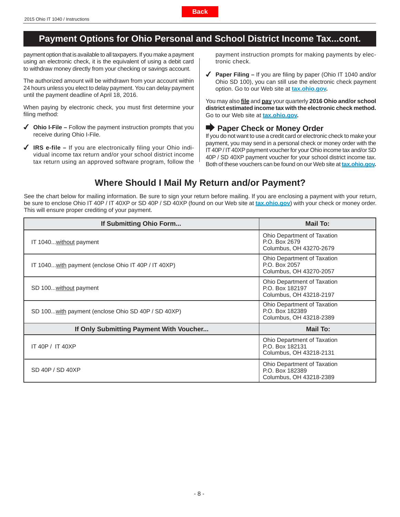# <span id="page-7-0"></span>**Payment Options for Ohio Personal and School District Income Tax...cont.**

payment option that is available to all taxpayers. If you make a payment using an electronic check, it is the equivalent of using a debit card to withdraw money directly from your checking or savings account.

The authorized amount will be withdrawn from your account within 24 hours unless you elect to delay payment. You can delay payment until the payment deadline of April 18, 2016.

When paying by electronic check, you must first determine your filing method:

- **Ohio I-File –** Follow the payment instruction prompts that you receive during Ohio I-File.
- **IRS e-file –** If you are electronically filing your Ohio individual income tax return and/or your school district income tax return using an approved software program, follow the

payment instruction prompts for making payments by electronic check.

◆ Paper Filing – If you are filing by paper (Ohio IT 1040 and/or Ohio SD 100), you can still use the electronic check payment option. Go to our Web site at **[tax.ohio.gov.](http://tax.ohio.gov/)**

You may also *file* and **pay** your quarterly 2016 Ohio and/or school **district estimated income tax with the electronic check method.** Go to our Web site at **[tax.ohio.gov.](http://tax.ohio.gov/)**

# **Paper Check or Money Order**

If you do not want to use a credit card or electronic check to make your payment, you may send in a personal check or money order with the IT 40P / IT 40XP payment voucher for your Ohio income tax and/or SD 40P / SD 40XP payment voucher for your school district income tax. Both of these vouchers can be found on our Web site at **[tax.ohio.gov.](http://tax.ohio.gov/)**

# **Where Should I Mail My Return and/or Payment?**

See the chart below for mailing information. Be sure to sign your return before mailing. If you are enclosing a payment with your return, be sure to enclose Ohio IT 40P / IT 40XP or SD 40P / SD 40XP (found on our Web site at **[tax.ohio.gov](http://tax.ohio.gov/)**) with your check or money order. This will ensure proper crediting of your payment.

| If Submitting Ohio Form                             | Mail To:                                                                  |
|-----------------------------------------------------|---------------------------------------------------------------------------|
| IT 1040without payment                              | Ohio Department of Taxation<br>P.O. Box 2679<br>Columbus, OH 43270-2679   |
| IT 1040with payment (enclose Ohio IT 40P / IT 40XP) | Ohio Department of Taxation<br>P.O. Box 2057<br>Columbus, OH 43270-2057   |
| SD 100without payment                               | Ohio Department of Taxation<br>P.O. Box 182197<br>Columbus, OH 43218-2197 |
| SD 100with payment (enclose Ohio SD 40P / SD 40XP)  | Ohio Department of Taxation<br>P.O. Box 182389<br>Columbus, OH 43218-2389 |
| If Only Submitting Payment With Voucher             | Mail To:                                                                  |
| IT 40P / IT 40XP                                    | Ohio Department of Taxation<br>P.O. Box 182131<br>Columbus, OH 43218-2131 |
| SD 40P / SD 40XP                                    | Ohio Department of Taxation<br>P.O. Box 182389<br>Columbus, OH 43218-2389 |

**Back**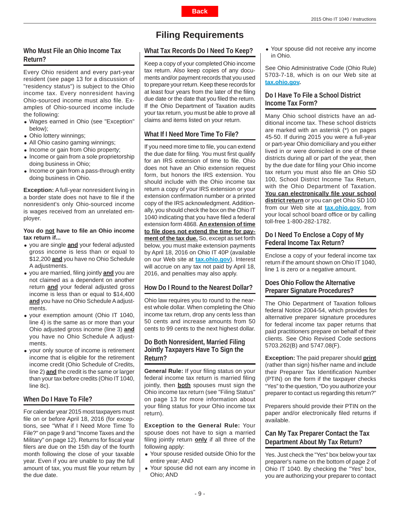# <span id="page-8-0"></span>**Who Must File an Ohio Income Tax Return?**

Every Ohio resident and every part-year resident (see page 13 for a discussion of "residency status") is subject to the Ohio income tax. Every nonresident having Ohio-sourced income must also file. Examples of Ohio-sourced income include the following:

- Wages earned in Ohio (see "Exception" below);
- Ohio lottery winnings;
- All Ohio casino gaming winnings;
- Income or gain from Ohio property;
- Income or gain from a sole proprietorship doing business in Ohio;
- Income or gain from a pass-through entity doing business in Ohio.

**Exception:** A full-year nonresident living in a border state does not have to file if the nonresident's only Ohio-sourced income is wages received from an unrelated employer.

### You do not have to file an Ohio income **tax return if...**

- you are single **and** your federal adjusted gross income is less than or equal to \$12,200 **and** you have no Ohio Schedule A adjustments.
- you are married, filing jointly **and** you are not claimed as a dependent on another return **and** your federal adjusted gross income is less than or equal to \$14,400 **and** you have no Ohio Schedule A adjustments.
- your exemption amount (Ohio IT 1040, line 4) is the same as or more than your Ohio adjusted gross income (line 3) **and** you have no Ohio Schedule A adjustments.
- your only source of income is retirement income that is eligible for the retirement income credit (Ohio Schedule of Credits, line 2) **and** the credit is the same or larger than your tax before credits (Ohio IT 1040, line 8c).

# **When Do I Have To File?**

For calendar year 2015 most taxpayers must file on or before April 18, 2016 (for exceptions, see "What if I Need More Time To File?" on page 9 and "Income Taxes and the Military" on page 12). Returns for fiscal year filers are due on the 15th day of the fourth month following the close of your taxable year. Even if you are unable to pay the full amount of tax, you must file your return by the due date.

# **Filing Requirements**

**Back**

# **What Tax Records Do I Need To Keep?**

Keep a copy of your completed Ohio income tax return. Also keep copies of any documents and/or payment records that you used to prepare your return. Keep these records for at least four years from the later of the filing due date or the date that you filed the return. If the Ohio Department of Taxation audits your tax return, you must be able to prove all claims and items listed on your return.

# **What If I Need More Time To File?**

If you need more time to file, you can extend the due date for filing. You must first qualify for an IRS extension of time to file. Ohio does not have an Ohio extension request form, but honors the IRS extension. You should include with the Ohio income tax return a copy of your IRS extension or your extension confirmation number or a printed copy of the IRS acknowledgment. Additionally, you should check the box on the Ohio IT 1040 indicating that you have filed a federal extension form 4868. **An extension of time**  to file does not extend the time for pay**ment of the tax due.** So, except as set forth below, you must make extension payments by April 18, 2016 on Ohio IT 40P (available on our Web site at **[tax.ohio.gov](http://tax.ohio.gov/)**). Interest will accrue on any tax not paid by April 18, 2016, and penalties may also apply.

# **How Do I Round to the Nearest Dollar?**

Ohio law requires you to round to the nearest whole dollar. When completing the Ohio income tax return, drop any cents less than 50 cents and increase amounts from 50 cents to 99 cents to the next highest dollar.

# **Do Both Nonresident, Married Filing Jointly Taxpayers Have To Sign the Return?**

**General Rule: If your filing status on your** federal income tax return is married filing jointly, then **both** spouses must sign the Ohio income tax return (see "Filing Status" on page 13 for more information about your filing status for your Ohio income tax return).

**Exception to the General Rule:** Your spouse does not have to sign a married filing jointly return **only** if all three of the following apply:

- Your spouse resided outside Ohio for the entire year; AND
- Your spouse did not earn any income in Ohio; AND

 Your spouse did not receive any income in Ohio.

See Ohio Administrative Code (Ohio Rule) 5703-7-18, which is on our Web site at **[tax.ohio.gov.](http://tax.ohio.gov/)**

# **Do I Have To File a School District Income Tax Form?**

Many Ohio school districts have an additional income tax. These school districts are marked with an asterisk (\*) on pages 45-50. If during 2015 you were a full-year or part-year Ohio domiciliary and you either lived in or were domiciled in one of these districts during all or part of the year, then by the due date for filing your Ohio income tax return you must also file an Ohio SD 100, School District Income Tax Return, with the Ohio Department of Taxation. You can electronically file your school **district return** or you can get Ohio SD 100 from our Web site at **[tax.ohio.gov](http://tax.ohio.gov/)**, from your local school board office or by calling toll-free 1-800-282-1782.

# **Do I Need To Enclose a Copy of My Federal Income Tax Return?**

Enclose a copy of your federal income tax return if the amount shown on Ohio IT 1040, line 1 is zero or a negative amount.

# **Does Ohio Follow the Alternative Preparer Signature Procedures?**

The Ohio Department of Taxation follows federal Notice 2004-54, which provides for alternative preparer signature procedures for federal income tax paper returns that paid practitioners prepare on behalf of their clients. See Ohio Revised Code sections 5703.262(B) and 5747.08(F).

**Exception:** The paid preparer should **print** (rather than sign) his/her name and include their Preparer Tax Identification Number (PTIN) on the form if the taxpayer checks "Yes" to the question, "Do you authorize your preparer to contact us regarding this return?"

Preparers should provide their PTIN on the paper and/or electronically filed returns if available.

# **Can My Tax Preparer Contact the Tax Department About My Tax Return?**

Yes. Just check the "Yes" box below your tax preparer's name on the bottom of page 2 of Ohio IT 1040. By checking the "Yes" box, you are authorizing your preparer to contact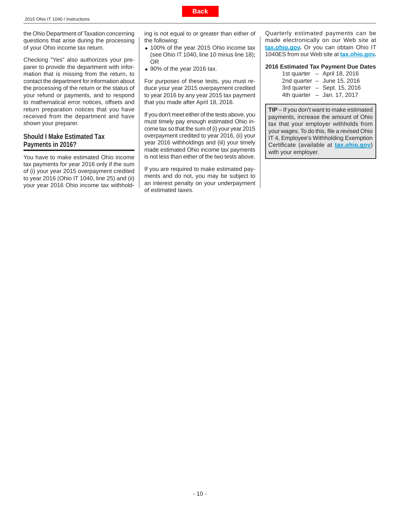<span id="page-9-0"></span>the Ohio Department of Taxation concerning questions that arise during the processing of your Ohio income tax return.

Checking "Yes" also authorizes your preparer to provide the department with information that is missing from the return, to contact the department for information about the processing of the return or the status of your refund or payments, and to respond to mathematical error notices, offsets and return preparation notices that you have received from the department and have shown your preparer.

#### **Should I Make Estimated Tax Payments in 2016?**

You have to make estimated Ohio income tax payments for year 2016 only if the sum of (i) your year 2015 overpayment credited to year 2016 (Ohio IT 1040, line 25) and (ii) your year 2016 Ohio income tax withholding is not equal to or greater than either of the following:

- 100% of the year 2015 Ohio income tax (see Ohio IT 1040, line 10 minus line 18); OR
- 90% of the year 2016 tax.

For purposes of these tests, you must reduce your year 2015 overpayment credited to year 2016 by any year 2015 tax payment that you made after April 18, 2016.

If you don't meet either of the tests above, you must timely pay enough estimated Ohio income tax so that the sum of (i) your year 2015 overpayment credited to year 2016, (ii) your year 2016 withholdings and (iii) your timely made estimated Ohio income tax payments is not less than either of the two tests above.

If you are required to make estimated payments and do not, you may be subject to an interest penalty on your underpayment of estimated taxes.

Quarterly estimated payments can be made electronically on our Web site at **[tax.ohio.gov.](http://tax.ohio.gov/)** Or you can obtain Ohio IT 1040ES from our Web site at **[tax.ohio.gov.](http://tax.ohio.gov/)**

#### **2016 Estimated Tax Payment Due Dates**

 1st quarter – April 18, 2016 2nd quarter  $-$  June 15, 2016 3rd quarter – Sept. 15, 2016 4th quarter  $-$  Jan. 17, 2017

**TIP** – If you don't want to make estimated payments, increase the amount of Ohio tax that your employer withholds from your wages. To do this, file a revised Ohio IT 4, Employee's Withholding Exemption Certificate (available at **[tax.ohio.gov](http://tax.ohio.gov/))** with your employer.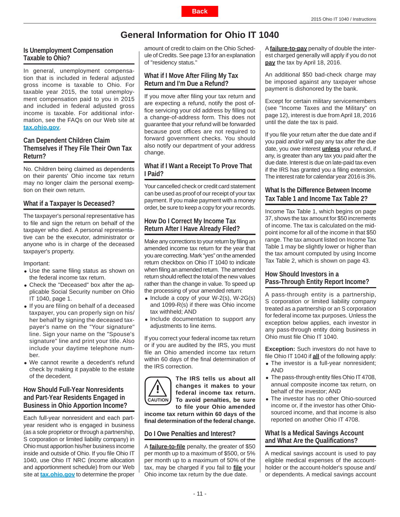# **General Information for Ohio IT 1040**

# <span id="page-10-0"></span>**Is Unemployment Compensation Taxable to Ohio?**

In general, unemployment compensation that is included in federal adjusted gross income is taxable to Ohio. For taxable year 2015, the total unemployment compensation paid to you in 2015 and included in federal adjusted gross income is taxable. For additional information, see the FAQs on our Web site at **[tax.ohio.gov](http://tax.ohio.gov/)**.

### **Can Dependent Children Claim Themselves if They File Their Own Tax Return?**

No. Children being claimed as dependents on their parents' Ohio income tax return may no longer claim the personal exemption on their own return.

# **What if a Taxpayer Is Deceased?**

The taxpayer's personal representative has to file and sign the return on behalf of the taxpayer who died. A personal representative can be the executor, administrator or anyone who is in charge of the deceased taxpayer's property.

Important:

- Use the same filing status as shown on the federal income tax return.
- Check the "Deceased" box after the applicable Social Security number on Ohio IT 1040, page 1.
- If you are filing on behalf of a deceased taxpayer, you can properly sign on his/ her behalf by signing the deceased taxpayer's name on the "Your signature" line. Sign your name on the "Spouse's signature" line and print your title. Also include your daytime telephone number.
- We cannot rewrite a decedent's refund check by making it payable to the estate of the decedent.

# **How Should Full-Year Nonresidents and Part-Year Residents Engaged in Business in Ohio Apportion Income?**

Each full-year nonresident and each partyear resident who is engaged in business (as a sole proprietor or through a partnership, S corporation or limited liability company) in Ohio must apportion his/her business income inside and outside of Ohio. If you file Ohio IT 1040, use Ohio IT NRC (income allocation and apportionment schedule) from our Web site at **[tax.ohio.gov](http://tax.ohio.gov/)** to determine the proper amount of credit to claim on the Ohio Schedule of Credits. See page 13 for an explanation of "residency status."

# **What if I Move After Filing My Tax Return and I'm Due a Refund?**

If you move after filing your tax return and are expecting a refund, notify the post office servicing your old address by filling out a change-of-address form. This does not guarantee that your refund will be forwarded because post offices are not required to forward government checks. You should also notify our department of your address change.

# **What if I Want a Receipt To Prove That I Paid?**

Your cancelled check or credit card statement can be used as proof of our receipt of your tax payment. If you make payment with a money order, be sure to keep a copy for your records.

# **How Do I Correct My Income Tax Return After I Have Already Filed?**

Make any corrections to your return by filing an amended income tax return for the year that you are correcting. Mark "yes" on the amended return checkbox on Ohio IT 1040 to indicate when filing an amended return. The amended return should reflect the total of the new values rather than the change in value. To speed up the processing of your amended return:

- $\bullet$  Include a copy of your W-2(s), W-2G(s) and 1099-R(s) if there was Ohio income tax withheld; AND
- Include documentation to support any adjustments to line items.

If you correct your federal income tax return or if you are audited by the IRS, you must file an Ohio amended income tax return within 60 days of the final determination of the IRS correction.



**The IRS tells us about all changes it makes to your federal income tax return. To avoid penalties, be sure to file your Ohio amended** 

**income tax return within 60 days of the fi nal determination of the federal change.** 

# **Do I Owe Penalties and Interest?**

A **failure-to-file** penalty, the greater of \$50 per month up to a maximum of \$500, or 5% per month up to a maximum of 50% of the tax, may be charged if you fail to *file* your Ohio income tax return by the due date.

A **failure-to-pay** penalty of double the interest charged generally will apply if you do not **pay** the tax by April 18, 2016.

An additional \$50 bad-check charge may be imposed against any taxpayer whose payment is dishonored by the bank.

Except for certain military servicemembers (see "Income Taxes and the Military" on page 12), interest is due from April 18, 2016 until the date the tax is paid.

If you file your return after the due date and if you paid and/or will pay any tax after the due date, you owe interest **unless** your refund, if any, is greater than any tax you paid after the due date. Interest is due on late-paid tax even if the IRS has granted you a filing extension. The interest rate for calendar year 2016 is 3%.

# **What Is the Difference Between Income Tax Table 1 and Income Tax Table 2?**

Income Tax Table 1, which begins on page 37, shows the tax amount for \$50 increments of income. The tax is calculated on the midpoint income for all of the income in that \$50 range. The tax amount listed on Income Tax Table 1 may be slightly lower or higher than the tax amount computed by using Income Tax Table 2, which is shown on page 43.

# **How Should Investors in a Pass-Through Entity Report Income?**

A pass-through entity is a partnership, S corporation or limited liability company treated as a partnership or an S corporation for federal income tax purposes. Unless the exception below applies, each investor in any pass-through entity doing business in Ohio must file Ohio IT 1040.

**Exception:** Such investors do not have to file Ohio IT 1040 if **all** of the following apply:

- The investor is a full-year nonresident; AND
- The pass-through entity files Ohio IT 4708, annual composite income tax return, on behalf of the investor; AND
- The investor has no other Ohio-sourced income or, if the investor has other Ohiosourced income, and that income is also reported on another Ohio IT 4708.

### **What Is a Medical Savings Account and What Are the Qualifi cations?**

A medical savings account is used to pay eligible medical expenses of the accountholder or the account-holder's spouse and/ or dependents. A medical savings account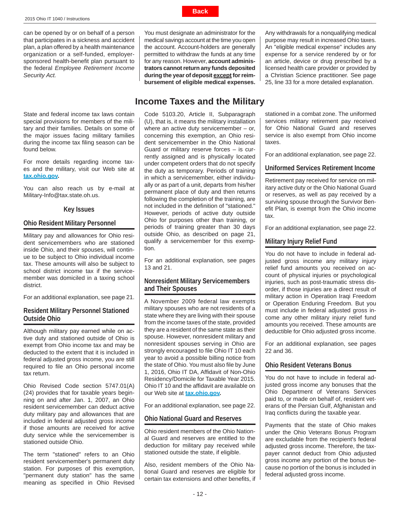<span id="page-11-0"></span>can be opened by or on behalf of a person that participates in a sickness and accident plan, a plan offered by a health maintenance organization or a self-funded, employersponsored health-benefit plan pursuant to the federal *Employee Retirement Income Security Act.*

State and federal income tax laws contain special provisions for members of the military and their families. Details on some of the major issues facing military families during the income tax filing season can be found below.

For more details regarding income taxes and the military, visit our Web site at **[tax.ohio.gov.](http://tax.ohio.gov/)**

You can also reach us by e-mail at Military-Info@tax.state.oh.us.

#### **Key Issues**

#### **Ohio Resident Military Personnel**

Military pay and allowances for Ohio resident servicemembers who are stationed inside Ohio, and their spouses, will continue to be subject to Ohio individual income tax. These amounts will also be subject to school district income tax if the servicemember was domiciled in a taxing school district.

For an additional explanation, see page 21.

#### **Resident Military Personnel Stationed Outside Ohio**

Although military pay earned while on active duty and stationed outside of Ohio is exempt from Ohio income tax and may be deducted to the extent that it is included in federal adjusted gross income, you are still required to file an Ohio personal income tax return.

Ohio Revised Code section 5747.01(A) (24) provides that for taxable years beginning on and after Jan. 1, 2007, an Ohio resident servicemember can deduct active duty military pay and allowances that are included in federal adjusted gross income if those amounts are received for active duty service while the servicemember is stationed outside Ohio.

The term "stationed" refers to an Ohio resident servicemember's permanent duty station. For purposes of this exemption, "permanent duty station" has the same meaning as specified in Ohio Revised

You must designate an administrator for the medical savings account at the time you open the account. Account-holders are generally permitted to withdraw the funds at any time for any reason. However, **account administrators cannot return any funds deposited during the year of deposit except for reimbursement of eligible medical expenses.**

# **Income Taxes and the Military**

Code 5103.20, Article II, Subparagraph (U), that is, it means the military installation where an active duty servicemember  $-$  or, concerning this exemption, an Ohio resident servicemember in the Ohio National Guard or military reserve forces – is currently assigned and is physically located under competent orders that do not specify the duty as temporary. Periods of training in which a servicemember, either individually or as part of a unit, departs from his/her permanent place of duty and then returns following the completion of the training, are not included in the definition of "stationed." However, periods of active duty outside Ohio for purposes other than training, or periods of training greater than 30 days outside Ohio, as described on page 21, qualify a servicemember for this exemption.

For an additional explanation, see pages 13 and 21.

#### **Nonresident Military Servicemembers and Their Spouses**

A November 2009 federal law exempts military spouses who are not residents of a state where they are living with their spouse from the income taxes of the state, provided they are a resident of the same state as their spouse. However, nonresident military and nonresident spouses serving in Ohio are strongly encouraged to file Ohio IT 10 each year to avoid a possible billing notice from the state of Ohio. You must also file by June 1, 2016, Ohio IT DA, Affidavit of Non-Ohio Residency/Domicile for Taxable Year 2015. Ohio IT 10 and the affidavit are available on our Web site at **[tax.ohio.gov.](http://tax.ohio.gov/)**

For an additional explanation, see page 22.

#### **Ohio National Guard and Reserves**

Ohio resident members of the Ohio National Guard and reserves are entitled to the deduction for military pay received while stationed outside the state, if eligible.

Also, resident members of the Ohio National Guard and reserves are eligible for certain tax extensions and other benefits, if Any withdrawals for a nonqualifying medical purpose may result in increased Ohio taxes. An "eligible medical expense" includes any expense for a service rendered by or for an article, device or drug prescribed by a licensed health care provider or provided by a Christian Science practitioner. See page 25, line 33 for a more detailed explanation.

stationed in a combat zone. The uniformed services military retirement pay received for Ohio National Guard and reserves service is also exempt from Ohio income taxes.

For an additional explanation, see page 22.

#### **Uniformed Services Retirement Income**

Retirement pay received for service on military active duty or the Ohio National Guard or reserves, as well as pay received by a surviving spouse through the Survivor Benefit Plan, is exempt from the Ohio income tax.

For an additional explanation, see page 22.

#### **Military Injury Relief Fund**

You do not have to include in federal adjusted gross income any military injury relief fund amounts you received on account of physical injuries or psychological injuries, such as post-traumatic stress disorder, if those injuries are a direct result of military action in Operation Iraqi Freedom or Operation Enduring Freedom. But you must include in federal adjusted gross income any other military injury relief fund amounts you received. These amounts are deductible for Ohio adjusted gross income.

For an additional explanation, see pages 22 and 36.

#### **Ohio Resident Veterans Bonus**

You do not have to include in federal adjusted gross income any bonuses that the Ohio Department of Veterans Services paid to, or made on behalf of, resident veterans of the Persian Gulf, Afghanistan and Iraq conflicts during the taxable year.

Payments that the state of Ohio makes under the Ohio Veterans Bonus Program are excludable from the recipient's federal adjusted gross income. Therefore, the taxpayer cannot deduct from Ohio adjusted gross income any portion of the bonus because no portion of the bonus is included in federal adjusted gross income.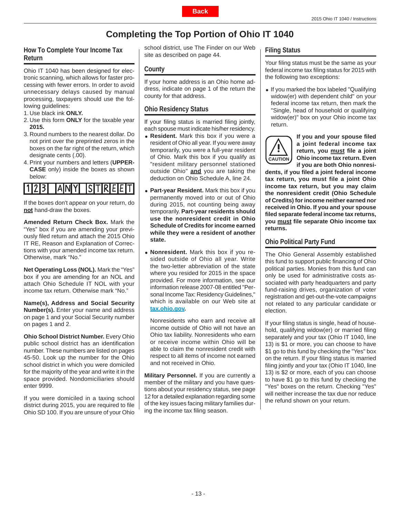# **Completing the Top Portion of Ohio IT 1040**

### <span id="page-12-0"></span>**How To Complete Your Income Tax Return**

Ohio IT 1040 has been designed for electronic scanning, which allows for faster processing with fewer errors. In order to avoid unnecessary delays caused by manual processing, taxpayers should use the following guidelines:

- 1. Use black ink **ONLY.**
- 2. Use this form **ONLY** for the taxable year **2015.**
- 3. Round numbers to the nearest dollar. Do not print over the preprinted zeros in the boxes on the far right of the return, which designate cents (.00).
- 4. Print your numbers and letters (**UPPER-CASE** only) inside the boxes as shown below:

# 23 ANY STREET

If the boxes don't appear on your return, do **not** hand-draw the boxes.

**Amended Return Check Box.** Mark the "Yes" box if you are amending your previously filed return and attach the 2015 Ohio IT RE, Reason and Explanation of Corrections with your amended income tax return. Otherwise, mark "No."

**Net Operating Loss (NOL).** Mark the "Yes" box if you are amending for an NOL and attach Ohio Schedule IT NOL with your income tax return. Otherwise mark "No."

**Name(s), Address and Social Security Number(s).** Enter your name and address on page 1 and your Social Security number on pages 1 and 2.

**Ohio School District Number.** Every Ohio public school district has an identification number. These numbers are listed on pages 45-50. Look up the number for the Ohio school district in which you were domiciled for the majority of the year and write it in the space provided. Nondomiciliaries should enter 9999.

If you were domiciled in a taxing school district during 2015, you are required to file Ohio SD 100. If you are unsure of your Ohio

school district, use The Finder on our Web site as described on page 44.

# **County**

If your home address is an Ohio home address, indicate on page 1 of the return the county for that address.

# **Ohio Residency Status**

If your filing status is married filing jointly, each spouse must indicate his/her residency.

- **Resident.** Mark this box if you were a resident of Ohio all year. If you were away temporarily, you were a full-year resident of Ohio. Mark this box if you qualify as "resident military personnel stationed outside Ohio" **and** you are taking the deduction on Ohio Schedule A, line 24.
- **Part-year Resident.** Mark this box if you permanently moved into or out of Ohio during 2015, not counting being away temporarily. **Part-year residents should use the nonresident credit in Ohio Schedule of Credits for income earned while they were a resident of another state.**
- **Nonresident.** Mark this box if you resided outside of Ohio all year. Write the two-letter abbreviation of the state where you resided for 2015 in the space provided. For more information, see our information release 2007-08 entitled "Personal Income Tax: Residency Guidelines," which is available on our Web site at **[tax.ohio.gov.](http://tax.ohio.gov/)**

Nonresidents who earn and receive all income outside of Ohio will not have an Ohio tax liability. Nonresidents who earn or receive income within Ohio will be able to claim the nonresident credit with respect to all items of income not earned and not received in Ohio.

**Military Personnel.** If you are currently a member of the military and you have questions about your residency status, see page 12 for a detailed explanation regarding some of the key issues facing military families during the income tax filing season.

# **Filing Status**

Your filing status must be the same as your federal income tax filing status for 2015 with the following two exceptions:

• If you marked the box labeled "Qualifying widow(er) with dependent child" on your federal income tax return, then mark the "Single, head of household or qualifying widow(er)" box on your Ohio income tax return.



**If you and your spouse fi led a joint federal income tax return, you must file a joint Ohio income tax return. Even if you are both Ohio nonresi-**

**dents, if you fi led a joint federal income tax return, you must file a joint Ohio income tax return, but you may claim the nonresident credit (Ohio Schedule of Credits) for income neither earned nor received in Ohio. If you and your spouse fi led separate federal income tax returns, you must fi le separate Ohio income tax returns.**

# **Ohio Political Party Fund**

The Ohio General Assembly established this fund to support public financing of Ohio political parties. Monies from this fund can only be used for administrative costs associated with party headquarters and party fund-raising drives, organization of voter registration and get-out-the-vote campaigns not related to any particular candidate or election.

If your filing status is single, head of household, qualifying widow(er) or married filing separately and your tax (Ohio IT 1040, line 13) is \$1 or more, you can choose to have \$1 go to this fund by checking the "Yes" box on the return. If your filing status is married filing jointly and your tax (Ohio IT 1040, line 13) is \$2 or more, each of you can choose to have \$1 go to this fund by checking the "Yes" boxes on the return. Checking "Yes" will neither increase the tax due nor reduce the refund shown on your return.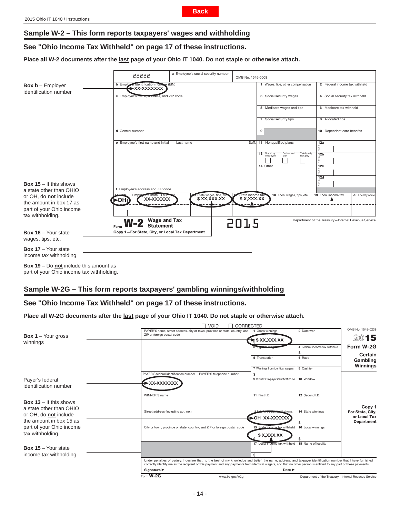# <span id="page-13-0"></span>**Sample W-2 – This form reports taxpayers' wages and withholding**

#### **See "Ohio Income Tax Withheld" on page 17 of these instructions.**

**Place all W-2 documents after the last page of your Ohio IT 1040. Do not staple or otherwise attach.**

|                                                                                                   |                                                                           | a Employee's social security number |                                |                                                                           |                                                     |
|---------------------------------------------------------------------------------------------------|---------------------------------------------------------------------------|-------------------------------------|--------------------------------|---------------------------------------------------------------------------|-----------------------------------------------------|
|                                                                                                   | 22222                                                                     |                                     | OMB No. 1545-0008              |                                                                           |                                                     |
| <b>Box <math>b</math></b> – Employer<br>identification number                                     | <b>b</b> Employer identification number (EIN)<br>$\rightarrow$ XX-XXXXXXX |                                     |                                | 1 Wages, tips, other compensation                                         | 2 Federal income tax withheld                       |
|                                                                                                   | c Employer's name, accress, and ZIP code                                  |                                     |                                | 3 Social security wages                                                   | 4 Social security tax withheld                      |
|                                                                                                   |                                                                           |                                     |                                | 5 Medicare wages and tips                                                 | 6 Medicare tax withheld                             |
|                                                                                                   |                                                                           |                                     |                                | 7 Social security tips                                                    | 8 Allocated tips                                    |
|                                                                                                   | d Control number                                                          |                                     |                                | 9                                                                         | 10 Dependent care benefits                          |
|                                                                                                   | e Employee's first name and initial                                       | Last name                           | Suff.                          | 11 Nonqualified plans                                                     | 12a                                                 |
|                                                                                                   |                                                                           |                                     |                                | 13 Statutory<br>employee<br>Retirement<br>Third-party<br>sick pay<br>plan | 12 <sub>b</sub>                                     |
|                                                                                                   |                                                                           |                                     |                                | 14 Other                                                                  | 12c                                                 |
| <b>Box 15</b> $-$ If this shows<br>a state other than OHIO                                        | f Employee's address and ZIP code                                         |                                     |                                |                                                                           | 12d                                                 |
| or OH, do not include<br>the amount in box 17 as                                                  | er s state ID numb<br>Employ<br>XX-XXXXXX<br>►OHÌ                         | State wages, tips, etc              | State income tax<br>\$X,XXX.XX | 18 Local wages, tips, etc.                                                | 19 Local income tax<br>20 Locality name             |
| part of your Ohio income<br>tax withholding.                                                      |                                                                           |                                     |                                |                                                                           |                                                     |
|                                                                                                   | <b>Wage and Tax</b><br><b>Statement</b><br>Form                           |                                     | 5072                           |                                                                           | Department of the Treasury-Internal Revenue Service |
| <b>Box 16 - Your state</b><br>wages, tips, etc.                                                   | Copy 1-For State, City, or Local Tax Department                           |                                     |                                |                                                                           |                                                     |
| <b>Box 17 - Your state</b><br>income tax withholding                                              |                                                                           |                                     |                                |                                                                           |                                                     |
| <b>Box 19</b> – Do <b>not</b> include this amount as<br>part of your Ohio income tax withholding. |                                                                           |                                     |                                |                                                                           |                                                     |

# **Sample W-2G – This form reports taxpayers' gambling winnings/withholding**

# **See "Ohio Income Tax Withheld" on page 17 of these instructions.**

**Place all W-2G documents after the last page of your Ohio IT 1040. Do not staple or otherwise attach.**

|                                                      |                                                                                                                                                                                                                                                                                                                                       | <b>VOID</b><br>CORRECTED |                                            |                                                       |                                  |
|------------------------------------------------------|---------------------------------------------------------------------------------------------------------------------------------------------------------------------------------------------------------------------------------------------------------------------------------------------------------------------------------------|--------------------------|--------------------------------------------|-------------------------------------------------------|----------------------------------|
|                                                      | PAYER'S name, street address, city or town, province or state, country, and<br>ZIP or foreign postal code                                                                                                                                                                                                                             |                          | 1 Gross winnings                           | 2 Date won                                            | OMB No. 1545-0238                |
| <b>Box 1</b> – Your gross<br>winnings                |                                                                                                                                                                                                                                                                                                                                       |                          | $\frac{1}{s}$ \$ XX, XXX. XX               |                                                       | 2015                             |
|                                                      |                                                                                                                                                                                                                                                                                                                                       |                          |                                            | 4 Federal income tax withheld                         | Form W-2G                        |
|                                                      |                                                                                                                                                                                                                                                                                                                                       |                          |                                            | \$                                                    | Certain                          |
|                                                      |                                                                                                                                                                                                                                                                                                                                       |                          | 5 Transaction                              | 6 Race                                                | Gambling                         |
|                                                      |                                                                                                                                                                                                                                                                                                                                       |                          | 7 Winnings from identical wagers           | 8 Cashier                                             | Winnings                         |
|                                                      | PAYER'S federal identification number                                                                                                                                                                                                                                                                                                 | PAYER'S telephone number | \$                                         |                                                       |                                  |
| Payer's federal<br>identification number             | $\rightarrow$ XX-XXXXXXX                                                                                                                                                                                                                                                                                                              |                          | 9 Winner's taxpayer identification no.     | 10 Window                                             |                                  |
|                                                      | WINNER'S name                                                                                                                                                                                                                                                                                                                         |                          | 11 First I.D.                              | 12 Second I.D.                                        |                                  |
| <b>Box 13</b> $-$ If this shows                      |                                                                                                                                                                                                                                                                                                                                       |                          |                                            |                                                       | Copy 1                           |
| a state other than OHIO<br>or OH, do not include     | Street address (including apt. no.)                                                                                                                                                                                                                                                                                                   |                          | ication no.<br>OH XX-XXXXXX                | 14 State winnings                                     | For State, City,<br>or Local Tax |
| the amount in box 15 as                              |                                                                                                                                                                                                                                                                                                                                       |                          |                                            |                                                       | <b>Department</b>                |
| part of your Ohio income<br>tax withholding.         | City or town, province or state, country, and ZIP or foreign postal code                                                                                                                                                                                                                                                              |                          | 15 State income tax withheld<br>\$X,XXX.XX | 16 Local winnings                                     |                                  |
| <b>Box 15</b> – Your state<br>income tax withholding |                                                                                                                                                                                                                                                                                                                                       |                          | 17 Local indome tax withheld               | 18 Name of locality                                   |                                  |
|                                                      | Under penalties of perjury, I declare that, to the best of my knowledge and belief, the name, address, and taxpayer identification number that I have furnished<br>correctly identify me as the recipient of this payment and any payments from identical wagers, and that no other person is entitled to any part of these payments. |                          |                                            |                                                       |                                  |
|                                                      | Signature ▶                                                                                                                                                                                                                                                                                                                           |                          | Date $\blacktriangleright$                 |                                                       |                                  |
|                                                      | Form $W$ -2G                                                                                                                                                                                                                                                                                                                          | www.irs.gov/w2g          |                                            | Department of the Treasury - Internal Revenue Service |                                  |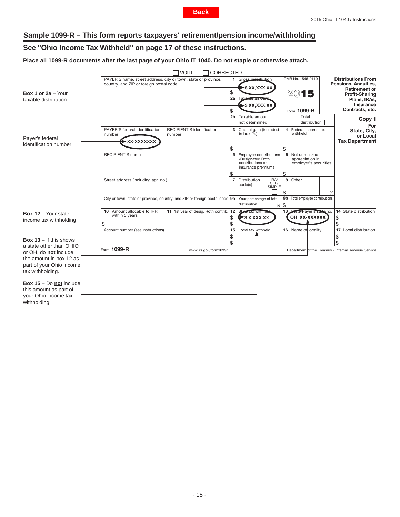# <span id="page-14-0"></span>**Sample 1099-R – This form reports taxpayers' retirement/pension income/withholding**

# **See "Ohio Income Tax Withheld" on page 17 of these instructions.**

**Place all 1099-R documents after the last page of your Ohio IT 1040. Do not staple or otherwise attach.**

|                                                                                  |                                                                                                           | <b>VOID</b><br><b>CORRECTED</b>                                             |                      |                                                                                                 |              |                                         |                              |                                                                                                                                 |
|----------------------------------------------------------------------------------|-----------------------------------------------------------------------------------------------------------|-----------------------------------------------------------------------------|----------------------|-------------------------------------------------------------------------------------------------|--------------|-----------------------------------------|------------------------------|---------------------------------------------------------------------------------------------------------------------------------|
| Box 1 or $2a - Your$<br>taxable distribution                                     | PAYER'S name, street address, city or town, state or province,<br>country, and ZIP or foreign postal code |                                                                             | \$<br>2a             | 1 Gross dietribution<br>►\$ XX,XXX.XX)<br>Tax<br>i <del>c difficul</del><br><b>-\$XX,XXX.XX</b> |              | OMB No. 1545-0119<br>2015               |                              | <b>Distributions From</b><br>Pensions, Annuities,<br><b>Retirement or</b><br><b>Profit-Sharing</b><br>Plans, IRAs,<br>Insurance |
|                                                                                  |                                                                                                           |                                                                             | \$<br>2 <sub>b</sub> | Taxable amount                                                                                  |              | Form 1099-R<br>Total                    |                              | Contracts, etc.                                                                                                                 |
|                                                                                  |                                                                                                           |                                                                             |                      | not determined                                                                                  |              |                                         | distribution                 | Copy 1<br>For                                                                                                                   |
| Payer's federal<br>identification number                                         | PAYER'S federal identification<br>number<br>$\blacktriangleright$ XX-XXXXXX                               | RECIPIENT'S identification<br>number                                        |                      | 3 Capital gain (included<br>in box 2a)                                                          |              | 4 Federal income tax<br>withheld        |                              | State, City,<br>or Local<br><b>Tax Department</b>                                                                               |
|                                                                                  |                                                                                                           |                                                                             | \$                   |                                                                                                 | \$           |                                         |                              |                                                                                                                                 |
|                                                                                  | RECIPIENT'S name                                                                                          |                                                                             | 5                    | Employee contributions<br>/Designated Roth<br>contributions or<br>insurance premiums            | 6            | Net unrealized<br>appreciation in       | employer's securities        |                                                                                                                                 |
|                                                                                  | \$<br>\$                                                                                                  |                                                                             |                      |                                                                                                 |              |                                         |                              |                                                                                                                                 |
|                                                                                  | Street address (including apt. no.)                                                                       |                                                                             | 7                    | Distribution<br>IRA/<br>SEP/<br>code(s)<br><b>SIMPLE</b>                                        | 8<br>\$      | Other                                   | %                            |                                                                                                                                 |
|                                                                                  |                                                                                                           | City or town, state or province, country, and ZIP or foreign postal code 9a |                      | Your percentage of total<br>distribution                                                        | 9b<br>$%$ \$ |                                         | Total employee contributions |                                                                                                                                 |
| Box 12 - Your state                                                              | 10 Amount allocable to IRR<br>within 5 years                                                              | 11 1st year of desig. Roth contrib. 12                                      |                      | State tax withhere<br>$\blacktriangleright$ \$ X, XXX. XX                                       | 13           | State/Payer's state no.<br>OH XX-XXXXXX |                              | 14 State distribution                                                                                                           |
| income tax withholding                                                           | \$                                                                                                        |                                                                             | Φ<br>\$              |                                                                                                 |              |                                         |                              | $\overline{\mathfrak{s}}$<br>\$                                                                                                 |
| <b>Box 13</b> $-$ If this shows                                                  | Account number (see instructions)                                                                         |                                                                             | \$                   | 15 Local tax withheld                                                                           |              | 16 Name of locality                     |                              | 17 Local distribution<br>\$                                                                                                     |
| a state other than OHIO<br>or OH, do not include                                 | Form 1099-R                                                                                               | www.irs.gov/form1099r                                                       | \$                   |                                                                                                 |              |                                         |                              | \$<br>Department of the Treasury - Internal Revenue Service                                                                     |
| the amount in box 12 as<br>part of your Ohio income<br>tax withholding.          |                                                                                                           |                                                                             |                      |                                                                                                 |              |                                         |                              |                                                                                                                                 |
| <b>Box 15</b> – Do not include<br>this amount as part of<br>vour Ohio income tax |                                                                                                           |                                                                             |                      |                                                                                                 |              |                                         |                              |                                                                                                                                 |

withholding.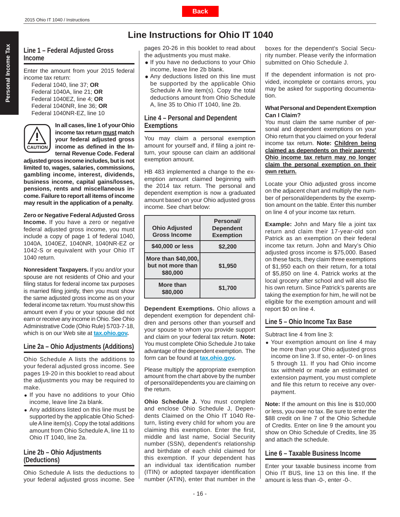# <span id="page-15-0"></span>**Line 1 – Federal Adjusted Gross Income**

Enter the amount from your 2015 federal income tax return:

 Federal 1040, line 37; **OR** Federal 1040A, line 21; **OR** Federal 1040EZ, line 4; **OR** Federal 1040NR, line 36; **OR** Federal 1040NR-EZ, line 10



**In all cases, line 1 of your Ohio income tax return must match your federal adjusted gross**  income as defined in the In**ternal Revenue Code. Federal** 

**adjusted gross income includes, but is not limited to, wages, salaries, commissions, gambling income, interest, dividends, business income, capital gains/losses, pensions, rents and miscellaneous income. Failure to report all items of income may result in the application of a penalty.**

**Zero or Negative Federal Adjusted Gross Income.** If you have a zero or negative federal adjusted gross income, you must include a copy of page 1 of federal 1040, 1040A, 1040EZ, 1040NR, 1040NR-EZ or 1042-S or equivalent with your Ohio IT 1040 return.

**Nonresident Taxpayers.** If you and/or your spouse are not residents of Ohio and your filing status for federal income tax purposes is married filing jointly, then you must show the same adjusted gross income as on your federal income tax return. You must show this amount even if you or your spouse did not earn or receive any income in Ohio. See Ohio Administrative Code (Ohio Rule) 5703-7-18, which is on our Web site at **[tax.ohio.gov.](http://tax.ohio.gov/)**

# **Line 2a – Ohio Adjustments (Additions)**

Ohio Schedule A lists the additions to your federal adjusted gross income. See pages 19-20 in this booklet to read about the adjustments you may be required to make.

- If you have no additions to your Ohio income, leave line 2a blank.
- Any additions listed on this line must be supported by the applicable Ohio Schedule A line item(s). Copy the total additions amount from Ohio Schedule A, line 11 to Ohio IT 1040, line 2a.

# **Line 2b – Ohio Adjustments (Deductions)**

Ohio Schedule A lists the deductions to your federal adjusted gross income. See pages 20-26 in this booklet to read about the adjustments you must make.

**Line Instructions for Ohio IT 1040**

- **.** If you have no deductions to your Ohio income, leave line 2b blank.
- Any deductions listed on this line must be supported by the applicable Ohio Schedule A line item(s). Copy the total deductions amount from Ohio Schedule A, line 35 to Ohio IT 1040, line 2b.

### **Line 4 – Personal and Dependent Exemptions**

You may claim a personal exemption amount for yourself and, if filing a joint return, your spouse can claim an additional exemption amount.

HB 483 implemented a change to the exemption amount claimed beginning with the 2014 tax return. The personal and dependent exemption is now a graduated amount based on your Ohio adjusted gross income. See chart below:

| <b>Ohio Adjusted</b><br><b>Gross Income</b>          | Personal/<br><b>Dependent</b><br><b>Exemption</b> |
|------------------------------------------------------|---------------------------------------------------|
| \$40,000 or less                                     | \$2,200                                           |
| More than \$40,000,<br>but not more than<br>\$80,000 | \$1.950                                           |
| More than<br>\$80,000                                | \$1,700                                           |

**Dependent Exemptions.** Ohio allows a dependent exemption for dependent children and persons other than yourself and your spouse to whom you provide support and claim on your federal tax return. **Note:** You must complete Ohio Schedule J to take advantage of the dependent exemption. The form can be found at **[tax.ohio.gov.](http://tax.ohio.gov/)**

Please multiply the appropriate exemption amount from the chart above by the number of personal/dependents you are claiming on the return.

**Ohio Schedule J.** You must complete and enclose Ohio Schedule J, Dependents Claimed on the Ohio IT 1040 Return, listing every child for whom you are claiming this exemption. Enter the first, middle and last name, Social Security number (SSN), dependent's relationship and birthdate of each child claimed for this exemption. If your dependent has an individual tax identification number (ITIN) or adopted taxpayer identification number (ATIN), enter that number in the

boxes for the dependent's Social Security number. Please verify the information submitted on Ohio Schedule J.

If the dependent information is not provided, incomplete or contains errors, you may be asked for supporting documentation.

#### **What Personal and Dependent Exemption Can I Claim?**

You must claim the same number of personal and dependent exemptions on your Ohio return that you claimed on your federal income tax return. **Note: Children being claimed as dependents on their parents' Ohio income tax return may no longer claim the personal exemption on their own return.**

Locate your Ohio adjusted gross income on the adjacent chart and multiply the number of personal/dependents by the exemption amount on the table. Enter this number on line 4 of your income tax return.

**Example:** John and Mary file a joint tax return and claim their 17-year-old son Patrick as an exemption on their federal income tax return. John and Mary's Ohio adjusted gross income is \$75,000. Based on these facts, they claim three exemptions of \$1,950 each on their return, for a total of \$5,850 on line 4. Patrick works at the local grocery after school and will also file his own return. Since Patrick's parents are taking the exemption for him, he will not be eligible for the exemption amount and will report \$0 on line 4.

#### **Line 5 – Ohio Income Tax Base**

Subtract line 4 from line 3:

 Your exemption amount on line 4 may be more than your Ohio adjusted gross income on line 3. If so, enter -0- on lines 5 through 11. If you had Ohio income tax withheld or made an estimated or extension payment, you must complete and file this return to receive any overpayment.

**Note:** If the amount on this line is \$10,000 or less, you owe no tax. Be sure to enter the \$88 credit on line 7 of the Ohio Schedule of Credits. Enter on line 9 the amount you show on Ohio Schedule of Credits, line 35 and attach the schedule.

#### **Line 6 – Taxable Business Income**

Enter your taxable business income from Ohio IT BUS, line 13 on this line. If the amount is less than -0-, enter -0-.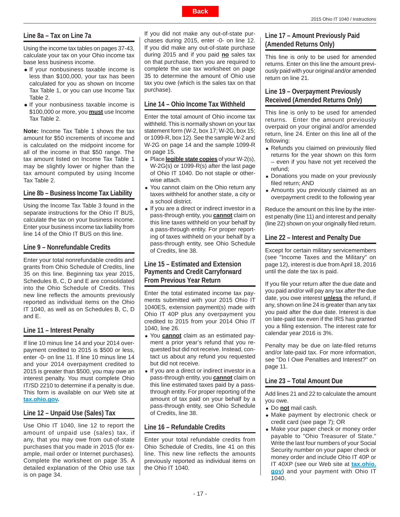# <span id="page-16-0"></span>**Line 8a – Tax on Line 7a**

Using the income tax tables on pages 37-43, calculate your tax on your Ohio income tax base less business income.

- If your nonbusiness taxable income is less than \$100,000, your tax has been calculated for you as shown on Income Tax Table 1, or you can use Income Tax Table 2.
- If your nonbusiness taxable income is \$100,000 or more, you **must** use Income Tax Table 2.

**Note:** Income Tax Table 1 shows the tax amount for \$50 increments of income and is calculated on the midpoint income for all of the income in that \$50 range. The tax amount listed on Income Tax Table 1 may be slightly lower or higher than the tax amount computed by using Income Tax Table 2.

# **Line 8b – Business Income Tax Liability**

Using the Income Tax Table 3 found in the separate instructions for the Ohio IT BUS, calculate the tax on your business income. Enter your business income tax liability from line 14 of the Ohio IT BUS on this line.

### **Line 9 – Nonrefundable Credits**

Enter your total nonrefundable credits and grants from Ohio Schedule of Credits, line 35 on this line. Beginning tax year 2015, Schedules B, C, D and E are consolidated into the Ohio Schedule of Credits. This new line reflects the amounts previously reported as individual items on the Ohio IT 1040, as well as on Schedules B, C, D and E.

# **Line 11 – Interest Penalty**

If line 10 minus line 14 and your 2014 overpayment credited to 2015 is \$500 or less, enter -0- on line 11. If line 10 minus line 14 and your 2014 overpayment credited to 2015 is greater than \$500, you may owe an interest penalty. You must complete Ohio IT/SD 2210 to determine if a penalty is due. This form is available on our Web site at **[tax.ohio.gov.](http://tax.ohio.gov/)**

# **Line 12 – Unpaid Use (Sales) Tax**

Use Ohio IT 1040, line 12 to report the amount of unpaid use (sales) tax, if any, that you may owe from out-of-state purchases that you made in 2015 (for example, mail order or Internet purchases). Complete the worksheet on page 35. A detailed explanation of the Ohio use tax is on page 34.

If you did not make any out-of-state purchases during 2015, enter -0- on line 12. If you did make any out-of-state purchase during 2015 and if you paid **no** sales tax on that purchase, then you are required to complete the use tax worksheet on page 35 to determine the amount of Ohio use tax you owe (which is the sales tax on that purchase).

**Back**

# **Line 14 – Ohio Income Tax Withheld**

Enter the total amount of Ohio income tax withheld. This is normally shown on your tax statement form (W-2, box 17; W-2G, box 15; or 1099-R, box 12). See the sample W-2 and W-2G on page 14 and the sample 1099-R on page 15.

- Place **legible state copies** of your W-2(s), W-2G(s) or 1099-R(s) after the last page of Ohio IT 1040. Do not staple or otherwise attach.
- You cannot claim on the Ohio return any taxes withheld for another state, a city or a school district.
- If you are a direct or indirect investor in a pass-through entity, you **cannot** claim on this line taxes withheld on your behalf by a pass-through entity. For proper reporting of taxes withheld on your behalf by a pass-through entity, see Ohio Schedule of Credits, line 38.

# **Line 15 – Estimated and Extension Payments and Credit Carryforward From Previous Year Return**

Enter the total estimated income tax payments submitted with your 2015 Ohio IT 1040ES, extension payment(s) made with Ohio IT 40P plus any overpayment you credited to 2015 from your 2014 Ohio IT 1040, line 26.

- You **cannot** claim as an estimated payment a prior year's refund that you requested but did not receive. Instead, contact us about any refund you requested but did not receive.
- If you are a direct or indirect investor in a pass-through entity, you **cannot** claim on this line estimated taxes paid by a passthrough entity. For proper reporting of the amount of tax paid on your behalf by a pass-through entity, see Ohio Schedule of Credits, line 38.

# **Line 16 – Refundable Credits**

Enter your total refundable credits from Ohio Schedule of Credits, line 41 on this line. This new line reflects the amounts previously reported as individual items on the Ohio IT 1040.

# **Line 17 – Amount Previously Paid (Amended Returns Only)**

This line is only to be used for amended returns. Enter on this line the amount previously paid with your original and/or amended return on line 21.

# **Line 19 – Overpayment Previously Received (Amended Returns Only)**

This line is only to be used for amended returns. Enter the amount previously overpaid on your original and/or amended return, line 24. Enter on this line all of the following:

- Refunds you claimed on previously filed returns for the year shown on this form – even if you have not yet received the refund;
- Donations you made on your previously filed return; AND
- Amounts you previously claimed as an overpayment credit to the following year

Reduce the amount on this line by the interest penalty (line 11) and interest and penalty (line 22) shown on your originally filed return.

### **Line 22 – Interest and Penalty Due**

Except for certain military servicemembers (see "Income Taxes and the Military" on page 12), interest is due from April 18, 2016 until the date the tax is paid.

If you file your return after the due date and you paid and/or will pay any tax after the due date, you owe interest **unless** the refund, if any, shown on line 24 is greater than any tax you paid after the due date. Interest is due on late-paid tax even if the IRS has granted you a filing extension. The interest rate for calendar year 2016 is 3%.

Penalty may be due on late-filed returns and/or late-paid tax. For more information, see "Do I Owe Penalties and Interest?" on page 11.

# **Line 23 – Total Amount Due**

Add lines 21 and 22 to calculate the amount you owe.

- Do **not** mail cash.
- Make payment by electronic check or credit card (see page 7); OR
- Make your paper check or money order payable to "Ohio Treasurer of State." Write the last four numbers of your Social Security number on your paper check or money order and include Ohio IT 40P or IT 40XP (see our Web site at **[tax.ohio.](http://tax.ohio.gov/) [gov](http://tax.ohio.gov/)**) and your payment with Ohio IT 1040.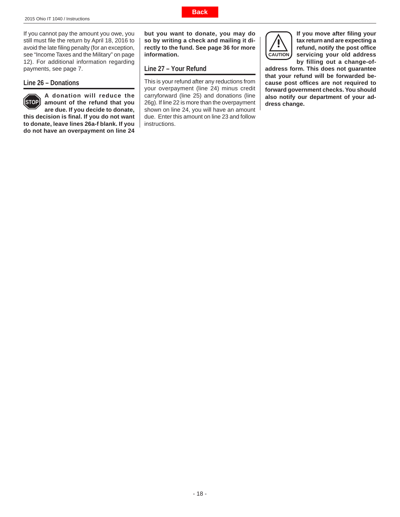<span id="page-17-0"></span>If you cannot pay the amount you owe, you still must file the return by April 18, 2016 to avoid the late filing penalty (for an exception, see "Income Taxes and the Military" on page 12). For additional information regarding payments, see page 7.

#### **Line 26 – Donations**



**A donation will reduce the amount of the refund that you are due. If you decide to donate,** 

**this decision is fi nal. If you do not want to donate, leave lines 26a-f blank. If you do not have an overpayment on line 24** 

**but you want to donate, you may do so by writing a check and mailing it directly to the fund. See page 36 for more information.** 

**Back**

#### **Line 27 – Your Refund**

This is your refund after any reductions from your overpayment (line 24) minus credit carryforward (line 25) and donations (line 26g). If line 22 is more than the overpayment shown on line 24, you will have an amount due. Enter this amount on line 23 and follow instructions.



**If you move after fi ling your tax return and are expecting a refund, notify the post offi ce servicing your old address by filling out a change-of-**

**address form. This does not guarantee that your refund will be forwarded because post offi ces are not required to forward government checks. You should also notify our department of your address change.**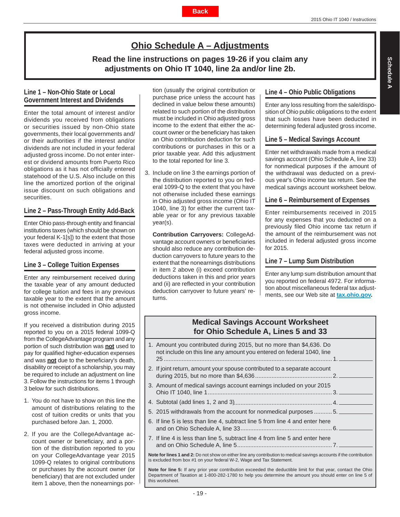# **Ohio Schedule A – Adjustments**

**Read the line instructions on pages 19-26 if you claim any adjustments on Ohio IT 1040, line 2a and/or line 2b.**

# <span id="page-18-0"></span>**Line 1 – Non-Ohio State or Local Government Interest and Dividends**

Enter the total amount of interest and/or dividends you received from obligations or securities issued by non-Ohio state governments, their local governments and/ or their authorities if the interest and/or dividends are not included in your federal adjusted gross income. Do not enter interest or dividend amounts from Puerto Rico obligations as it has not officially entered statehood of the U.S. Also include on this line the amortized portion of the original issue discount on such obligations and securities.

# **Line 2 – Pass-Through Entity Add-Back**

Enter Ohio pass-through entity and financial institutions taxes (which should be shown on your federal K-1[s]) to the extent that those taxes were deducted in arriving at your federal adjusted gross income.

**Line 3 – College Tuition Expenses**

Enter any reimbursement received during the taxable year of any amount deducted for college tuition and fees in any previous taxable year to the extent that the amount is not otherwise included in Ohio adjusted gross income.

If you received a distribution during 2015 reported to you on a 2015 federal 1099-Q from the CollegeAdvantage program and any portion of such distribution was **not** used to pay for qualified higher-education expenses and was **not** due to the beneficiary's death. disability or receipt of a scholarship, you may be required to include an adjustment on line 3. Follow the instructions for items 1 through 3 below for such distributions.

- 1. You do not have to show on this line the amount of distributions relating to the cost of tuition credits or units that you purchased before Jan. 1, 2000.
- 2. If you are the CollegeAdvantage account owner or beneficiary, and a portion of the distribution reported to you on your CollegeAdvantage year 2015 1099-Q relates to original contributions or purchases by the account owner (or beneficiary) that are not excluded under item 1 above, then the nonearnings por-

tion (usually the original contribution or purchase price unless the account has declined in value below these amounts) related to such portion of the distribution must be included in Ohio adjusted gross income to the extent that either the account owner or the beneficiary has taken an Ohio contribution deduction for such contributions or purchases in this or a prior taxable year. Add this adjustment to the total reported for line 3.

3. Include on line 3 the earnings portion of the distribution reported to you on federal 1099-Q to the extent that you have not otherwise included these earnings in Ohio adjusted gross income (Ohio IT 1040, line 3) for either the current taxable year or for any previous taxable year(s).

 **Contribution Carryovers:** CollegeAdvantage account owners or beneficiaries should also reduce any contribution deduction carryovers to future years to the extent that the nonearnings distributions in item 2 above (i) exceed contribution deductions taken in this and prior years and (ii) are reflected in your contribution deduction carryover to future years' returns.

# **Line 4 – Ohio Public Obligations**

Enter any loss resulting from the sale/disposition of Ohio public obligations to the extent that such losses have been deducted in determining federal adjusted gross income.

# **Line 5 – Medical Savings Account**

Enter net withdrawals made from a medical savings account (Ohio Schedule A, line 33) for nonmedical purposes if the amount of the withdrawal was deducted on a previous year's Ohio income tax return. See the medical savings account worksheet below.

# **Line 6 – Reimbursement of Expenses**

Enter reimbursements received in 2015 for any expenses that you deducted on a previously filed Ohio income tax return if the amount of the reimbursement was not included in federal adjusted gross income for 2015.

# **Line 7 – Lump Sum Distribution**

Enter any lump sum distribution amount that you reported on federal 4972. For information about miscellaneous federal tax adjustments, see our Web site at **[tax.ohio.gov.](http://tax.ohio.gov/)**

# **Medical Savings Account Worksheet for Ohio Schedule A, Lines 5 and 33**

| 1. Amount you contributed during 2015, but no more than \$4,636. Do<br>not include on this line any amount you entered on federal 1040, line                                                |                 |
|---------------------------------------------------------------------------------------------------------------------------------------------------------------------------------------------|-----------------|
| 2. If joint return, amount your spouse contributed to a separate account                                                                                                                    |                 |
| 3. Amount of medical savings account earnings included on your 2015                                                                                                                         |                 |
|                                                                                                                                                                                             |                 |
| 5. 2015 withdrawals from the account for nonmedical purposes  5.                                                                                                                            | <b>Contract</b> |
| 6. If line 5 is less than line 4, subtract line 5 from line 4 and enter here                                                                                                                |                 |
| 7. If line 4 is less than line 5, subtract line 4 from line 5 and enter here                                                                                                                |                 |
| Note for lines 1 and 2: Do not show on either line any contribution to medical savings accounts if the contribution<br>is excluded from box #1 on your federal W-2, Wage and Tax Statement. |                 |
| $\mathbf{M}$ , and a second contract the contract of the contract of the second property and a second contract $\mathbf{A}$ . $\mathbf{A}$                                                  |                 |

**Note for line 5:** If any prior year contribution exceeded the deductible limit for that year, contact the Ohio Department of Taxation at 1-800-282-1780 to help you determine the amount you should enter on line 5 of this worksheet.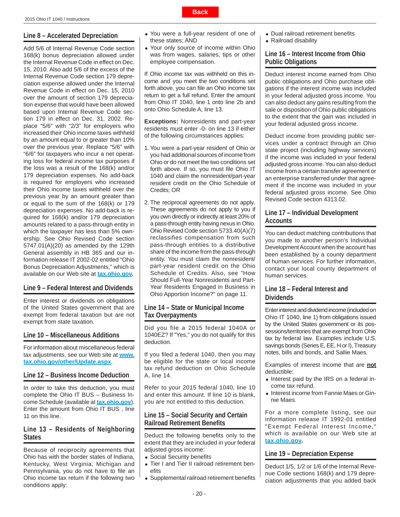# <span id="page-19-0"></span>**Line 8 – Accelerated Depreciation**

Add 5/6 of Internal Revenue Code section 168(k) bonus depreciation allowed under the Internal Revenue Code in effect on Dec. 15, 2010. Also add 5/6 of the excess of the Internal Revenue Code section 179 depreciation expense allowed under the Internal Revenue Code in effect on Dec. 15, 2010 over the amount of section 179 depreciation expense that would have been allowed based upon Internal Revenue Code section 179 in effect on Dec. 31, 2002. Replace "5/6" with "2/3" for employers who increased their Ohio income taxes withheld by an amount equal to or greater than 10% over the previous year. Replace "5/6" with "6/6" for taxpayers who incur a net operating loss for federal income tax purposes if the loss was a result of the 168(k) and/or 179 depreciation expenses. No add-back is required for employers who increased their Ohio income taxes withheld over the previous year by an amount greater than or equal to the sum of the 168(k) or 179 depreciation expenses. No add-back is required for 168(k) and/or 179 depreciation amounts related to a pass-through entity in which the taxpayer has less than 5% ownership. See Ohio Revised Code section 5747.01(A)(20) as amended by the 129th General assembly in HB 365 and our information release IT 2002-02 entitled "Ohio Bonus Depreciation Adjustments," which is available on our Web site at **[tax.ohio.gov.](http://tax.ohio.gov/)**

# **Line 9 – Federal Interest and Dividends**

Enter interest or dividends on obligations of the United States government that are exempt from federal taxation but are not exempt from state taxation.

# **Line 10 – Miscellaneous Additions**

For information about miscellaneous federal tax adjustments, see our Web site at **[www.](http://tax.ohio.gov/other/Update.aspx) [tax.ohio.gov/other/Update.aspx](http://tax.ohio.gov/other/Update.aspx)**.

# **Line 12 – Business Income Deduction**

In order to take this deduction, you must complete the Ohio IT BUS – Business Income Schedule (available at **[tax.ohio.gov](http://tax.ohio.gov/)**). Enter the amount from Ohio IT BUS , line 11 on this line.

#### **Line 13 – Residents of Neighboring States**

Because of reciprocity agreements that Ohio has with the border states of Indiana, Kentucky, West Virginia, Michigan and Pennsylvania, you do not have to file an Ohio income tax return if the following two conditions apply:

- You were a full-year resident of one of these states; AND
- Your only source of income within Ohio was from wages, salaries, tips or other employee compensation.

If Ohio income tax was withheld on this income and you meet the two conditions set forth above, you can file an Ohio income tax return to get a full refund. Enter the amount from Ohio IT 1040, line 1 onto line 2b and onto Ohio Schedule A, line 13.

**Exceptions:** Nonresidents and part-year residents must enter -0- on line 13 if either of the following circumstances applies:

- 1. You were a part-year resident of Ohio or you had additional sources of income from Ohio or do not meet the two conditions set forth above. If so, you must file Ohio IT 1040 and claim the nonresident/part-year resident credit on the Ohio Schedule of Credits; OR
- 2. The reciprocal agreements do not apply. These agreements do not apply to you if you own directly or indirectly at least 20% of a pass-through entity having nexus in Ohio. Ohio Revised Code section 5733.40(A)(7) reclassifies compensation from such pass-through entities to a distributive share of the income from the pass-through entity. You must claim the nonresident/ part-year resident credit on the Ohio Schedule of Credits. Also, see "How Should Full-Year Nonresidents and Part-Year Residents Engaged in Business in Ohio Apportion Income?" on page 11.

### **Line 14 – State or Municipal Income Tax Overpayments**

Did you file a 2015 federal 1040A or 1040EZ? If "Yes," you do not qualify for this deduction.

If you filed a federal 1040, then you may be eligible for the state or local income tax refund deduction on Ohio Schedule A, line 14.

Refer to your 2015 federal 1040, line 10 and enter this amount. If line 10 is blank, you are not entitled to this deduction.

# **Line 15 – Social Security and Certain Railroad Retirement Benefi ts**

Deduct the following benefits only to the extent that they are included in your federal adjusted gross income:

- Social Security benefits
- Tier I and Tier II railroad retirement ben $eff<sub>S</sub>$
- Supplemental railroad retirement benefits
- Dual railroad retirement benefits
- Railroad disability

### **Line 16 – Interest Income from Ohio Public Obligations**

Deduct interest income earned from Ohio public obligations and Ohio purchase obligations if the interest income was included in your federal adjusted gross income. You can also deduct any gains resulting from the sale or disposition of Ohio public obligations to the extent that the gain was included in your federal adjusted gross income.

Deduct income from providing public services under a contract through an Ohio state project (including highway services) if the income was included in your federal adjusted gross income. You can also deduct income from a certain transfer agreement or an enterprise transferred under that agreement if the income was included in your federal adjusted gross income. See Ohio Revised Code section 4313.02.

# **Line 17 – Individual Development Accounts**

You can deduct matching contributions that you made to another person's Individual Development Account when the account has been established by a county department of human services. For further information, contact your local county department of human services.

# **Line 18 – Federal Interest and Dividends**

Enter interest and dividend income (included on Ohio IT 1040, line 1) from obligations issued by the United States government or its possessions/territories that are exempt from Ohio tax by federal law. Examples include U.S. savings bonds (Series E, EE, H or I), Treasury notes, bills and bonds, and Sallie Maes.

Examples of interest income that are **not** deductible:

- Interest paid by the IRS on a federal income tax refund.
- Interest income from Fannie Maes or Ginnie Maes.

For a more complete listing, see our information release IT 1992-01 entitled "Exempt Federal Interest Income," which is available on our Web site at **[tax.ohio.gov.](http://tax.ohio.gov/)**

# **Line 19 – Depreciation Expense**

Deduct 1/5, 1/2 or 1/6 of the Internal Revenue Code sections 168(k) and 179 depreciation adjustments that you added back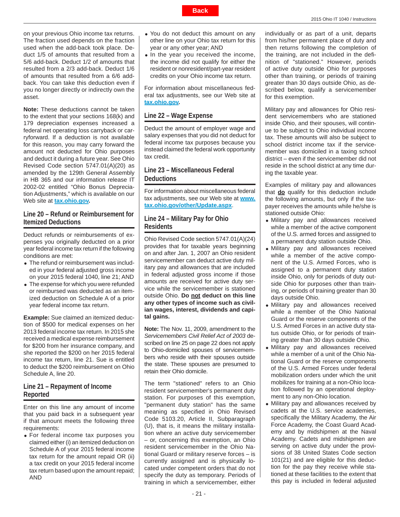<span id="page-20-0"></span>on your previous Ohio income tax returns. The fraction used depends on the fraction used when the add-back took place. Deduct 1/5 of amounts that resulted from a 5/6 add-back. Deduct 1/2 of amounts that resulted from a 2/3 add-back. Deduct 1/6 of amounts that resulted from a 6/6 addback. You can take this deduction even if you no longer directly or indirectly own the asset.

**Note:** These deductions cannot be taken to the extent that your sections 168(k) and 179 depreciation expenses increased a federal net operating loss carryback or carryforward. If a deduction is not available for this reason, you may carry forward the amount not deducted for Ohio purposes and deduct it during a future year. See Ohio Revised Code section 5747.01(A)(20) as amended by the 129th General Assembly in HB 365 and our information release IT 2002-02 entitled "Ohio Bonus Depreciation Adjustments," which is available on our Web site at **[tax.ohio.gov.](http://tax.ohio.gov/)**

### **Line 20 – Refund or Reimbursement for Itemized Deductions**

Deduct refunds or reimbursements of expenses you originally deducted on a prior year federal income tax return if the following conditions are met:

- The refund or reimbursement was included in your federal adjusted gross income on your 2015 federal 1040, line 21; AND
- The expense for which you were refunded or reimbursed was deducted as an itemized deduction on Schedule A of a prior year federal income tax return.

**Example:** Sue claimed an itemized deduction of \$500 for medical expenses on her 2013 federal income tax return. In 2015 she received a medical expense reimbursement for \$200 from her insurance company, and she reported the \$200 on her 2015 federal income tax return, line 21. Sue is entitled to deduct the \$200 reimbursement on Ohio Schedule A, line 20.

# **Line 21 – Repayment of Income Reported**

Enter on this line any amount of income that you paid back in a subsequent year if that amount meets the following three requirements:

 For federal income tax purposes you claimed either (i) an itemized deduction on Schedule A of your 2015 federal income tax return for the amount repaid OR (ii) a tax credit on your 2015 federal income tax return based upon the amount repaid; AND

- You do not deduct this amount on any other line on your Ohio tax return for this year or any other year; AND
- In the year you received the income, the income did not qualify for either the resident or nonresident/part-year resident credits on your Ohio income tax return.

For information about miscellaneous federal tax adjustments, see our Web site at **[tax.ohio.gov.](http://tax.ohio.gov/)**

### **Line 22 – Wage Expense**

Deduct the amount of employer wage and salary expenses that you did not deduct for federal income tax purposes because you instead claimed the federal work opportunity tax credit.

# **Line 23 – Miscellaneous Federal Deductions**

For information about miscellaneous federal tax adjustments, see our Web site at **[www.](http://tax.ohio.gov/other/Update.aspx) [tax.ohio.gov/other/Update.aspx](http://tax.ohio.gov/other/Update.aspx)**.

### **Line 24 – Military Pay for Ohio Residents**

Ohio Revised Code section 5747.01(A)(24) provides that for taxable years beginning on and after Jan. 1, 2007 an Ohio resident servicemember can deduct active duty military pay and allowances that are included in federal adjusted gross income if those amounts are received for active duty service while the servicemember is stationed outside Ohio. **Do not deduct on this line any other types of income such as civilian wages, interest, dividends and capital gains.**

**Note:** The Nov. 11, 2009, amendment to the *Servicemembers Civil Relief Act of 2003* described on line 25 on page 22 does not apply to Ohio-domiciled spouses of servicemembers who reside with their spouses outside the state. These spouses are presumed to retain their Ohio domicile.

The term "stationed" refers to an Ohio resident servicemember's permanent duty station. For purposes of this exemption, "permanent duty station" has the same meaning as specified in Ohio Revised Code 5103.20, Article II, Subparagraph (U), that is, it means the military installation where an active duty servicemember – or, concerning this exemption, an Ohio resident servicemember in the Ohio National Guard or military reserve forces – is currently assigned and is physically located under competent orders that do not specify the duty as temporary. Periods of training in which a servicemember, either

individually or as part of a unit, departs from his/her permanent place of duty and then returns following the completion of the training, are not included in the definition of "stationed." However, periods of active duty outside Ohio for purposes other than training, or periods of training greater than 30 days outside Ohio, as described below, qualify a servicemember for this exemption.

Military pay and allowances for Ohio resident servicemembers who are stationed inside Ohio, and their spouses, will continue to be subject to Ohio individual income tax. These amounts will also be subject to school district income tax if the servicemember was domiciled in a taxing school district – even if the servicemember did not reside in the school district at any time during the taxable year.

Examples of military pay and allowances that **do** qualify for this deduction include the following amounts, but only if the taxpayer receives the amounts while he/she is stationed outside Ohio:

- Military pay and allowances received while a member of the active component of the U.S. armed forces and assigned to a permanent duty station outside Ohio.
- Military pay and allowances received while a member of the active component of the U.S. Armed Forces, who is assigned to a permanent duty station inside Ohio, only for periods of duty outside Ohio for purposes other than training, or periods of training greater than 30 days outside Ohio.
- Military pay and allowances received while a member of the Ohio National Guard or the reserve components of the U.S. Armed Forces in an active duty status outside Ohio, or for periods of training greater than 30 days outside Ohio.
- Military pay and allowances received while a member of a unit of the Ohio National Guard or the reserve components of the U.S. Armed Forces under federal mobilization orders under which the unit mobilizes for training at a non-Ohio location followed by an operational deployment to any non-Ohio location.
- Military pay and allowances received by cadets at the U.S. service academies, specifically the Military Academy, the Air Force Academy, the Coast Guard Academy and by midshipmen at the Naval Academy. Cadets and midshipmen are serving on active duty under the provisions of 38 United States Code section 101(21) and are eligible for this deduction for the pay they receive while stationed at these facilities to the extent that this pay is included in federal adjusted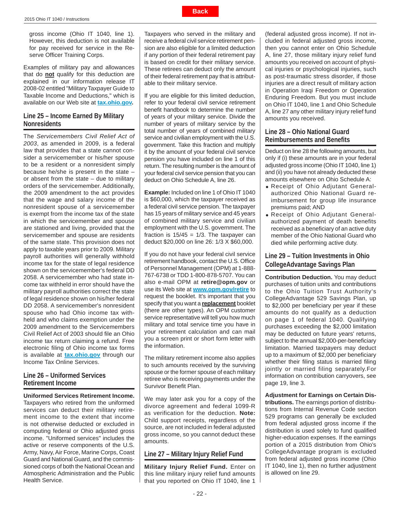<span id="page-21-0"></span>gross income (Ohio IT 1040, line 1). However, this deduction is not available for pay received for service in the Reserve Officer Training Corps.

Examples of military pay and allowances that do **not** qualify for this deduction are explained in our information release IT 2008-02 entitled "Military Taxpayer Guide to Taxable Income and Deductions," which is available on our Web site at **[tax.ohio.gov.](http://tax.ohio.gov/)**

### **Line 25 – Income Earned By Military Nonresidents**

The *Servicemembers Civil Relief Act of 2003*, as amended in 2009, is a federal law that provides that a state cannot consider a servicemember or his/her spouse to be a resident or a nonresident simply because he/she is present in the state – or absent from the state – due to military orders of the servicemember. Additionally, the 2009 amendment to the act provides that the wage and salary income of the nonresident spouse of a servicemember is exempt from the income tax of the state in which the servicemember and spouse are stationed and living, provided that the servicemember and spouse are residents of the same state. This provision does not apply to taxable years prior to 2009. Military payroll authorities will generally withhold income tax for the state of legal residence shown on the servicemember's federal DD 2058. A servicemember who had state income tax withheld in error should have the military payroll authorities correct the state of legal residence shown on his/her federal DD 2058. A servicemember's nonresident spouse who had Ohio income tax withheld and who claims exemption under the 2009 amendment to the Servicemembers Civil Relief Act of 2003 should file an Ohio income tax return claiming a refund. Free electronic filing of Ohio income tax forms is available at **[tax.ohio.gov](http://tax.ohio.gov/)** through our Income Tax Online Services.

### **Line 26 – Uniformed Services Retirement Income**

**Uniformed Services Retirement Income.** Taxpayers who retired from the uniformed services can deduct their military retirement income to the extent that income is not otherwise deducted or excluded in computing federal or Ohio adjusted gross income. "Uniformed services" includes the active or reserve components of the U.S. Army, Navy, Air Force, Marine Corps, Coast Guard and National Guard, and the commissioned corps of both the National Ocean and Atmospheric Administration and the Public Health Service.

Taxpayers who served in the military and receive a federal civil service retirement pension are also eligible for a limited deduction if any portion of their federal retirement pay is based on credit for their military service. These retirees can deduct only the amount of their federal retirement pay that is attributable to their military service.

If you are eligible for this limited deduction, refer to your federal civil service retirement benefit handbook to determine the number of years of your military service. Divide the number of years of military service by the total number of years of combined military service and civilian employment with the U.S. government. Take this fraction and multiply it by the amount of your federal civil service pension you have included on line 1 of this return. The resulting number is the amount of your federal civil service pension that you can deduct on Ohio Schedule A, line 26.

**Example:** Included on line 1 of Ohio IT 1040 is \$60,000, which the taxpayer received as a federal civil service pension. The taxpayer has 15 years of military service and 45 years of combined military service and civilian employment with the U.S. government. The fraction is  $15/45 = 1/3$ . The taxpayer can deduct \$20,000 on line 26: 1/3 X \$60,000.

If you do not have your federal civil service retirement handbook, contact the U.S. Office of Personnel Management (OPM) at 1-888- 767-6738 or TDD 1-800-878-5707. You can also e-mail OPM at **retire@opm.gov** or use its Web site at **www.opm.gov/retire** to request the booklet. It's important that you specify that you want a **replacement** booklet (there are other types). An OPM customer service representative will tell you how much military and total service time you have in your retirement calculation and can mail you a screen print or short form letter with the information.

The military retirement income also applies to such amounts received by the surviving spouse or the former spouse of each military retiree who is receiving payments under the Survivor Benefit Plan.

We may later ask you for a copy of the divorce agreement and federal 1099-R as verification for the deduction. **Note:** Child support receipts, regardless of the source, are not included in federal adjusted gross income, so you cannot deduct these amounts.

# **Line 27 – Military Injury Relief Fund**

**Military Injury Relief Fund.** Enter on this line military injury relief fund amounts that you reported on Ohio IT 1040, line 1

(federal adjusted gross income). If not included in federal adjusted gross income, then you cannot enter on Ohio Schedule A, line 27, those military injury relief fund amounts you received on account of physical injuries or psychological injuries, such as post-traumatic stress disorder, if those injuries are a direct result of military action in Operation Iraqi Freedom or Operation Enduring Freedom. But you must include on Ohio IT 1040, line 1 and Ohio Schedule A, line 27 any other military injury relief fund amounts you received.

# **Line 28 – Ohio National Guard Reimbursements and Benefi ts**

Deduct on line 28 the following amounts, but only if (i) these amounts are in your federal adjusted gross income (Ohio IT 1040, line 1) and (ii) you have not already deducted these amounts elsewhere on Ohio Schedule A:

- Receipt of Ohio Adjutant Generalauthorized Ohio National Guard reimbursement for group life insurance premiums paid; AND
- Receipt of Ohio Adjutant Generalauthorized payment of death benefits received as a beneficiary of an active duty member of the Ohio National Guard who died while performing active duty.

# **Line 29 – Tuition Investments in Ohio CollegeAdvantage Savings Plan**

**Contribution Deduction.** You may deduct purchases of tuition units and contributions to the Ohio Tuition Trust Authority's CollegeAdvantage 529 Savings Plan, up to \$2,000 per beneficiary per year if these amounts do not qualify as a deduction on page 1 of federal 1040. Qualifying purchases exceeding the \$2,000 limitation may be deducted on future years' returns, subject to the annual \$2,000-per-beneficiary limitation. Married taxpayers may deduct up to a maximum of \$2,000 per beneficiary whether their filing status is married filing jointly or married filing separately.For information on contribution carryovers, see page 19, line 3.

**Adjustment for Earnings on Certain Distributions.** The earnings portion of distributions from Internal Revenue Code section 529 programs can generally be excluded from federal adjusted gross income if the distribution is used solely to fund qualified higher-education expenses. If the earnings portion of a 2015 distribution from Ohio's CollegeAdvantage program is excluded from federal adjusted gross income (Ohio IT 1040, line 1), then no further adjustment is allowed on line 29.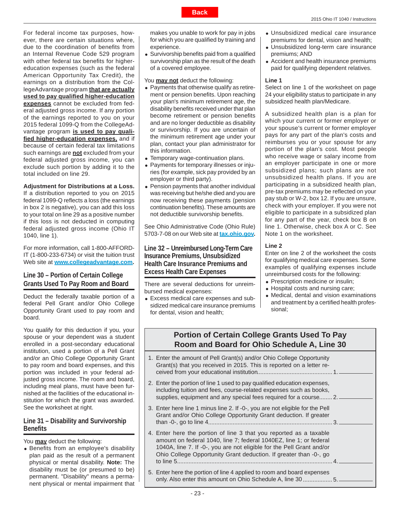<span id="page-22-0"></span>For federal income tax purposes, however, there are certain situations where, due to the coordination of benefits from an Internal Revenue Code 529 program with other federal tax benefits for highereducation expenses (such as the federal American Opportunity Tax Credit), the earnings on a distribution from the CollegeAdvantage program **that are actually used to pay qualified higher-education expenses** cannot be excluded from federal adjusted gross income. If any portion of the earnings reported to you on your 2015 federal 1099-Q from the CollegeAdvantage program **is used to pay quali**fied higher-education expenses, and if because of certain federal tax limitations such earnings are **not** excluded from your federal adjusted gross income, you can exclude such portion by adding it to the total included on line 29.

**Adjustment for Distributions at a Loss.**  If a distribution reported to you on 2015 federal 1099-Q reflects a loss (the earnings in box 2 is negative), you can add this loss to your total on line 29 as a positive number if this loss is not deducted in computing federal adjusted gross income (Ohio IT 1040, line 1).

For more information, call 1-800-AFFORD-IT (1-800-233-6734) or visit the tuition trust Web site at **[www.collegeadvantage.com.](http://collegeadvantage.com)**

# **Line 30 – Portion of Certain College Grants Used To Pay Room and Board**

Deduct the federally taxable portion of a federal Pell Grant and/or Ohio College Opportunity Grant used to pay room and board.

You qualify for this deduction if you, your spouse or your dependent was a student enrolled in a post-secondary educational institution, used a portion of a Pell Grant and/or an Ohio College Opportunity Grant to pay room and board expenses, and this portion was included in your federal adjusted gross income. The room and board, including meal plans, must have been furnished at the facilities of the educational institution for which the grant was awarded. See the worksheet at right.

#### **Line 31 – Disability and Survivorship Benefi ts**

#### You **may** deduct the following:

• Benefits from an employee's disability plan paid as the result of a permanent physical or mental disability. **Note:** The disability must be (or presumed to be) permanent. "Disability" means a permanent physical or mental impairment that

makes you unable to work for pay in jobs for which you are qualified by training and experience.

**Back**

• Survivorship benefits paid from a qualified survivorship plan as the result of the death of a covered employee.

You **may not** deduct the following:

- Payments that otherwise qualify as retirement or pension benefits. Upon reaching your plan's minimum retirement age, the disability benefits received under that plan become retirement or pension benefits and are no longer deductible as disability or survivorship. If you are uncertain of the minimum retirement age under your plan, contact your plan administrator for this information.
- Temporary wage-continuation plans.
- Payments for temporary illnesses or injuries (for example, sick pay provided by an employer or third party).
- Pension payments that another individual was receiving but he/she died and you are now receiving these payments (pension continuation benefits). These amounts are not deductible survivorship benefits.

See Ohio Administrative Code (Ohio Rule) 5703-7-08 on our Web site at **[tax.ohio.gov.](http://tax.ohio.gov/)**

**Line 32 – Unreimbursed Long-Term Care Insurance Premiums, Unsubsidized Health Care Insurance Premiums and Excess Health Care Expenses**

There are several deductions for unreimbursed medical expenses:

 Excess medical care expenses and subsidized medical care insurance premiums for dental, vision and health;

- Unsubsidized medical care insurance premiums for dental, vision and health;
- Unsubsidized long-term care insurance premiums; AND
- Accident and health insurance premiums paid for qualifying dependent relatives.

#### **Line 1**

Select on line 1 of the worksheet on page 24 your eligibility status to participate in any subsidized health plan/Medicare.

A subsidized health plan is a plan for which your current or former employer or your spouse's current or former employer pays for any part of the plan's costs and reimburses you or your spouse for any portion of the plan's cost. Most people who receive wage or salary income from an employer participate in one or more subsidized plans; such plans are not unsubsidized health plans. If you are participating in a subsidized health plan, pre-tax premiums may be reflected on your pay stub or W-2, box 12. If you are unsure, check with your employer. If you were not eligible to participate in a subsidized plan for any part of the year, check box B on line 1. Otherwise, check box A or C. See Note 1 on the worksheet.

#### **Line 2**

Enter on line 2 of the worksheet the costs for qualifying medical care expenses. Some examples of qualifying expenses include unreimbursed costs for the following:

- Prescription medicine or insulin;
- Hospital costs and nursing care;
- Medical, dental and vision examinations and treatment by a certified health professional;

# **Portion of Certain College Grants Used To Pay Room and Board for Ohio Schedule A, Line 30**

| 1. Enter the amount of Pell Grant(s) and/or Ohio College Opportunity<br>Grant(s) that you received in 2015. This is reported on a letter re-                                                                                                                                           |  |
|----------------------------------------------------------------------------------------------------------------------------------------------------------------------------------------------------------------------------------------------------------------------------------------|--|
| 2. Enter the portion of line 1 used to pay qualified education expenses,<br>including tuition and fees, course-related expenses such as books,<br>supplies, equipment and any special fees required for a course 2.                                                                    |  |
| 3. Enter here line 1 minus line 2. If -0-, you are not eligible for the Pell<br>Grant and/or Ohio College Opportunity Grant deduction. If greater                                                                                                                                      |  |
| 4. Enter here the portion of line 3 that you reported as a taxable<br>amount on federal 1040, line 7; federal 1040EZ, line 1; or federal<br>1040A, line 7. If -0-, you are not eligible for the Pell Grant and/or<br>Ohio College Opportunity Grant deduction. If greater than -0-, go |  |
| 5. Enter here the portion of line 4 applied to room and board expenses<br>only. Also enter this amount on Ohio Schedule A, line 30  5.                                                                                                                                                 |  |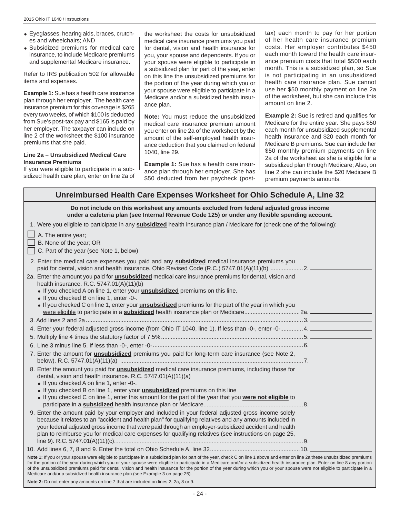- Eyeglasses, hearing aids, braces, crutches and wheelchairs; AND
- Subsidized premiums for medical care insurance, to include Medicare premiums and supplemental Medicare insurance.

Refer to IRS publication 502 for allowable items and expenses.

**Example 1:** Sue has a health care insurance plan through her employer. The health care insurance premium for this coverage is \$265 every two weeks, of which \$100 is deducted from Sue's post-tax pay and \$165 is paid by her employer. The taxpayer can include on line 2 of the worksheet the \$100 insurance premiums that she paid.

#### **Line 2a – Unsubsidized Medical Care Insurance Premiums**

If you were eligible to participate in a subsidized health care plan, enter on line 2a of

the worksheet the costs for unsubsidized medical care insurance premiums you paid for dental, vision and health insurance for you, your spouse and dependents. If you or your spouse were eligible to participate in a subsidized plan for part of the year, enter on this line the unsubsidized premiums for the portion of the year during which you or your spouse were eligible to participate in a Medicare and/or a subsidized health insurance plan.

**Note:** You must reduce the unsubsidized medical care insurance premium amount you enter on line 2a of the worksheet by the amount of the self-employed health insurance deduction that you claimed on federal 1040, line 29.

**Example 1:** Sue has a health care insurance plan through her employer. She has \$50 deducted from her paycheck (posttax) each month to pay for her portion of her health care insurance premium costs. Her employer contributes \$450 each month toward the health care insurance premium costs that total \$500 each month. This is a subsidized plan, so Sue is not participating in an unsubsidized health care insurance plan. Sue cannot use her \$50 monthly payment on line 2a of the worksheet, but she can include this amount on line 2.

**Example 2:** Sue is retired and qualifies for Medicare for the entire year. She pays \$50 each month for unsubsidized supplemental health insurance and \$20 each month for Medicare B premiums. Sue can include her \$50 monthly premium payments on line 2a of the worksheet as she is eligible for a subsidized plan through Medicare; Also, on line 2 she can include the \$20 Medicare B premium payments amounts.

| Unreimbursed Health Care Expenses Worksheet for Ohio Schedule A, Line 32                                                                                                                                                                                                                                                                                                                                                                                                                                                                       |
|------------------------------------------------------------------------------------------------------------------------------------------------------------------------------------------------------------------------------------------------------------------------------------------------------------------------------------------------------------------------------------------------------------------------------------------------------------------------------------------------------------------------------------------------|
| Do not include on this worksheet any amounts excluded from federal adjusted gross income<br>under a cafeteria plan (see Internal Revenue Code 125) or under any flexible spending account.                                                                                                                                                                                                                                                                                                                                                     |
| 1. Were you eligible to participate in any <b>subsidized</b> health insurance plan / Medicare for (check one of the following):                                                                                                                                                                                                                                                                                                                                                                                                                |
| A. The entire year;<br>B. None of the year; OR<br>C. Part of the year (see Note 1, below)                                                                                                                                                                                                                                                                                                                                                                                                                                                      |
| 2. Enter the medical care expenses you paid and any <b>subsidized</b> medical insurance premiums you<br>paid for dental, vision and health insurance. Ohio Revised Code (R.C.) 5747.01(A)(11)(b) 2.                                                                                                                                                                                                                                                                                                                                            |
| 2a. Enter the amount you paid for <i>unsubsidized</i> medical care insurance premiums for dental, vision and<br>health insurance. R.C. 5747.01(A)(11)(b)<br>. If you checked A on line 1, enter your <i>unsubsidized</i> premiums on this line.<br>• If you checked B on line 1, enter -0-.                                                                                                                                                                                                                                                    |
| . If you checked C on line 1, enter your <i>unsubsidized</i> premiums for the part of the year in which you                                                                                                                                                                                                                                                                                                                                                                                                                                    |
|                                                                                                                                                                                                                                                                                                                                                                                                                                                                                                                                                |
| 4. Enter your federal adjusted gross income (from Ohio IT 1040, line 1). If less than -0-, enter -0-4.                                                                                                                                                                                                                                                                                                                                                                                                                                         |
|                                                                                                                                                                                                                                                                                                                                                                                                                                                                                                                                                |
|                                                                                                                                                                                                                                                                                                                                                                                                                                                                                                                                                |
| 7. Enter the amount for <b>unsubsidized</b> premiums you paid for long-term care insurance (see Note 2,                                                                                                                                                                                                                                                                                                                                                                                                                                        |
| 8. Enter the amount you paid for <i>unsubsidized</i> medical care insurance premiums, including those for<br>dental, vision and health insurance. R.C. 5747.01(A)(11)(a)<br>• If you checked A on line 1, enter -0-.<br>. If you checked B on line 1, enter your <i>unsubsidized</i> premiums on this line<br>• If you checked C on line 1, enter this amount for the part of the year that you were not eligible to                                                                                                                           |
| 9. Enter the amount paid by your employer and included in your federal adjusted gross income solely<br>because it relates to an "accident and health plan" for qualifying relatives and any amounts included in<br>your federal adjusted gross income that were paid through an employer-subsidized accident and health<br>plan to reimburse you for medical care expenses for qualifying relatives (see instructions on page 25,                                                                                                              |
|                                                                                                                                                                                                                                                                                                                                                                                                                                                                                                                                                |
| Note 1: If you or your spouse were eligible to participate in a subsidized plan for part of the year, check C on line 1 above and enter on line 2a these unsubsidized premiums<br>for the portion of the year during which you or your spouse were eligible to participate in a Medicare and/or a subsidized health insurance plan. Enter on line 8 any portion<br>of the unsubsidized premiums paid for dental, vision and health insurance for the portion of the year during which you or your spouse were not eligible to participate in a |

Medicare and/or a subsidized health insurance plan (see Example 3 on page 25). **Note 2:** Do not enter any amounts on line 7 that are included on lines 2, 2a, 8 or 9.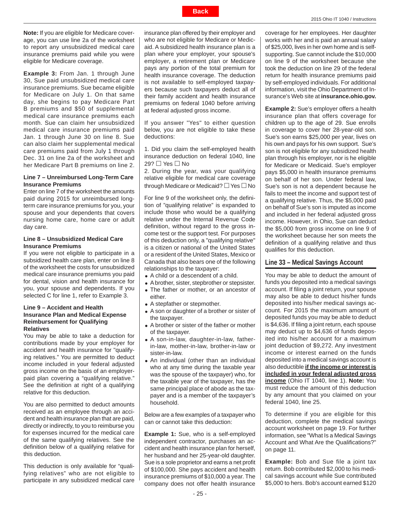<span id="page-24-0"></span>**Note:** If you are eligible for Medicare coverage, you can use line 2a of the worksheet to report any unsubsidized medical care insurance premiums paid while you were eligible for Medicare coverage.

**Example 3:** From Jan. 1 through June 30, Sue paid unsubsidized medical care insurance premiums. Sue became eligible for Medicare on July 1. On that same day, she begins to pay Medicare Part B premiums and \$50 of supplemental medical care insurance premiums each month. Sue can claim her unsubsidized medical care insurance premiums paid Jan. 1 through June 30 on line 8. Sue can also claim her supplemental medical care premiums paid from July 1 through Dec. 31 on line 2a of the worksheet and her Medicare Part B premiums on line 2.

#### **Line 7 – Unreimbursed Long-Term Care Insurance Premiums**

Enter on line 7 of the worksheet the amounts paid during 2015 for unreimbursed longterm care insurance premiums for you, your spouse and your dependents that covers nursing home care, home care or adult day care.

#### **Line 8 – Unsubsidized Medical Care Insurance Premiums**

If you were not eligible to participate in a subsidized health care plan, enter on line 8 of the worksheet the costs for unsubsidized medical care insurance premiums you paid for dental, vision and health insurance for you, your spouse and dependents. If you selected C for line 1, refer to Example 3.

#### **Line 9 – Accident and Health Insurance Plan and Medical Expense Reimbursement for Qualifying Relatives**

You may be able to take a deduction for contributions made by your employer for accident and health insurance for "qualifying relatives." You are permitted to deduct income included in your federal adjusted gross income on the basis of an employerpaid plan covering a "qualifying relative." See the definition at right of a qualifying relative for this deduction.

You are also permitted to deduct amounts received as an employee through an accident and health insurance plan that are paid, directly or indirectly, to you to reimburse you for expenses incurred for the medical care of the same qualifying relatives. See the definition below of a qualifying relative for this deduction.

This deduction is only available for "qualifying relatives" who are not eligible to participate in any subsidized medical care insurance plan offered by their employer and who are not eligible for Medicare or Medicaid. A subsidized health insurance plan is a plan where your employer, your spouse's employer, a retirement plan or Medicare pays any portion of the total premium for health insurance coverage. The deduction is not available to self-employed taxpayers because such taxpayers deduct all of their family accident and health insurance premiums on federal 1040 before arriving at federal adjusted gross income.

If you answer "Yes" to either question below, you are not eligible to take these deductions:

1. Did you claim the self-employed health insurance deduction on federal 1040, line 29?  $\Box$  Yes  $\Box$  No

2. During the year, was your qualifying relative eligible for medical care coverage through Medicare or Medicaid?  $\Box$  Yes  $\Box$  No

For line 9 of the worksheet only, the definition of "qualifying relative" is expanded to include those who would be a qualifying relative under the Internal Revenue Code definition, without regard to the gross income test or the support test. For purposes of this deduction only, a "qualifying relative" is a citizen or national of the United States or a resident of the United States, Mexico or Canada that also bears one of the following relationships to the taxpayer:

- A child or a descendent of a child.
- A brother, sister, stepbrother or stepsister.
- The father or mother, or an ancestor of either.
- A stepfather or stepmother.
- A son or daughter of a brother or sister of the taxpayer.
- A brother or sister of the father or mother of the taxpayer.
- A son-in-law, daughter-in-law, fatherin-law, mother-in-law, brother-in-law or sister-in-law.
- An individual (other than an individual who at any time during the taxable year was the spouse of the taxpayer) who, for the taxable year of the taxpayer, has the same principal place of abode as the taxpayer and is a member of the taxpayer's household.

Below are a few examples of a taxpayer who can or cannot take this deduction:

**Example 1:** Sue, who is a self-employed independent contractor, purchases an accident and health insurance plan for herself, her husband and her 25-year-old daughter. Sue is a sole proprietor and earns a net profit of \$100,000. She pays accident and health insurance premiums of \$10,000 a year. The company does not offer health insurance

coverage for her employees. Her daughter works with her and is paid an annual salary of \$25,000, lives in her own home and is selfsupporting. Sue cannot include the \$10,000 on line 9 of the worksheet because she took the deduction on line 29 of the federal return for health insurance premiums paid by self-employed individuals. For additional information, visit the Ohio Department of Insurance's Web site at **insurance.ohio.gov.**

**Example 2:** Sue's employer offers a health insurance plan that offers coverage for children up to the age of 29. Sue enrolls in coverage to cover her 28-year-old son. Sue's son earns \$25,000 per year, lives on his own and pays for his own support. Sue's son is not eligible for any subsidized health plan through his employer, nor is he eligible for Medicare or Medicaid. Sue's employer pays \$5,000 in health insurance premiums on behalf of her son. Under federal law, Sue's son is not a dependent because he fails to meet the income and support test of a qualifying relative. Thus, the \$5,000 paid on behalf of Sue's son is imputed as income and included in her federal adjusted gross income. However, in Ohio, Sue can deduct the \$5,000 from gross income on line 9 of the worksheet because her son meets the definition of a qualifying relative and thus qualifies for this deduction.

### **Line 33 – Medical Savings Account**

You may be able to deduct the amount of funds you deposited into a medical savings account. If filing a joint return, your spouse may also be able to deduct his/her funds deposited into his/her medical savings account. For 2015 the maximum amount of deposited funds you may be able to deduct is \$4,636. If filing a joint return, each spouse may deduct up to \$4,636 of funds deposited into his/her account for a maximum joint deduction of \$9,272. Any investment income or interest earned on the funds deposited into a medical savings account is also deductible **if the income or interest is included in your federal adjusted gross income** (Ohio IT 1040, line 1). **Note:** You must reduce the amount of this deduction by any amount that you claimed on your federal 1040, line 25.

To determine if you are eligible for this deduction, complete the medical savings account worksheet on page 19. For further information, see "What Is a Medical Savings Account and What Are the Qualifications?" on page 11.

**Example:** Bob and Sue file a joint tax return. Bob contributed \$2,000 to his medical savings account while Sue contributed \$5,000 to hers. Bob's account earned \$120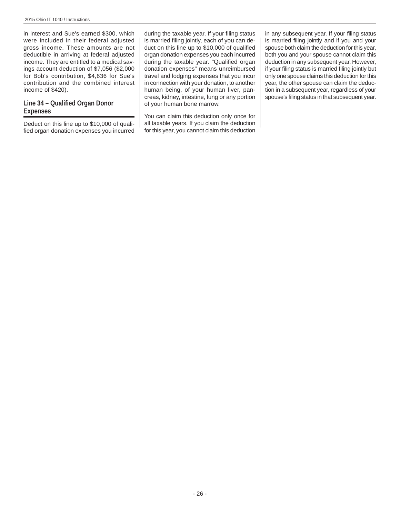in interest and Sue's earned \$300, which were included in their federal adjusted gross income. These amounts are not deductible in arriving at federal adjusted income. They are entitled to a medical savings account deduction of \$7,056 (\$2,000 for Bob's contribution, \$4,636 for Sue's contribution and the combined interest income of \$420).

### Line 34 – Qualified Organ Donor **Expenses**

Deduct on this line up to \$10,000 of qualified organ donation expenses you incurred during the taxable year. If your filing status is married filing jointly, each of you can deduct on this line up to \$10,000 of qualified organ donation expenses you each incurred during the taxable year. "Qualified organ donation expenses" means unreimbursed travel and lodging expenses that you incur in connection with your donation, to another human being, of your human liver, pancreas, kidney, intestine, lung or any portion of your human bone marrow.

You can claim this deduction only once for all taxable years. If you claim the deduction for this year, you cannot claim this deduction

in any subsequent year. If your filing status is married filing jointly and if you and your spouse both claim the deduction for this year, both you and your spouse cannot claim this deduction in any subsequent year. However, if your filing status is married filing jointly but only one spouse claims this deduction for this year, the other spouse can claim the deduction in a subsequent year, regardless of your spouse's filing status in that subsequent year.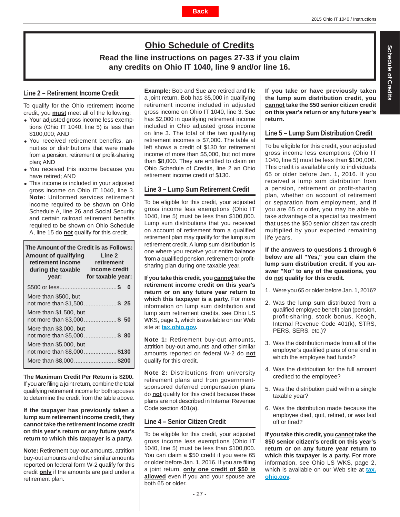# **Ohio Schedule of Credits**

**Back**

**Read the line instructions on pages 27-33 if you claim any credits on Ohio IT 1040, line 9 and/or line 16.**

### <span id="page-26-0"></span>**Line 2 – Retirement Income Credit**

To qualify for the Ohio retirement income credit, you **must** meet all of the following:

- Your adjusted gross income less exemptions (Ohio IT 1040, line 5) is less than \$100,000; AND
- You received retirement benefits, annuities or distributions that were made from a pension, retirement or profit-sharing plan; AND
- You received this income because you have retired; AND
- This income is included in your adjusted gross income on Ohio IT 1040, line 3. **Note:** Uniformed services retirement income required to be shown on Ohio Schedule A, line 26 and Social Security and certain railroad retirement benefits required to be shown on Ohio Schedule A, line 15 do **not** qualify for this credit.

| The Amount of the Credit is as Follows:<br><b>Amount of qualifying</b><br>retirement income<br>during the taxable<br>year: | Line 2<br>retirement<br>income credit<br>for taxable year: |
|----------------------------------------------------------------------------------------------------------------------------|------------------------------------------------------------|
|                                                                                                                            |                                                            |
| More than \$500, but<br>not more than \$1,500 \$ 25                                                                        |                                                            |
| More than \$1,500, but<br>not more than \$3,000 \$ 50                                                                      |                                                            |
| More than \$3,000, but<br>not more than \$5,000 \$ 80                                                                      |                                                            |
| More than \$5,000, but<br>not more than \$8,000 \$130<br>More than \$8,000 \$20                                            |                                                            |

**The Maximum Credit Per Return is \$200.**  If you are filing a joint return, combine the total qualifying retirement income for both spouses to determine the credit from the table above.

#### **If the taxpayer has previously taken a lump sum retirement income credit, they cannot take the retirement income credit on this year's return or any future year's return to which this taxpayer is a party.**

**Note:** Retirement buy-out amounts, attrition buy-out amounts and other similar amounts reported on federal form W-2 qualify for this credit **only** if the amounts are paid under a retirement plan.

**Example:** Bob and Sue are retired and file a joint return. Bob has \$5,000 in qualifying retirement income included in adjusted gross income on Ohio IT 1040, line 3. Sue has \$2,000 in qualifying retirement income included in Ohio adjusted gross income on line 3. The total of the two qualifying retirement incomes is \$7,000. The table at left shows a credit of \$130 for retirement income of more than \$5,000, but not more than \$8,000. They are entitled to claim on Ohio Schedule of Credits, line 2 an Ohio retirement income credit of \$130.

### **Line 3 – Lump Sum Retirement Credit**

To be eligible for this credit, your adjusted gross income less exemptions (Ohio IT 1040, line 5) must be less than \$100,000. Lump sum distributions that you received on account of retirement from a qualified retirement plan may qualify for the lump sum retirement credit. A lump sum distribution is one where you receive your entire balance from a qualified pension, retirement or profitsharing plan during one taxable year.

**If you take this credit, you cannot take the retirement income credit on this year's return or on any future year return to which this taxpayer is a party.** For more information on lump sum distribution and lump sum retirement credits, see Ohio LS WKS, page 1, which is available on our Web site at **[tax.ohio.gov.](http://tax.ohio.gov/)**

**Note 1:** Retirement buy-out amounts, attrition buy-out amounts and other similar amounts reported on federal W-2 do **not** qualify for this credit.

**Note 2:** Distributions from university retirement plans and from governmentsponsored deferred compensation plans do **not** qualify for this credit because these plans are not described in Internal Revenue Code section 401(a).

# **Line 4 – Senior Citizen Credit**

To be eligible for this credit, your adjusted gross income less exemptions (Ohio IT 1040, line 5) must be less than \$100,000. You can claim a \$50 credit if you were 65 or older before Jan. 1, 2016. If you are filing a joint return, **only one credit of \$50 is allowed** even if you and your spouse are both 65 or older.

**If you take or have previously taken the lump sum distribution credit, you cannot take the \$50 senior citizen credit on this year's return or any future year's return.**

### **Line 5 – Lump Sum Distribution Credit**

To be eligible for this credit, your adjusted gross income less exemptions (Ohio IT 1040, line 5) must be less than \$100,000. This credit is available only to individuals 65 or older before Jan. 1, 2016. If you received a lump sum distribution from a pension, retirement or profit-sharing plan, whether on account of retirement or separation from employment, and if you are 65 or older, you may be able to take advantage of a special tax treatment that uses the \$50 senior citizen tax credit multiplied by your expected remaining life years.

**If the answers to questions 1 through 6 below are all "Yes," you can claim the lump sum distribution credit. If you answer "No" to any of the questions, you do not qualify for this credit.**

- 1. Were you 65 or older before Jan. 1, 2016?
- 2. Was the lump sum distributed from a qualified employee benefit plan (pension, profit-sharing, stock bonus, Keogh, Internal Revenue Code 401(k), STRS, PERS, SERS, etc.)?
- 3. Was the distribution made from all of the employer's qualified plans of one kind in which the employee had funds?
- 4. Was the distribution for the full amount credited to the employee?
- 5. Was the distribution paid within a single taxable year?
- 6. Was the distribution made because the employee died, quit, retired, or was laid off or fired?

**If you take this credit, you cannot take the \$50 senior citizen's credit on this year's return or on any future year return to which this taxpayer is a party.** For more information, see Ohio LS WKS, page 2, which is available on our Web site at **[tax.](http://tax.ohio.gov/) [ohio.gov.](http://tax.ohio.gov/)**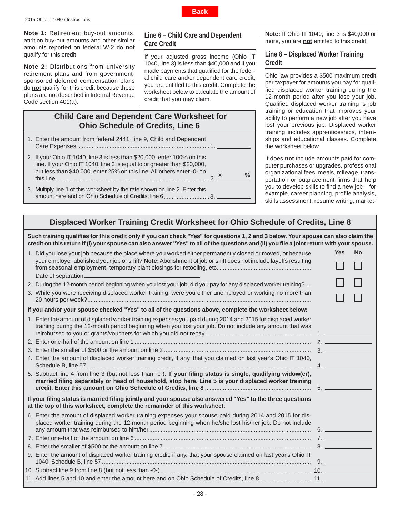<span id="page-27-0"></span>**Note 1:** Retirement buy-out amounts, attrition buy-out amounts and other similar amounts reported on federal W-2 do **not** qualify for this credit.

**Note 2:** Distributions from university retirement plans and from governmentsponsored deferred compensation plans do **not** qualify for this credit because these plans are not described in Internal Revenue Code section 401(a).

# **Line 6 – Child Care and Dependent Care Credit**

If your adjusted gross income (Ohio IT 1040, line 3) is less than \$40,000 and if you made payments that qualified for the federal child care and/or dependent care credit, you are entitled to this credit. Complete the worksheet below to calculate the amount of credit that you may claim.

# **Child Care and Dependent Care Worksheet for Ohio Schedule of Credits, Line 6**

- 1. Enter the amount from federal 2441, line 9, Child and Dependent Care Expenses ................................................................................. 1.
- X % 2. If your Ohio IT 1040, line 3 is less than \$20,000, enter 100% on this line. If your Ohio IT 1040, line 3 is equal to or greater than \$20,000, but less than \$40,000, enter 25% on this line. All others enter -0- on this line .............................................................................................. 2.
- 3. Multiply line 1 of this worksheet by the rate shown on line 2. Enter this amount here and on Ohio Schedule of Credits, line 6 ............................ 3.

**Note:** If Ohio IT 1040, line 3 is \$40,000 or more, you are **not** entitled to this credit.

# **Line 8 – Displaced Worker Training Credit**

Ohio law provides a \$500 maximum credit per taxpayer for amounts you pay for qualified displaced worker training during the 12-month period after you lose your job. Qualified displaced worker training is job training or education that improves your ability to perform a new job after you have lost your previous job. Displaced worker training includes apprenticeships, internships and educational classes. Complete the worksheet below.

It does **not** include amounts paid for computer purchases or upgrades, professional organizational fees, meals, mileage, transportation or outplacement firms that help you to develop skills to find a new job  $-$  for example, career planning, profile analysis, skills assessment, resume writing, market-

# **Displaced Worker Training Credit Worksheet for Ohio Schedule of Credits, Line 8**

**Such training qualifi es for this credit only if you can check "Yes" for questions 1, 2 and 3 below. Your spouse can also claim the credit on this return if (i) your spouse can also answer "Yes" to all of the questions and (ii) you fi le a joint return with your spouse.**

| 1. Did you lose your job because the place where you worked either permanently closed or moved, or because<br>your employer abolished your job or shift? Note: Abolishment of job or shift does not include layoffs resulting | Yes | <b>No</b> |  |
|-------------------------------------------------------------------------------------------------------------------------------------------------------------------------------------------------------------------------------|-----|-----------|--|
|                                                                                                                                                                                                                               |     |           |  |
| Date of separation_                                                                                                                                                                                                           |     |           |  |
| 2. During the 12-month period beginning when you lost your job, did you pay for any displaced worker training?                                                                                                                |     |           |  |
| 3. While you were receiving displaced worker training, were you either unemployed or working no more than                                                                                                                     |     |           |  |
| If you and/or your spouse checked "Yes" to all of the questions above, complete the worksheet below:                                                                                                                          |     |           |  |
| 1. Enter the amount of displaced worker training expenses you paid during 2014 and 2015 for displaced worker<br>training during the 12-month period beginning when you lost your job. Do not include any amount that was      |     |           |  |
|                                                                                                                                                                                                                               |     |           |  |
|                                                                                                                                                                                                                               |     |           |  |
| 4. Enter the amount of displaced worker training credit, if any, that you claimed on last year's Ohio IT 1040,                                                                                                                |     |           |  |
| 5. Subtract line 4 from line 3 (but not less than -0-). If your filing status is single, qualifying widow(er),<br>married filing separately or head of household, stop here. Line 5 is your displaced worker training         |     |           |  |
| If your filing status is married filing jointly and your spouse also answered "Yes" to the three questions<br>at the top of this worksheet, complete the remainder of this worksheet.                                         |     |           |  |
| 6. Enter the amount of displaced worker training expenses your spouse paid during 2014 and 2015 for dis-<br>placed worker training during the 12-month period beginning when he/she lost his/her job. Do not include          |     |           |  |
|                                                                                                                                                                                                                               |     |           |  |
|                                                                                                                                                                                                                               |     |           |  |
| 9. Enter the amount of displaced worker training credit, if any, that your spouse claimed on last year's Ohio IT                                                                                                              |     |           |  |
|                                                                                                                                                                                                                               |     |           |  |
|                                                                                                                                                                                                                               |     |           |  |
|                                                                                                                                                                                                                               |     |           |  |

|--|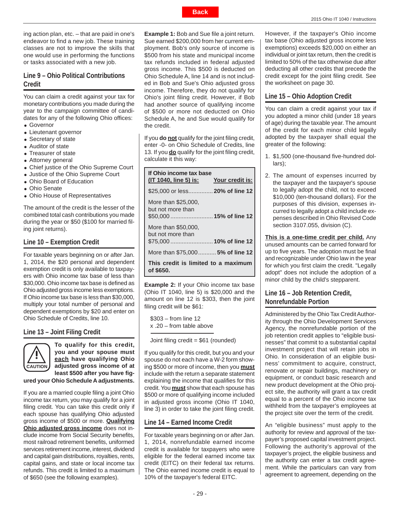<span id="page-28-0"></span>ing action plan, etc. – that are paid in one's endeavor to find a new job. These training classes are not to improve the skills that one would use in performing the functions or tasks associated with a new job.

**Line 9 – Ohio Political Contributions Credit**

You can claim a credit against your tax for monetary contributions you made during the year to the campaign committee of candidates for any of the following Ohio offices:

- Governor
- Lieutenant governor
- Secretary of state
- Auditor of state
- Treasurer of state
- Attorney general
- Chief justice of the Ohio Supreme Court
- Justice of the Ohio Supreme Court
- Ohio Board of Education
- Ohio Senate
- Ohio House of Representatives

The amount of the credit is the lesser of the combined total cash contributions you made during the year or \$50 (\$100 for married filing joint returns).

#### **Line 10 – Exemption Credit**

For taxable years beginning on or after Jan. 1, 2014, the \$20 personal and dependent exemption credit is only available to taxpayers with Ohio income tax base of less than \$30,000. Ohio income tax base is defined as Ohio adjusted gross income less exemptions. If Ohio income tax base is less than \$30,000, multiply your total number of personal and dependent exemptions by \$20 and enter on Ohio Schedule of Credits, line 10.

#### **Line 13 – Joint Filing Credit**



**To qualify for this credit, you and your spouse must each have qualifying Ohio adjusted gross income of at**  least \$500 after you have fig-

#### **ured your Ohio Schedule A adjustments.**

If you are a married couple filing a joint Ohio income tax return, you may qualify for a joint filing credit. You can take this credit only if each spouse has qualifying Ohio adjusted gross income of \$500 or more. **Qualifying Ohio adjusted gross income** does not include income from Social Security benefits, most railroad retirement benefits, uniformed services retirement income, interest, dividend and capital gain distributions, royalties, rents, capital gains, and state or local income tax refunds. This credit is limited to a maximum of \$650 (see the following examples).

**Example 1:** Bob and Sue file a joint return. Sue earned \$200,000 from her current employment. Bob's only source of income is \$500 from his state and municipal income tax refunds included in federal adjusted gross income. This \$500 is deducted on Ohio Schedule A, line 14 and is not included in Bob and Sue's Ohio adjusted gross income. Therefore, they do not qualify for Ohio's joint filing credit. However, if Bob had another source of qualifying income of \$500 or more not deducted on Ohio Schedule A, he and Sue would qualify for the credit.

If you **do not** qualify for the joint filing credit, enter -0- on Ohio Schedule of Credits, line 13. If you **do** qualify for the joint filing credit, calculate it this way:

| If Ohio income tax base<br>(IT 1040, line 5) is: | Your credit is: |
|--------------------------------------------------|-----------------|
| \$25,000 or less 20% of line 12                  |                 |
| More than \$25,000,<br>but not more than         |                 |
| More than \$50,000.<br>but not more than         |                 |
| More than \$75,000 5% of line 12                 |                 |
| This credit is limited to a maximum<br>of \$650. |                 |

**Example 2:** If your Ohio income tax base (Ohio IT 1040, line 5) is \$20,000 and the amount on line 12 is \$303, then the joint filing credit will be \$61:

\$303 – from line 12 x .20 – from table above

Joint filing credit  $= $61$  (rounded)

If you qualify for this credit, but you and your spouse do not each have a W-2 form showing \$500 or more of income, then you **must** include with the return a separate statement explaining the income that qualifies for this credit. You **must** show that each spouse has \$500 or more of qualifying income included in adjusted gross income (Ohio IT 1040, line 3) in order to take the joint filing credit.

#### **Line 14 – Earned Income Credit**

For taxable years beginning on or after Jan. 1, 2014, nonrefundable earned income credit is available for taxpayers who were eligible for the federal earned income tax credit (EITC) on their federal tax returns. The Ohio earned income credit is equal to 10% of the taxpayer's federal EITC.

However, if the taxpayer's Ohio income tax base (Ohio adjusted gross income less exemptions) exceeds \$20,000 on either an individual or joint tax return, then the credit is limited to 50% of the tax otherwise due after deducting all other credits that precede the credit except for the joint filing credit. See the worksheet on page 30.

#### **Line 15 – Ohio Adoption Credit**

You can claim a credit against your tax if you adopted a minor child (under 18 years of age) during the taxable year. The amount of the credit for each minor child legally adopted by the taxpayer shall equal the greater of the following:

- 1. \$1,500 (one-thousand five-hundred dollars);
- 2. The amount of expenses incurred by the taxpayer and the taxpayer's spouse to legally adopt the child, not to exceed \$10,000 (ten-thousand dollars). For the purposes of this division, expenses incurred to legally adopt a child include expenses described in Ohio Revised Code section 3107.055, division (C).

**This is a one-time credit per child.** Any unused amounts can be carried forward for up to five years. The adoption must be final and recognizable under Ohio law in the year for which you first claim the credit. "Legally adopt" does not include the adoption of a minor child by the child's stepparent.

# **Line 16 – Job Retention Credit, Nonrefundable Portion**

Administered by the Ohio Tax Credit Authority through the Ohio Development Services Agency, the nonrefundable portion of the job retention credit applies to "eligible businesses" that commit to a substantial capital investment project that will retain jobs in Ohio. In consideration of an eligible business' commitment to acquire, construct, renovate or repair buildings, machinery or equipment, or conduct basic research and new product development at the Ohio project site, the authority will grant a tax credit equal to a percent of the Ohio income tax withheld from the taxpayer's employees at the project site over the term of the credit.

An "eligible business" must apply to the authority for review and approval of the taxpayer's proposed capital investment project. Following the authority's approval of the taxpayer's project, the eligible business and the authority can enter a tax credit agreement. While the particulars can vary from agreement to agreement, depending on the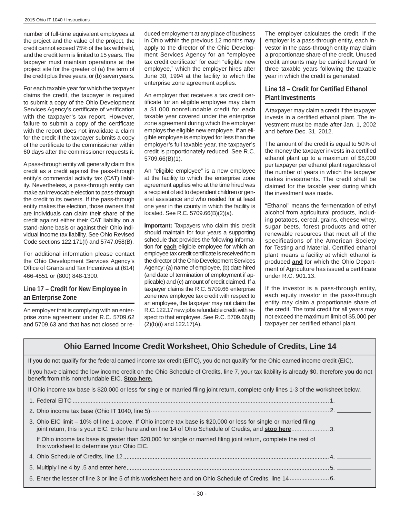number of full-time equivalent employees at the project and the value of the project, the credit cannot exceed 75% of the tax withheld, and the credit term is limited to 15 years. The taxpayer must maintain operations at the project site for the greater of (a) the term of the credit plus three years, or (b) seven years.

For each taxable year for which the taxpayer claims the credit, the taxpayer is required to submit a copy of the Ohio Development Services Agency's certificate of verification with the taxpayer's tax report. However, failure to submit a copy of the certificate with the report does not invalidate a claim for the credit if the taxpayer submits a copy of the certificate to the commissioner within 60 days after the commissioner requests it.

A pass-through entity will generally claim this credit as a credit against the pass-through entity's commercial activity tax (CAT) liability. Nevertheless, a pass-through entity can make an irrevocable election to pass-through the credit to its owners. If the pass-through entity makes the election, those owners that are individuals can claim their share of the credit against either their CAT liability on a stand-alone basis or against their Ohio individual income tax liability. See Ohio Revised Code sections 122.171(I) and 5747.058(B).

For additional information please contact the Ohio Development Services Agency's Office of Grants and Tax Incentives at (614) 466-4551 or (800) 848-1300.

# **Line 17 – Credit for New Employee in an Enterprise Zone**

An employer that is complying with an enterprise zone agreement under R.C. 5709.62 and 5709.63 and that has not closed or reduced employment at any place of business in Ohio within the previous 12 months may apply to the director of the Ohio Development Services Agency for an "employee tax credit certificate" for each "eligible new employee," which the employer hires after June 30, 1994 at the facility to which the enterprise zone agreement applies.

An employer that receives a tax credit certificate for an eligible employee may claim a \$1,000 nonrefundable credit for each taxable year covered under the enterprise zone agreement during which the employer employs the eligible new employee. If an eligible employee is employed for less than the employer's full taxable year, the taxpayer's credit is proportionately reduced. See R.C. 5709.66(B)(1).

An "eligible employee" is a new employee at the facility to which the enterprise zone agreement applies who at the time hired was a recipient of aid to dependent children or general assistance and who resided for at least one year in the county in which the facility is located. See R.C. 5709.66(B)(2)(a).

**Important:** Taxpayers who claim this credit should maintain for four years a supporting schedule that provides the following information for **each** eligible employee for which an employee tax credit certificate is received from the director of the Ohio Development Services Agency: (a) name of employee, (b) date hired (and date of termination of employment if applicable) and (c) amount of credit claimed. If a taxpayer claims the R.C. 5709.66 enterprise zone new employee tax credit with respect to an employee, the taxpayer may not claim the R.C. 122.17 new jobs refundable credit with respect to that employee. See R.C. 5709.66(B) (2)(b)(i) and 122.17(A).

The employer calculates the credit. If the employer is a pass-through entity, each investor in the pass-through entity may claim a proportionate share of the credit. Unused credit amounts may be carried forward for three taxable years following the taxable year in which the credit is generated.

# Line 18 - Credit for Certified Ethanol **Plant Investments**

A taxpayer may claim a credit if the taxpayer invests in a certified ethanol plant. The investment must be made after Jan. 1, 2002 and before Dec. 31, 2012.

The amount of the credit is equal to 50% of the money the taxpayer invests in a certified ethanol plant up to a maximum of \$5,000 per taxpayer per ethanol plant regardless of the number of years in which the taxpayer makes investments. The credit shall be claimed for the taxable year during which the investment was made.

"Ethanol" means the fermentation of ethyl alcohol from agricultural products, including potatoes, cereal, grains, cheese whey, sugar beets, forest products and other renewable resources that meet all of the specifications of the American Society for Testing and Material. Certified ethanol plant means a facility at which ethanol is produced **and** for which the Ohio Department of Agriculture has issued a certificate under R.C. 901.13.

If the investor is a pass-through entity, each equity investor in the pass-through entity may claim a proportionate share of the credit. The total credit for all years may not exceed the maximum limit of \$5,000 per taxpayer per certified ethanol plant.

# **Ohio Earned Income Credit Worksheet, Ohio Schedule of Credits, Line 14**

If you do not qualify for the federal earned income tax credit (EITC), you do not qualify for the Ohio earned income credit (EIC).

If you have claimed the low income credit on the Ohio Schedule of Credits, line 7, your tax liability is already \$0, therefore you do not benefit from this nonrefundable EIC. **Stop here.** 

If Ohio income tax base is \$20,000 or less for single or married filing joint return, complete only lines 1-3 of the worksheet below.

| 3. Ohio EIC limit – 10% of line 1 above. If Ohio income tax base is \$20,000 or less for single or married filing<br>joint return, this is your EIC. Enter here and on line 14 of Ohio Schedule of Credits, and stop here3. |  |
|-----------------------------------------------------------------------------------------------------------------------------------------------------------------------------------------------------------------------------|--|
| If Ohio income tax base is greater than \$20,000 for single or married filing joint return, complete the rest of<br>this worksheet to determine your Ohio EIC.                                                              |  |
|                                                                                                                                                                                                                             |  |
|                                                                                                                                                                                                                             |  |
|                                                                                                                                                                                                                             |  |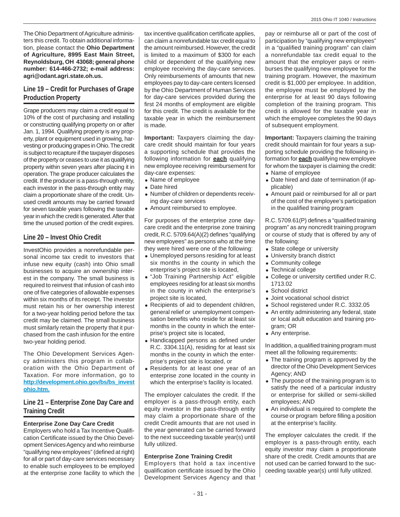The Ohio Department of Agriculture administers this credit. To obtain additional information, please contact the **Ohio Department of Agriculture, 8995 East Main Street, Reynoldsburg, OH 43068; general phone number: 614-466-2732; e-mail address: agri@odant.agri.state.oh.us.**

# **Line 19 – Credit for Purchases of Grape Production Property**

Grape producers may claim a credit equal to 10% of the cost of purchasing and installing or constructing qualifying property on or after Jan. 1, 1994. Qualifying property is any property, plant or equipment used in growing, harvesting or producing grapes in Ohio. The credit is subject to recapture if the taxpayer disposes of the property or ceases to use it as qualifying property within seven years after placing it in operation. The grape producer calculates the credit. If the producer is a pass-through entity, each investor in the pass-through entity may claim a proportionate share of the credit. Unused credit amounts may be carried forward for seven taxable years following the taxable year in which the credit is generated. After that time the unused portion of the credit expires.

# **Line 20 – Invest Ohio Credit**

InvestOhio provides a nonrefundable personal income tax credit to investors that infuse new equity (cash) into Ohio small businesses to acquire an ownership interest in the company. The small business is required to reinvest that infusion of cash into one of five categories of allowable expenses within six months of its receipt. The investor must retain his or her ownership interest for a two-year holding period before the tax credit may be claimed. The small business must similarly retain the property that it purchased from the cash infusion for the entire two-year holding period.

The Ohio Development Services Agency administers this program in collaboration with the Ohio Department of Taxation. For more information, go to **[http://development.ohio.gov/bs/bs\\_invest](http://development.ohio.gov/bs/bs_investohio.htm)  [ohio.htm.](http://development.ohio.gov/bs/bs_investohio.htm)**

**Line 21 – Enterprise Zone Day Care and Training Credit**

#### **Enterprise Zone Day Care Credit**

Employers who hold a Tax Incentive Qualification Certificate issued by the Ohio Development Services Agency and who reimburse "qualifying new employees" (defined at right) for all or part of day-care services necessary to enable such employees to be employed at the enterprise zone facility to which the tax incentive qualification certificate applies, can claim a nonrefundable tax credit equal to the amount reimbursed. However, the credit is limited to a maximum of \$300 for each child or dependent of the qualifying new employee receiving the day-care services. Only reimbursements of amounts that new employees pay to day-care centers licensed by the Ohio Department of Human Services for day-care services provided during the first 24 months of employment are eligible for this credit. The credit is available for the taxable year in which the reimbursement is made.

**Important:** Taxpayers claiming the daycare credit should maintain for four years a supporting schedule that provides the following information for **each** qualifying new employee receiving reimbursement for day-care expenses:

- Name of employee
- Date hired
- Number of children or dependents receiving day-care services
- Amount reimbursed to employee.

For purposes of the enterprise zone daycare credit and the enterprise zone training credit, R.C. 5709.64(A)(2) defines "qualifying new employees" as persons who at the time they were hired were one of the following:

- Unemployed persons residing for at least six months in the county in which the enterprise's project site is located,
- "Job Training Partnership Act" eligible employees residing for at least six months in the county in which the enterprise's project site is located,
- Recipients of aid to dependent children, general relief or unemployment compensation benefits who reside for at least six months in the county in which the enterprise's project site is located,
- Handicapped persons as defined under R.C. 3304.11(A), residing for at least six months in the county in which the enterprise's project site is located, or
- Residents for at least one year of an enterprise zone located in the county in which the enterprise's facility is located.

The employer calculates the credit. If the employer is a pass-through entity, each equity investor in the pass-through entity may claim a proportionate share of the credit Credit amounts that are not used in the year generated can be carried forward to the next succeeding taxable year(s) until fully utilized.

#### **Enterprise Zone Training Credit**

Employers that hold a tax incentive qualification certificate issued by the Ohio Development Services Agency and that pay or reimburse all or part of the cost of participation by "qualifying new employees" in a "qualified training program" can claim a nonrefundable tax credit equal to the amount that the employer pays or reimburses the qualifying new employee for the training program. However, the maximum credit is \$1,000 per employee. In addition, the employee must be employed by the enterprise for at least 90 days following completion of the training program. This credit is allowed for the taxable year in which the employee completes the 90 days of subsequent employment.

**Important:** Taxpayers claiming the training credit should maintain for four years a supporting schedule providing the following information for **each** qualifying new employee for whom the taxpayer is claiming the credit:

- Name of employee
- Date hired and date of termination (if applicable)
- Amount paid or reimbursed for all or part of the cost of the employee's participation in the qualified training program

R.C. 5709.61(P) defines a "qualified training program" as any noncredit training program or course of study that is offered by any of the following:

- State college or university
- University branch district
- Community college
- Technical college
- College or university certified under R.C. 1713.02
- School district
- Joint vocational school district
- School registered under R.C. 3332.05
- An entity administering any federal, state or local adult education and training program; OR
- Any enterprise.

In addition, a qualified training program must meet all the following requirements:

- The training program is approved by the director of the Ohio Development Services Agency; AND
- The purpose of the training program is to satisfy the need of a particular industry or enterprise for skilled or semi-skilled employees; AND
- An individual is required to complete the course or program before filling a position at the enterprise's facility.

The employer calculates the credit. If the employer is a pass-through entity, each equity investor may claim a proportionate share of the credit. Credit amounts that are not used can be carried forward to the succeeding taxable year(s) until fully utilized.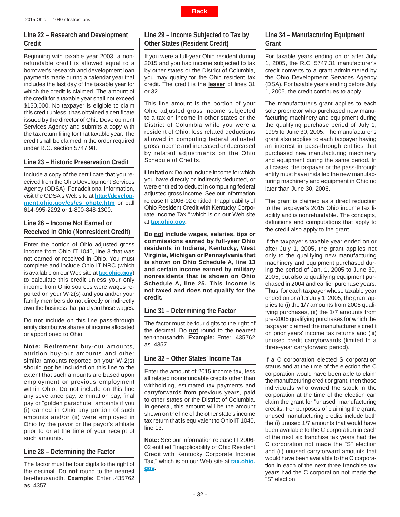# <span id="page-31-0"></span>**Line 22 – Research and Development Credit**

Beginning with taxable year 2003, a nonrefundable credit is allowed equal to a borrower's research and development loan payments made during a calendar year that includes the last day of the taxable year for which the credit is claimed. The amount of the credit for a taxable year shall not exceed \$150,000. No taxpayer is eligible to claim this credit unless it has obtained a certificate issued by the director of Ohio Development Services Agency and submits a copy with the tax return filing for that taxable year. The credit shall be claimed in the order required under R.C. section 5747.98.

# **Line 23 – Historic Preservation Credit**

Include a copy of the certificate that you received from the Ohio Development Services Agency (ODSA). For additional information, visit the ODSA's Web site at **[http://develop](http://development.ohio.gov/cs/cs_ohptc.htm)[ment.ohio.gov/cs/cs\\_ohptc.htm](http://development.ohio.gov/cs/cs_ohptc.htm)** or call 614-995-2292 or 1-800-848-1300.

# **Line 26 – Income Not Earned or Received in Ohio (Nonresident Credit)**

Enter the portion of Ohio adjusted gross income from Ohio IT 1040, line 3 that was not earned or received in Ohio. You must complete and include Ohio IT NRC (which is available on our Web site at **[tax.ohio.gov](http://tax.ohio.gov/)**) to calculate this credit unless your only income from Ohio sources were wages reported on your W-2(s) and you and/or your family members do not directly or indirectly own the business that paid you those wages.

Do **not** include on this line pass-through entity distributive shares of income allocated or apportioned to Ohio.

**Note:** Retirement buy-out amounts, attrition buy-out amounts and other similar amounts reported on your W-2(s) should **not** be included on this line to the extent that such amounts are based upon employment or previous employment within Ohio. Do not include on this line any severance pay, termination pay, final pay or "golden parachute" amounts if you (i) earned in Ohio any portion of such amounts and/or (ii) were employed in Ohio by the payor or the payor's affiliate prior to or at the time of your receipt of such amounts.

# **Line 28 – Determining the Factor**

The factor must be four digits to the right of the decimal. Do **not** round to the nearest ten-thousandth. **Example:** Enter .435762 as .4357.

# **Line 29 – Income Subjected to Tax by Other States (Resident Credit)**

If you were a full-year Ohio resident during 2015 and you had income subjected to tax by other states or the District of Columbia, you may qualify for the Ohio resident tax credit. The credit is the **lesser** of lines 31 or 32.

This line amount is the portion of your Ohio adjusted gross income subjected to a tax on income in other states or the District of Columbia while you were a resident of Ohio, less related deductions allowed in computing federal adjusted gross income and increased or decreased by related adjustments on the Ohio Schedule of Credits.

**Limitation:** Do **not** include income for which you have directly or indirectly deducted, or were entitled to deduct in computing federal adjusted gross income. See our information release IT 2006-02 entitled "Inapplicability of Ohio Resident Credit with Kentucky Corporate Income Tax," which is on our Web site at **[tax.ohio.gov.](http://tax.ohio.gov/)**

**Do not include wages, salaries, tips or commissions earned by full-year Ohio residents in Indiana, Kentucky, West Virginia, Michigan or Pennsylvania that is shown on Ohio Schedule A, line 13 and certain income earned by military nonresidents that is shown on Ohio Schedule A, line 25. This income is not taxed and does not qualify for the credit.**

# **Line 31 – Determining the Factor**

The factor must be four digits to the right of the decimal. Do **not** round to the nearest ten-thousandth. **Example:** Enter .435762 as .4357.

# **Line 32 – Other States' Income Tax**

Enter the amount of 2015 income tax, less all related nonrefundable credits other than withholding, estimated tax payments and carryforwards from previous years, paid to other states or the District of Columbia. In general, this amount will be the amount shown on the line of the other state's income tax return that is equivalent to Ohio IT 1040, line 13.

**Note:** See our information release IT 2006- 02 entitled "Inapplicability of Ohio Resident Credit with Kentucky Corporate Income Tax," which is on our Web site at **[tax.ohio.](http://tax.ohio.gov/) [gov.](http://tax.ohio.gov/)**

# **Line 34 – Manufacturing Equipment Grant**

For taxable years ending on or after July 1, 2005, the R.C. 5747.31 manufacturer's credit converts to a grant administered by the Ohio Development Services Agency (DSA). For taxable years ending before July 1, 2005, the credit continues to apply.

The manufacturer's grant applies to each sole proprietor who purchased new manufacturing machinery and equipment during the qualifying purchase period of July 1, 1995 to June 30, 2005. The manufacturer's grant also applies to each taxpayer having an interest in pass-through entities that purchased new manufacturing machinery and equipment during the same period. In all cases, the taxpayer or the pass-through entity must have installed the new manufacturing machinery and equipment in Ohio no later than June 30, 2006.

The grant is claimed as a direct reduction to the taxpayer's 2015 Ohio income tax liability and is nonrefundable. The concepts, definitions and computations that apply to the credit also apply to the grant.

If the taxpayer's taxable year ended on or after July 1, 2005, the grant applies not only to the qualifying new manufacturing machinery and equipment purchased during the period of Jan. 1, 2005 to June 30, 2005, but also to qualifying equipment purchased in 2004 and earlier purchase years. Thus, for each taxpayer whose taxable year ended on or after July 1, 2005, the grant applies to (i) the 1/7 amounts from 2005 qualifying purchases, (ii) the 1/7 amounts from pre-2005 qualifying purchases for which the taxpayer claimed the manufacturer's credit on prior years' income tax returns and (iii) unused credit carryforwards (limited to a three-year carryforward period).

If a C corporation elected S corporation status and at the time of the election the C corporation would have been able to claim the manufacturing credit or grant, then those individuals who owned the stock in the corporation at the time of the election can claim the grant for "unused" manufacturing credits. For purposes of claiming the grant, unused manufacturing credits include both the (i) unused 1/7 amounts that would have been available to the C corporation in each of the next six franchise tax years had the C corporation not made the "S" election and (ii) unused carryforward amounts that would have been available to the C corporation in each of the next three franchise tax years had the C corporation not made the "S" election.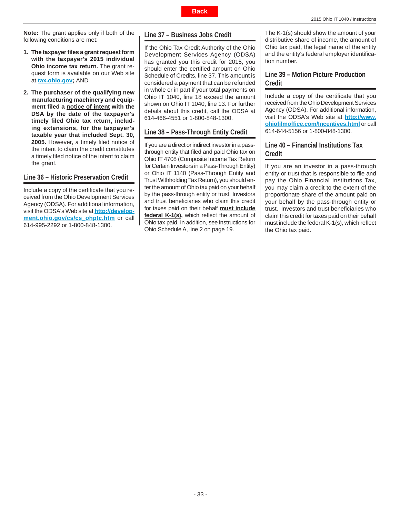<span id="page-32-0"></span>**Note:** The grant applies only if both of the following conditions are met:

- **1. The taxpayer fi les a grant request form with the taxpayer's 2015 individual Ohio income tax return.** The grant request form is available on our Web site at **[tax.ohio.gov;](http://tax.ohio.gov/)** AND
- **2. The purchaser of the qualifying new manufacturing machinery and equipment fi led a notice of intent with the DSA by the date of the taxpayer's timely fi led Ohio tax return, including extensions, for the taxpayer's taxable year that included Sept. 30,**  2005. However, a timely filed notice of the intent to claim the credit constitutes a timely filed notice of the intent to claim the grant.

#### **Line 36 – Historic Preservation Credit**

Include a copy of the certificate that you received from the Ohio Development Services Agency (ODSA). For additional information, visit the ODSA's Web site at **[http://develop](http://development.ohio.gov/cs/cs_ohptc.htm)[ment.ohio.gov/cs/cs\\_ohptc.htm](http://development.ohio.gov/cs/cs_ohptc.htm)** or call 614-995-2292 or 1-800-848-1300.

#### **Line 37 – Business Jobs Credit**

If the Ohio Tax Credit Authority of the Ohio Development Services Agency (ODSA) has granted you this credit for 2015, you should enter the certified amount on Ohio Schedule of Credits, line 37. This amount is considered a payment that can be refunded in whole or in part if your total payments on Ohio IT 1040, line 18 exceed the amount shown on Ohio IT 1040, line 13. For further details about this credit, call the ODSA at 614-466-4551 or 1-800-848-1300.

#### **Line 38 – Pass-Through Entity Credit**

If you are a direct or indirect investor in a passthrough entity that filed and paid Ohio tax on Ohio IT 4708 (Composite Income Tax Return for Certain Investors in a Pass-Through Entity) or Ohio IT 1140 (Pass-Through Entity and Trust Withholding Tax Return), you should enter the amount of Ohio tax paid on your behalf by the pass-through entity or trust. Investors and trust beneficiaries who claim this credit for taxes paid on their behalf **must include federal K-1(s)**, which reflect the amount of Ohio tax paid. In addition, see instructions for Ohio Schedule A, line 2 on page 19.

The K-1(s) should show the amount of your distributive share of income, the amount of Ohio tax paid, the legal name of the entity and the entity's federal employer identification number.

### **Line 39 – Motion Picture Production Credit**

Include a copy of the certificate that you received from the Ohio Development Services Agency (ODSA). For additional information, visit the ODSA's Web site at **[http://www.](http://www.ohiofilmoffice.com/Incentives.htm) ohiofi lmoffi [ce.com/Incentives.htm](http://development.ohio.gov/cs/cs_ohptc.htm)l** or call 614-644-5156 or 1-800-848-1300.

### **Line 40 – Financial Institutions Tax Credit**

If you are an investor in a pass-through entity or trust that is responsible to file and pay the Ohio Financial Institutions Tax, you may claim a credit to the extent of the proportionate share of the amount paid on your behalf by the pass-through entity or trust. Investors and trust beneficiaries who claim this credit for taxes paid on their behalf must include the federal  $K-1(s)$ , which reflect the Ohio tax paid.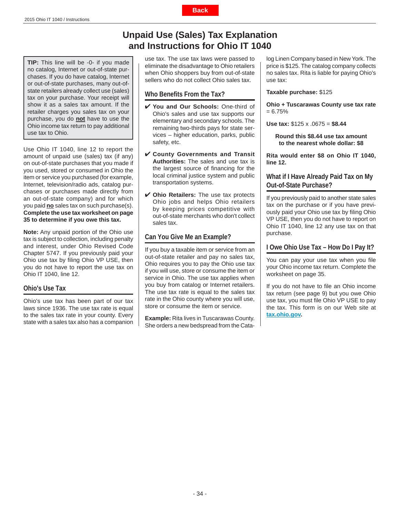**Unpaid Use (Sales) Tax Explanation and Instructions for Ohio IT 1040**

<span id="page-33-0"></span>**TIP:** This line will be -0- if you made no catalog, Internet or out-of-state purchases. If you do have catalog, Internet or out-of-state purchases, many out-ofstate retailers already collect use (sales) tax on your purchase. Your receipt will show it as a sales tax amount. If the retailer charges you sales tax on your purchase, you do **not** have to use the Ohio income tax return to pay additional use tax to Ohio.

Use Ohio IT 1040, line 12 to report the amount of unpaid use (sales) tax (if any) on out-of-state purchases that you made if you used, stored or consumed in Ohio the item or service you purchased (for example, Internet, television/radio ads, catalog purchases or purchases made directly from an out-of-state company) and for which you paid **no** sales tax on such purchase(s). **Complete the use tax worksheet on page 35 to determine if you owe this tax.**

**Note:** Any unpaid portion of the Ohio use tax is subject to collection, including penalty and interest, under Ohio Revised Code Chapter 5747. If you previously paid your Ohio use tax by filing Ohio VP USE, then you do not have to report the use tax on Ohio IT 1040, line 12.

# **Ohio's Use Tax**

Ohio's use tax has been part of our tax laws since 1936. The use tax rate is equal to the sales tax rate in your county. Every state with a sales tax also has a companion use tax. The use tax laws were passed to eliminate the disadvantage to Ohio retailers when Ohio shoppers buy from out-of-state sellers who do not collect Ohio sales tax.

#### **Who Benefits From the Tax?**

- ✔ **You and Our Schools:** One-third of Ohio's sales and use tax supports our elementary and secondary schools. The remaining two-thirds pays for state services – higher education, parks, public safety, etc.
- ✔ **County Governments and Transit Authorities:** The sales and use tax is the largest source of financing for the local criminal justice system and public transportation systems.
- ✔ **Ohio Retailers:** The use tax protects Ohio jobs and helps Ohio retailers by keeping prices competitive with out-of-state merchants who don't collect sales tax.

#### **Can You Give Me an Example?**

If you buy a taxable item or service from an out-of-state retailer and pay no sales tax, Ohio requires you to pay the Ohio use tax if you will use, store or consume the item or service in Ohio. The use tax applies when you buy from catalog or Internet retailers. The use tax rate is equal to the sales tax rate in the Ohio county where you will use, store or consume the item or service.

**Example:** Rita lives in Tuscarawas County. She orders a new bedspread from the Catalog Linen Company based in New York. The price is \$125. The catalog company collects no sales tax. Rita is liable for paying Ohio's use tax:

**Taxable purchase:** \$125

**Ohio + Tuscarawas County use tax rate**  $= 6.75%$ 

**Use tax:** \$125 x .0675 = **\$8.44**

**Round this \$8.44 use tax amount to the nearest whole dollar: \$8**

**Rita would enter \$8 on Ohio IT 1040, line 12.**

**What if I Have Already Paid Tax on My Out-of-State Purchase?**

If you previously paid to another state sales tax on the purchase or if you have previously paid your Ohio use tax by filing Ohio VP USE, then you do not have to report on Ohio IT 1040, line 12 any use tax on that purchase.

#### **I Owe Ohio Use Tax – How Do I Pay It?**

You can pay your use tax when you file your Ohio income tax return. Complete the worksheet on page 35.

If you do not have to file an Ohio income tax return (see page 9) but you owe Ohio use tax, you must file Ohio VP USE to pay the tax. This form is on our Web site at **[tax.ohio.gov.](http://tax.ohio.gov/)**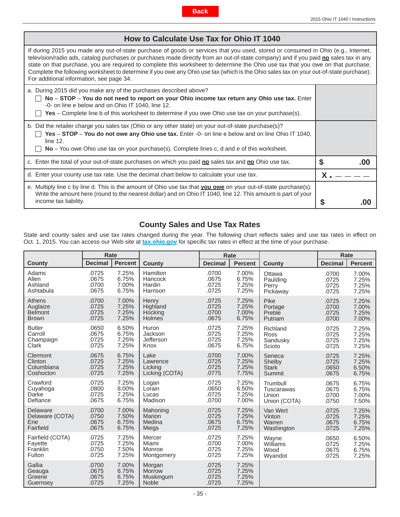<span id="page-34-0"></span>

| How to Calculate Use Tax for Ohio IT 1040                                                                                                                                                                                                                                                                                                                                                                                                                                                                                                                                                           |           |
|-----------------------------------------------------------------------------------------------------------------------------------------------------------------------------------------------------------------------------------------------------------------------------------------------------------------------------------------------------------------------------------------------------------------------------------------------------------------------------------------------------------------------------------------------------------------------------------------------------|-----------|
| If during 2015 you made any out-of-state purchase of goods or services that you used, stored or consumed in Ohio (e.g., Internet,<br>television/radio ads, catalog purchases or purchases made directly from an out-of-state company) and if you paid no sales tax in any<br>state on that purchase, you are required to complete this worksheet to determine the Ohio use tax that you owe on that purchase.<br>Complete the following worksheet to determine if you owe any Ohio use tax (which is the Ohio sales tax on your out-of-state purchase).<br>For additional information, see page 34. |           |
| a. During 2015 did you make any of the purchases described above?<br>No - STOP - You do not need to report on your Ohio income tax return any Ohio use tax. Enter<br>-0- on line e below and on Ohio IT 1040, line 12.<br>Yes – Complete line b of this worksheet to determine if you owe Ohio use tax on your purchase(s).                                                                                                                                                                                                                                                                         |           |
| b. Did the retailer charge you sales tax (Ohio or any other state) on your out-of-state purchase(s)?<br>Yes - STOP - You do not owe any Ohio use tax. Enter -0- on line e below and on line Ohio IT 1040,<br>line 12.<br>No – You owe Ohio use tax on your purchase(s). Complete lines c, d and e of this worksheet.                                                                                                                                                                                                                                                                                |           |
| c. Enter the total of your out-of-state purchases on which you paid no sales tax and no Ohio use tax.                                                                                                                                                                                                                                                                                                                                                                                                                                                                                               | \$<br>.00 |
| d. Enter your county use tax rate. Use the decimal chart below to calculate your use tax.                                                                                                                                                                                                                                                                                                                                                                                                                                                                                                           |           |
| e. Multiply line c by line d. This is the amount of Ohio use tax that you owe on your out-of-state purchase(s).<br>Write the amount here (round to the nearest dollar) and on Ohio IT 1040, line 12. This amount is part of your<br>income tax liability.                                                                                                                                                                                                                                                                                                                                           |           |

# **County Sales and Use Tax Rates**

State and county sales and use tax rates changed during the year. The following chart reflects sales and use tax rates in effect on Oct. 1, 2015. You can access our Web site at **[tax.ohio.gov](http://tax.ohio.gov/)** for specific tax rates in effect at the time of your purchase.

|                                        | Rate                             |                                  |                                                      | Rate                             |                                  |                   | Rate           |                |
|----------------------------------------|----------------------------------|----------------------------------|------------------------------------------------------|----------------------------------|----------------------------------|-------------------|----------------|----------------|
| County                                 | <b>Decimal</b>                   | <b>Percent</b>                   | County                                               | <b>Decimal</b>                   | <b>Percent</b>                   | County            | <b>Decimal</b> | <b>Percent</b> |
| Adams                                  | .0725                            | 7.25%                            | Hamilton                                             | .0700                            | 7.00%                            | Ottawa            | .0700          | 7.00%          |
| Allen                                  | .0675                            | 6.75%                            | Hancock                                              | .0675                            | 6.75%                            | Paulding          | .0725          | 7.25%          |
| Ashland                                | .0700                            | 7.00%                            | Hardin                                               | .0725                            | 7.25%                            | Perry             | .0725          | 7.25%          |
| Ashtabula                              | .0675                            | 6.75%                            | Harrison                                             | .0725                            | 7.25%                            | Pickaway          | .0725          | 7.25%          |
| Athens                                 | .0700                            | 7.00%                            | Henry                                                | .0725                            | 7.25%                            | Pike              | .0725          | 7.25%          |
| Auglaize                               | .0725                            | 7.25%                            | Highland                                             | .0725                            | 7.25%                            | Portage           | .0700          | 7.00%          |
| <b>Belmont</b>                         | .0725                            | 7.25%                            | Hocking                                              | .0700                            | 7.00%                            | Preble            | .0725          | 7.25%          |
| <b>Brown</b>                           | .0725                            | 7.25%                            | <b>Holmes</b>                                        | .0675                            | 6.75%                            | Putnam            | .0700          | 7.00%          |
| <b>Butler</b>                          | .0650                            | 6.50%                            | Huron                                                | .0725                            | 7.25%                            | Richland          | .0725          | 7.25%          |
| Carroll                                | .0675                            | 6.75%                            | Jackson                                              | .0725                            | 7.25%                            | Ross              | .0725          | 7.25%          |
| Champaign                              | .0725                            | 7.25%                            | Jefferson                                            | .0725                            | 7.25%                            | Sandusky          | .0725          | 7.25%          |
| Clark                                  | .0725                            | 7.25%                            | Knox                                                 | .0675                            | 6.75%                            | Scioto            | .0725          | 7.25%          |
| Clermont                               | .0675                            | 6.75%                            | Lake                                                 | .0700                            | 7.00%                            | Seneca            | .0725          | 7.25%          |
| Clinton                                | .0725                            | 7.25%                            | Lawrence                                             | .0725                            | 7.25%                            | Shelby            | .0725          | 7.25%          |
| Columbiana                             | .0725                            | 7.25%                            | Licking                                              | .0725                            | 7.25%                            | <b>Stark</b>      | .0650          | 6.50%          |
| Coshocton                              | .0725                            | 7.25%                            | Licking (COTA)                                       | .0775                            | 7.75%                            | Summit            | .0675          | 6.75%          |
| Crawford                               | .0725                            | 7.25%                            | Logan                                                | .0725                            | 7.25%                            | Trumbull          | .0675          | 6.75%          |
| Cuyahoga                               | .0800                            | 8.00%                            | Lorain                                               | .0650                            | 6.50%                            | <b>Tuscarawas</b> | .0675          | 6.75%          |
| Darke                                  | .0725                            | 7.25%                            | Lucas                                                | .0725                            | 7.25%                            | Union             | .0700          | 7.00%          |
| Defiance                               | .0675                            | 6.75%                            | Madison                                              | .0700                            | 7.00%                            | Union (COTA)      | .0750          | 7.50%          |
| Delaware                               | .0700                            | 7.00%                            | Mahoning                                             | .0725                            | 7.25%                            | Van Wert          | .0725          | 7.25%          |
| Delaware (COTA)                        | .0750                            | 7.50%                            | Marion                                               | .0725                            | 7.25%                            | Vinton            | .0725          | 7.25%          |
| Erie                                   | .0675                            | 6.75%                            | Medina                                               | .0675                            | 6.75%                            | Warren            | .0675          | 6.75%          |
| Fairfield                              | .0675                            | 6.75%                            | Meigs                                                | .0725                            | 7.25%                            | Washington        | .0725          | 7.25%          |
| Fairfield (COTA)                       | .0725                            | 7.25%                            | Mercer                                               | .0725                            | 7.25%                            | Wavne             | .0650          | 6.50%          |
| Fayette                                | .0725                            | 7.25%                            | Miami                                                | .0700                            | 7.00%                            | Williams          | .0725          | 7.25%          |
| Franklin                               | .0750                            | 7.50%                            | Monroe                                               | .0725                            | 7.25%                            | Wood              | .0675          | 6.75%          |
| Fulton                                 | .0725                            | 7.25%                            | Montgomery                                           | .0725                            | 7.25%                            | Wyandot           | .0725          | 7.25%          |
| Gallia<br>Geauga<br>Greene<br>Guernsey | .0700<br>.0675<br>.0675<br>.0725 | 7.00%<br>6.75%<br>6.75%<br>7.25% | Morgan<br><b>Morrow</b><br>Muskingum<br><b>Noble</b> | .0725<br>.0725<br>.0725<br>.0725 | 7.25%<br>7.25%<br>7.25%<br>7.25% |                   |                |                |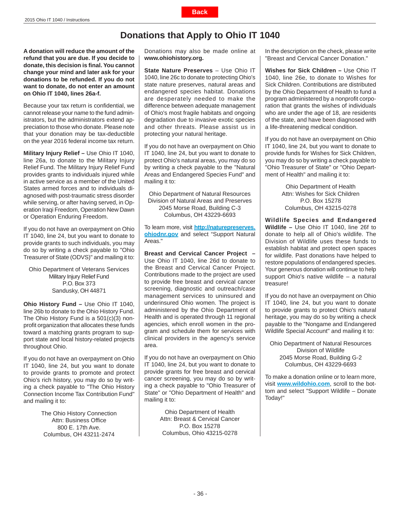# **Donations that Apply to Ohio IT 1040**

<span id="page-35-0"></span>**A donation will reduce the amount of the refund that you are due. If you decide to donate, this decision is fi nal. You cannot change your mind and later ask for your donations to be refunded. If you do not want to donate, do not enter an amount on Ohio IT 1040, lines 26a-f.** 

Because your tax return is confidential, we cannot release your name to the fund administrators, but the administrators extend appreciation to those who donate. Please note that your donation may be tax-deductible on the year 2016 federal income tax return.

**Military Injury Relief –** Use Ohio IT 1040, line 26a, to donate to the Military Injury Relief Fund. The Military Injury Relief Fund provides grants to individuals injured while in active service as a member of the United States armed forces and to individuals diagnosed with post-traumatic stress disorder while serving, or after having served, in Operation Iraqi Freedom, Operation New Dawn or Operation Enduring Freedom.

If you do not have an overpayment on Ohio IT 1040, line 24, but you want to donate to provide grants to such individuals, you may do so by writing a check payable to "Ohio Treasurer of State (ODVS)" and mailing it to:

Ohio Department of Veterans Services Military Injury Relief Fund P.O. Box 373 Sandusky, OH 44871

**Ohio History Fund –** Use Ohio IT 1040, line 26b to donate to the Ohio History Fund. The Ohio History Fund is a 501(c)(3) nonprofit organization that allocates these funds toward a matching grants program to support state and local history-related projects throughout Ohio.

If you do not have an overpayment on Ohio IT 1040, line 24, but you want to donate to provide grants to promote and protect Ohio's rich history, you may do so by writing a check payable to "The Ohio History Connection Income Tax Contribution Fund" and mailing it to:

> The Ohio History Connection Attn: Business Office 800 E. 17th Ave. Columbus, OH 43211-2474

Donations may also be made online at **www.ohiohistory.org.**

**State Nature Preserves** – Use Ohio IT 1040, line 26c to donate to protecting Ohio's state nature preserves, natural areas and endangered species habitat. Donations are desperately needed to make the difference between adequate management of Ohio's most fragile habitats and ongoing degradation due to invasive exotic species and other threats. Please assist us in protecting your natural heritage.

If you do not have an overpayment on Ohio IT 1040, line 24, but you want to donate to protect Ohio's natural areas, you may do so by writing a check payable to the "Natural Areas and Endangered Species Fund" and mailing it to:

Ohio Department of Natural Resources Division of Natural Areas and Preserves 2045 Morse Road, Building C-3 Columbus, OH 43229-6693

To learn more, visit **[http://naturepreserves.](http://naturepreserves.ohiodnr.gov) [ohiodnr.gov](http://naturereserves.ohiodnr.gov)** and select "Support Natural Areas."

**Breast and Cervical Cancer Project –** Use Ohio IT 1040, line 26d to donate to the Breast and Cervical Cancer Project. Contributions made to the project are used to provide free breast and cervical cancer screening, diagnostic and outreach/case management services to uninsured and underinsured Ohio women. The project is administered by the Ohio Department of Health and is operated through 11 regional agencies, which enroll women in the program and schedule them for services with clinical providers in the agency's service area.

If you do not have an overpayment on Ohio IT 1040, line 24, but you want to donate to provide grants for free breast and cervical cancer screening, you may do so by writing a check payable to "Ohio Treasurer of State" or "Ohio Department of Health" and mailing it to:

> Ohio Department of Health Attn: Breast & Cervical Cancer P.O. Box 15278 Columbus, Ohio 43215-0278

In the description on the check, please write "Breast and Cervical Cancer Donation."

**Wishes for Sick Children –** Use Ohio IT 1040, line 26e, to donate to Wishes for Sick Children. Contributions are distributed by the Ohio Department of Health to fund a program administered by a nonprofit corporation that grants the wishes of individuals who are under the age of 18, are residents of the state, and have been diagnosed with a life-threatening medical condition.

If you do not have an overpayment on Ohio IT 1040, line 24, but you want to donate to provide funds for Wishes for Sick Children, you may do so by writing a check payable to "Ohio Treasurer of State" or "Ohio Department of Health" and mailing it to:

> Ohio Department of Health Attn: Wishes for Sick Children P.O. Box 15278 Columbus, OH 43215-0278

**Wildlife Species and Endangered Wildlife –** Use Ohio IT 1040, line 26f to donate to help all of Ohio's wildlife. The Division of Wildlife uses these funds to establish habitat and protect open spaces for wildlife. Past donations have helped to restore populations of endangered species. Your generous donation will continue to help support Ohio's native wildlife – a natural treasure!

If you do not have an overpayment on Ohio IT 1040, line 24, but you want to donate to provide grants to protect Ohio's natural heritage, you may do so by writing a check payable to the "Nongame and Endangered Wildlife Special Account" and mailing it to:

Ohio Department of Natural Resources Division of Wildlife 2045 Morse Road, Building G-2 Columbus, OH 43229-6693

To make a donation online or to learn more, visit **[www.wildohio.com](http://wildohio.com)**, scroll to the bottom and select "Support Wildlife – Donate Today!"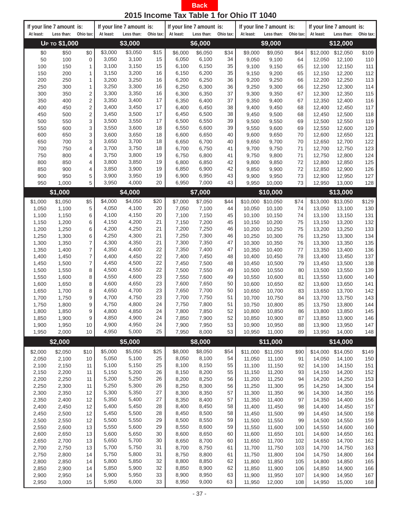<span id="page-36-0"></span>

|                |                           |                   |                |                           |           | 2015 Income Tax Table 1 for Ohio IT 1040 |                |           |                  |                           |            |                  |                           |            |
|----------------|---------------------------|-------------------|----------------|---------------------------|-----------|------------------------------------------|----------------|-----------|------------------|---------------------------|------------|------------------|---------------------------|------------|
|                | If your line 7 amount is: |                   |                | If your line 7 amount is: |           | If your line 7 amount is:                |                |           |                  | If your line 7 amount is: |            |                  | If your line 7 amount is: |            |
| At least:      | Less than:                | Ohio tax:         | At least:      | Less than:                | Ohio tax: | At least:                                | Less than:     | Ohio tax: | At least:        | Less than:                | Ohio tax:  | At least:        | Less than:                | Ohio tax:  |
|                | <b>UP то \$1,000</b>      |                   |                | \$3,000                   |           |                                          | \$6,000        |           |                  | \$9,000                   |            |                  | \$12,000                  |            |
| \$0            | \$50                      | \$0               | \$3,000        | \$3,050                   | \$15      | \$6,000                                  | \$6,050        | \$34      | \$9,000          | \$9,050                   | \$64       | \$12,000         | \$12,050                  | \$109      |
| 50             | 100                       | 0                 | 3,050          | 3,100                     | 15        | 6,050                                    | 6,100          | 34        | 9,050            | 9,100                     | 64         | 12,050           | 12,100                    | 110        |
| 100            | 150                       | 1                 | 3,100          | 3,150                     | 15        | 6,100                                    | 6,150          | 35        | 9,100            | 9,150                     | 65         | 12,100           | 12,150                    | 111        |
| 150            | 200                       | 1                 | 3,150          | 3,200                     | 16        | 6,150                                    | 6,200          | 35        | 9,150            | 9,200                     | 65         | 12,150           | 12,200                    | 112        |
| 200<br>250     | 250<br>300                | $\mathbf{1}$<br>1 | 3,200<br>3,250 | 3,250<br>3,300            | 16<br>16  | 6,200<br>6,250                           | 6,250<br>6,300 | 36<br>36  | 9,200<br>9,250   | 9,250<br>9,300            | 66<br>66   | 12,200<br>12,250 | 12,250<br>12,300          | 113<br>114 |
| 300            | 350                       | 2                 | 3,300          | 3,350                     | 16        | 6,300                                    | 6,350          | 37        | 9,300            | 9,350                     | 67         | 12,300           | 12,350                    | 115        |
| 350            | 400                       | 2                 | 3,350          | 3,400                     | 17        | 6,350                                    | 6,400          | 37        | 9,350            | 9,400                     | 67         | 12,350           | 12,400                    | 116        |
| 400            | 450                       | $\mathbf 2$       | 3,400          | 3,450                     | 17        | 6,400                                    | 6,450          | 38        | 9,400            | 9,450                     | 68         | 12,400           | 12,450                    | 117        |
| 450            | 500                       | $\overline{2}$    | 3,450          | 3,500                     | 17        | 6,450                                    | 6,500          | 38        | 9,450            | 9,500                     | 68         | 12,450           | 12,500                    | 118        |
| 500            | 550                       | 3                 | 3,500          | 3,550                     | 17        | 6,500                                    | 6,550          | 39        | 9,500            | 9,550                     | 69         | 12,500           | 12,550                    | 119        |
| 550            | 600                       | 3                 | 3,550          | 3,600                     | 18        | 6,550                                    | 6,600          | 39        | 9,550            | 9,600                     | 69         | 12,550           | 12,600                    | 120        |
| 600            | 650                       | 3                 | 3,600          | 3,650                     | 18        | 6,600                                    | 6,650          | 40        | 9,600            | 9,650                     | 70         | 12,600           | 12,650                    | 121        |
| 650            | 700                       | 3                 | 3,650          | 3,700                     | 18        | 6,650                                    | 6,700          | 40        | 9,650            | 9,700                     | 70         | 12,650           | 12,700                    | 122        |
| 700<br>750     | 750<br>800                | 4<br>4            | 3,700<br>3,750 | 3,750<br>3,800            | 18<br>19  | 6,700<br>6,750                           | 6,750<br>6,800 | 41<br>41  | 9,700<br>9,750   | 9,750<br>9,800            | 71<br>71   | 12,700<br>12,750 | 12,750<br>12,800          | 123<br>124 |
| 800            | 850                       | 4                 | 3,800          | 3,850                     | 19        | 6,800                                    | 6,850          | 42        | 9,800            | 9,850                     | 72         | 12,800           | 12,850                    | 125        |
| 850            | 900                       | 4                 | 3,850          | 3,900                     | 19        | 6,850                                    | 6,900          | 42        | 9,850            | 9,900                     | 72         | 12,850           | 12,900                    | 126        |
| 900            | 950                       | 5                 | 3,900          | 3,950                     | 19        | 6,900                                    | 6,950          | 43        | 9,900            | 9,950                     | 73         | 12,900           | 12,950                    | 127        |
| 950            | 1,000                     | 5                 | 3,950          | 4,000                     | 20        | 6,950                                    | 7,000          | 43        | 9,950            | 10,000                    | 73         | 12,950           | 13,000                    | 128        |
|                | \$1,000                   |                   |                | \$4,000                   |           |                                          | \$7,000        |           |                  | \$10,000                  |            |                  | \$13,000                  |            |
| \$1,000        | \$1,050                   | \$5               | \$4,000        | \$4,050                   | \$20      | \$7,000                                  | \$7,050        | \$44      |                  | \$10,000 \$10,050         | \$74       | \$13,000         | \$13,050                  | \$129      |
| 1,050          | 1,100                     | 5                 | 4,050          | 4,100                     | 20        | 7,050                                    | 7,100          | 44        | 10,050           | 10,100                    | 74         | 13,050           | 13,100                    | 130        |
| 1,100          | 1,150                     | 6                 | 4,100          | 4,150                     | 20        | 7,100                                    | 7,150          | 45        | 10,100           | 10,150                    | 74         | 13,100           | 13,150                    | 131        |
| 1,150          | 1,200                     | 6                 | 4,150          | 4,200                     | 21        | 7,150                                    | 7,200          | 45        | 10,150           | 10,200                    | 75         | 13,150           | 13,200                    | 132        |
| 1,200          | 1,250                     | 6                 | 4,200          | 4,250                     | 21        | 7,200                                    | 7,250          | 46        | 10,200           | 10,250                    | 75         | 13,200           | 13,250                    | 133        |
| 1,250          | 1,300                     | 6                 | 4,250          | 4,300                     | 21        | 7,250                                    | 7,300          | 46        | 10,250           | 10,300                    | 76         | 13,250           | 13,300                    | 134        |
| 1,300          | 1,350                     | $\overline{7}$    | 4,300          | 4,350                     | 21        | 7,300                                    | 7,350          | 47        | 10,300           | 10,350                    | 76         | 13,300           | 13,350                    | 135        |
| 1,350          | 1,400                     | 7                 | 4,350          | 4,400                     | 22        | 7,350                                    | 7,400          | 47        | 10,350           | 10,400                    | 77         | 13,350           | 13,400                    | 136        |
| 1,400          | 1,450                     | $\overline{7}$    | 4,400          | 4,450                     | 22        | 7,400                                    | 7,450          | 48        | 10,400           | 10,450                    | 78         | 13,400           | 13,450                    | 137        |
| 1,450          | 1,500                     | 7                 | 4,450          | 4,500                     | 22<br>22  | 7,450                                    | 7,500          | 48        | 10,450           | 10,500                    | 79         | 13,450           | 13,500                    | 138        |
| 1,500<br>1,550 | 1,550<br>1,600            | 8<br>8            | 4,500<br>4,550 | 4,550<br>4,600            | 23        | 7,500<br>7,550                           | 7,550<br>7,600 | 49<br>49  | 10,500<br>10,550 | 10,550<br>10,600          | 80<br>81   | 13,500<br>13,550 | 13,550<br>13,600          | 139<br>140 |
| 1,600          | 1,650                     | 8                 | 4,600          | 4,650                     | 23        | 7,600                                    | 7,650          | 50        | 10,600           | 10,650                    | 82         | 13,600           | 13,650                    | 141        |
| 1,650          | 1,700                     | 8                 | 4,650          | 4,700                     | 23        | 7,650                                    | 7,700          | 50        | 10,650           | 10,700                    | 83         | 13.650           | 13,700                    | 142        |
| 1,700          | 1,750                     | 9                 | 4,700          | 4,750                     | 23        | 7,700                                    | 7,750          | 51        | 10,700           | 10,750                    | 84         | 13,700           | 13,750                    | 143        |
| 1,750          | 1,800                     | 9                 | 4,750          | 4,800                     | 24        | 7,750                                    | 7,800          | 51        | 10,750           | 10,800                    | 85         | 13,750           | 13,800                    | 144        |
| 1,800          | 1,850                     | 9                 | 4,800          | 4,850                     | 24        | 7,800                                    | 7,850          | 52        | 10,800           | 10,850                    | 86         | 13,800           | 13,850                    | 145        |
| 1,850          | 1,900                     | 9                 | 4,850          | 4,900                     | 24        | 7,850                                    | 7,900          | 52        | 10,850           | 10,900                    | 87         | 13,850           | 13,900                    | 146        |
| 1,900          | 1,950                     | 10                | 4,900          | 4,950                     | 24        | 7,900                                    | 7,950          | 53        | 10,900           | 10,950                    | 88         | 13,900           | 13,950                    | 147        |
| 1,950          | 2,000                     | 10                | 4,950          | 5,000                     | 25        | 7,950                                    | 8,000          | 53        | 10,950           | 11,000                    | 89         | 13,950           | 14,000                    | 148        |
|                | \$2,000                   |                   |                | \$5,000                   |           |                                          | \$8,000        |           |                  | \$11,000                  |            |                  | \$14,000                  |            |
| \$2,000        | \$2,050                   | \$10              | \$5,000        | \$5,050                   | \$25      | \$8,000                                  | \$8,050        | \$54      | \$11,000         | \$11,050                  | \$90       | \$14,000         | \$14,050                  | \$149      |
| 2,050          | 2,100                     | 10                | 5,050          | 5,100                     | 25        | 8,050                                    | 8,100          | 54        | 11,050           | 11,100                    | 91         | 14,050           | 14,100                    | 150        |
| 2,100          | 2,150                     | 11                | 5,100          | 5,150                     | 25        | 8,100                                    | 8,150          | 55        | 11,100           | 11,150                    | 92         | 14,100           | 14,150                    | 151        |
| 2,150          | 2,200                     | 11                | 5,150          | 5,200                     | 26        | 8,150                                    | 8,200          | 55        | 11,150           | 11,200                    | 93         | 14,150           | 14,200                    | 152        |
| 2,200          | 2,250<br>2,300            | 11<br>11          | 5,200<br>5,250 | 5,250<br>5,300            | 26<br>26  | 8,200<br>8,250                           | 8,250<br>8,300 | 56<br>56  | 11,200           | 11,250<br>11,300          | 94<br>95   | 14,200<br>14,250 | 14,250                    | 153        |
| 2,250<br>2,300 | 2,350                     | 12                | 5,300          | 5,350                     | 27        | 8,300                                    | 8,350          | 57        | 11,250<br>11,300 | 11,350                    | 96         | 14,300           | 14,300<br>14,350          | 154<br>155 |
| 2,350          | 2,400                     | 12                | 5,350          | 5,400                     | 27        | 8,350                                    | 8,400          | 57        | 11,350           | 11,400                    | 97         | 14,350           | 14,400                    | 156        |
| 2,400          | 2,450                     | 12                | 5,400          | 5,450                     | 28        | 8,400                                    | 8,450          | 58        | 11,400           | 11,450                    | 98         | 14,400           | 14,450                    | 157        |
| 2,450          | 2,500                     | 12                | 5,450          | 5,500                     | 28        | 8,450                                    | 8,500          | 58        | 11,450           | 11,500                    | 99         | 14,450           | 14,500                    | 158        |
| 2,500          | 2,550                     | 12                | 5,500          | 5,550                     | 29        | 8,500                                    | 8,550          | 59        | 11,500           | 11,550                    | 99         | 14,500           | 14,550                    | 159        |
| 2,550          | 2,600                     | 13                | 5,550          | 5,600                     | 29        | 8,550                                    | 8,600          | 59        | 11,550           | 11,600                    | 100        | 14,550           | 14,600                    | 160        |
| 2,600          | 2,650                     | 13                | 5,600          | 5,650                     | 30        | 8,600                                    | 8,650          | 60        | 11,600           | 11,650                    | 101        | 14,600           | 14,650                    | 161        |
| 2,650          | 2,700                     | 13                | 5,650          | 5,700                     | 30        | 8,650                                    | 8,700          | 60        | 11,650           | 11,700                    | 102        | 14,650           | 14,700                    | 162        |
| 2,700          | 2,750                     | 13                | 5,700          | 5,750                     | 31        | 8,700                                    | 8,750          | 61        | 11,700           | 11,750                    | 103        | 14,700           | 14,750                    | 163        |
| 2,750          | 2,800                     | 14<br>14          | 5,750<br>5,800 | 5,800<br>5,850            | 31<br>32  | 8,750<br>8,800                           | 8,800<br>8,850 | 61<br>62  | 11,750           | 11,800                    | 104<br>105 | 14,750           | 14,800                    | 164        |
| 2,800<br>2,850 | 2,850<br>2,900            | 14                | 5,850          | 5,900                     | 32        | 8,850                                    | 8,900          | 62        | 11,800<br>11,850 | 11,850<br>11,900          | 106        | 14,800<br>14,850 | 14,850<br>14,900          | 165<br>166 |
| 2,900          | 2,950                     | 14                | 5,900          | 5,950                     | 33        | 8,900                                    | 8,950          | 63        | 11,900           | 11,950                    | 107        | 14,900           | 14,950                    | 167        |
| 2,950          | 3,000                     | 15                | 5,950          | 6,000                     | 33        | 8,950                                    | 9,000          | 63        | 11,950           | 12,000                    | 108        | 14,950           | 15,000                    | 168        |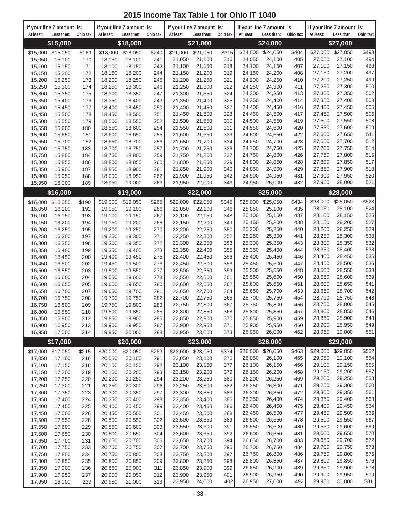| At least:        | If your line 7 amount is:<br>Less than: | Ohio tax:  | At least:        | If your line 7 amount is:<br>Less than: | Ohio tax:  | At least:        | If your line 7 amount is:<br>Less than: | Ohio tax:  | If your line 7 amount is:<br>At least: | Less than:       | Ohio tax:  | At least:        | If your line 7 amount is:<br>Less than: | Ohio tax:  |
|------------------|-----------------------------------------|------------|------------------|-----------------------------------------|------------|------------------|-----------------------------------------|------------|----------------------------------------|------------------|------------|------------------|-----------------------------------------|------------|
|                  | \$15,000                                |            |                  | \$18,000                                |            |                  | \$21,000                                |            |                                        | \$24,000         |            |                  | \$27,000                                |            |
| \$15,000         | \$15,050                                | \$169      | \$18,000         | \$18,050                                | \$240      | \$21,000         | \$21,050                                | \$315      | \$24,000                               | \$24,050         | \$404      | \$27,000         | \$27,050                                | \$493      |
| 15,050           | 15,100                                  | 170        | 18,050           | 18,100                                  | 241        | 21,050           | 21,100                                  | 316        | 24,050                                 | 24,100           | 405        | 27,050           | 27,100                                  | 494        |
| 15,100           | 15,150                                  | 171        | 18,100           | 18,150                                  | 242        | 21,100           | 21,150                                  | 318        | 24,100                                 | 24,150           | 407        | 27,100           | 27,150                                  | 496        |
| 15,150           | 15,200                                  | 172        | 18,150           | 18,200                                  | 244        | 21,150           | 21,200                                  | 319        | 24,150                                 | 24,200           | 408        | 27,150           | 27,200                                  | 497        |
| 15,200           | 15,250                                  | 173        | 18,200           | 18,250                                  | 245        | 21,200           | 21,250                                  | 321        | 24,200                                 | 24,250           | 410        | 27,200<br>27,250 | 27,250<br>27,300                        | 499<br>500 |
| 15,250<br>15,300 | 15,300<br>15,350                        | 174<br>175 | 18,250<br>18,300 | 18,300<br>18,350                        | 246<br>247 | 21,250<br>21,300 | 21,300<br>21,350                        | 322<br>324 | 24,250<br>24,300                       | 24,300<br>24,350 | 411<br>413 | 27,300           | 27,350                                  | 502        |
| 15,350           | 15,400                                  | 176        | 18,350           | 18,400                                  | 249        | 21,350           | 21,400                                  | 325        | 24,350                                 | 24,400           | 414        | 27,350           | 27,400                                  | 503        |
| 15,400           | 15,450                                  | 177        | 18,400           | 18,450                                  | 250        | 21,400           | 21,450                                  | 327        | 24,400                                 | 24,450           | 416        | 27,400           | 27,450                                  | 505        |
| 15,450           | 15,500                                  | 178        | 18,450           | 18,500                                  | 251        | 21,450           | 21,500                                  | 328        | 24,450                                 | 24,500           | 417        | 27,450           | 27,500                                  | 506        |
| 15,500           | 15,550                                  | 179        | 18,500           | 18,550                                  | 252        | 21,500           | 21,550                                  | 330        | 24,500                                 | 24,550           | 419        | 27,500           | 27,550                                  | 508        |
| 15,550           | 15,600                                  | 180        | 18,550           | 18,600                                  | 254        | 21,550<br>21,600 | 21,600<br>21,650                        | 331<br>333 | 24,550<br>24,600                       | 24,600<br>24,650 | 420<br>422 | 27,550<br>27,600 | 27,600<br>27,650                        | 509<br>511 |
| 15,600<br>15,650 | 15,650<br>15,700                        | 181<br>182 | 18,600<br>18,650 | 18,650<br>18,700                        | 255<br>256 | 21,650           | 21,700                                  | 334        | 24,650                                 | 24,700           | 423        | 27,650           | 27,700                                  | 512        |
| 15,700           | 15,750                                  | 183        | 18,700           | 18,750                                  | 257        | 21,700           | 21,750                                  | 336        | 24,700                                 | 24,750           | 425        | 27,700           | 27,750                                  | 514        |
| 15,750           | 15,800                                  | 184        | 18,750           | 18,800                                  | 259        | 21,750           | 21,800                                  | 337        | 24,750                                 | 24,800           | 426        | 27,750           | 27,800                                  | 515        |
| 15,800           | 15,850                                  | 186        | 18,800           | 18,850                                  | 260        | 21,800           | 21,850                                  | 339        | 24,800                                 | 24,850           | 428        | 27,800           | 27,850                                  | 517        |
| 15,850           | 15,900                                  | 187        | 18,850           | 18,900                                  | 261        | 21,850           | 21,900                                  | 340        | 24,850                                 | 24,900           | 429        | 27,850           | 27,900                                  | 518        |
| 15,900<br>15,950 | 15,950<br>16,000                        | 188<br>189 | 18,900<br>18,950 | 18,950<br>19,000                        | 262<br>263 | 21,900<br>21,950 | 21,950<br>22,000                        | 342<br>343 | 24,900<br>24,950                       | 24,950<br>25,000 | 431<br>432 | 27,900<br>27,950 | 27,950<br>28,000                        | 520<br>521 |
|                  |                                         |            |                  |                                         |            |                  |                                         |            |                                        |                  |            |                  |                                         |            |
|                  | \$16,000                                |            |                  | \$19,000                                |            |                  | \$22,000                                |            |                                        | \$25,000         |            |                  | \$28,000                                |            |
| \$16,000         | \$16,050                                | \$190      | \$19,000         | \$19,050                                | \$265      | \$22,000         | \$22,050                                | \$345      | \$25,000                               | \$25,050         | \$434      | \$28,000         | \$28,050                                | \$523      |
| 16,050           | 16,100<br>16,150                        | 192<br>193 | 19,050<br>19,100 | 19,100<br>19,150                        | 266<br>267 | 22,050<br>22,100 | 22,100<br>22,150                        | 346<br>348 | 25,050<br>25,100                       | 25,100<br>25,150 | 435<br>437 | 28,050<br>28,100 | 28,100<br>28,150                        | 524<br>526 |
| 16,100<br>16,150 | 16,200                                  | 194        | 19,150           | 19,200                                  | 268        | 22,150           | 22,200                                  | 349        | 25,150                                 | 25,200           | 438        | 28,150           | 28,200                                  | 527        |
| 16,200           | 16,250                                  | 195        | 19,200           | 19,250                                  | 270        | 22,200           | 22,250                                  | 350        | 25,200                                 | 25,250           | 440        | 28,200           | 28,250                                  | 529        |
| 16,250           | 16,300                                  | 197        | 19,250           | 19,300                                  | 271        | 22,250           | 22,300                                  | 352        | 25,250                                 | 25,300           | 441        | 28,250           | 28,300                                  | 530        |
| 16,300           | 16,350                                  | 198        | 19,300           | 19,350                                  | 272        | 22,300           | 22,350                                  | 353        | 25,300                                 | 25,350           | 443        | 28,300           | 28,350                                  | 532        |
| 16,350           | 16,400                                  | 199        | 19,350           | 19,400                                  | 273        | 22,350           | 22,400                                  | 355        | 25,350                                 | 25,400           | 444        | 28,350           | 28,400                                  | 533        |
| 16,400<br>16,450 | 16,450<br>16,500                        | 200<br>202 | 19,400<br>19,450 | 19,450<br>19,500                        | 275<br>276 | 22,400<br>22,450 | 22,450<br>22,500                        | 356<br>358 | 25,400<br>25,450                       | 25,450<br>25,500 | 446<br>447 | 28,400<br>28,450 | 28,450<br>28,500                        | 535<br>536 |
| 16,500           | 16,550                                  | 203        | 19,500           | 19,550                                  | 277        | 22,500           | 22,550                                  | 359        | 25,500                                 | 25,550           | 448        | 28,500           | 28,550                                  | 538        |
| 16,550           | 16,600                                  | 204        | 19,550           | 19,600                                  | 278        | 22,550           | 22,600                                  | 361        | 25,550                                 | 25,600           | 450        | 28,550           | 28,600                                  | 539        |
| 16,600           | 16,650                                  | 205        | 19,600           | 19,650                                  | 280        | 22,600           | 22,650                                  | 362        | 25,600                                 | 25,650           | 451        | 28,600           | 28,650                                  | 541        |
| 16,650           | 16,700                                  | 207        | 19,650           | 19,700                                  | 281        | 22,650           | 22,700                                  | 364        | 25,650                                 | 25,700           | 453        | 28,650           | 28,700                                  | 542        |
| 16,700           | 16,750                                  | 208        | 19,700           | 19,750                                  | 282        | 22,700           | 22,750                                  | 365        | 25,700                                 | 25,750           | 454        | 28,700           | 28,750                                  | 543        |
| 16,750<br>16,800 | 16,800<br>16,850                        | 209<br>210 | 19,750<br>19,800 | 19,800<br>19,850                        | 283<br>285 | 22,750<br>22,800 | 22,800<br>22,850                        | 367<br>368 | 25,750<br>25,800                       | 25,800<br>25,850 | 456<br>457 | 28,750<br>28,800 | 28,800<br>28,850                        | 545<br>546 |
| 16,850           | 16,900                                  | 212        | 19,850           | 19,900                                  | 286        | 22,850           | 22,900                                  | 370        | 25,850                                 | 25,900           | 459        | 28,850           | 28,900                                  | 548        |
| 16,900           | 16,950                                  | 213        | 19,900           | 19,950                                  | 287        | 22,900           | 22,950                                  | 371        | 25,900                                 | 25,950           | 460        | 28,900           | 28,950                                  | 549        |
| 16,950           | 17,000                                  | 214        | 19,950           | 20,000                                  | 288        | 22,950           | 23,000                                  | 373        | 25,950                                 | 26,000           | 462        | 28,950           | 29,000                                  | 551        |
|                  | \$17,000                                |            |                  | \$20,000                                |            |                  | \$23,000                                |            |                                        | \$26,000         |            |                  | \$29,000                                |            |
| \$17,000         | \$17,050                                | \$215      | \$20,000         | \$20,050                                | \$289      | \$23,000         | \$23,050                                | \$374      | \$26,000                               | \$26,050         | \$463      | \$29,000         | \$29,050                                | \$552      |
| 17,050           | 17,100                                  | 216        | 20,050           | 20,100                                  | 291        | 23,050           | 23,100                                  | 376        | 26,050                                 | 26,100           | 465        | 29,050           | 29,100                                  | 554        |
| 17,100           | 17,150                                  | 218        | 20,100           | 20,150                                  | 292        | 23,100           | 23,150                                  | 377        | 26,100                                 | 26,150           | 466        | 29,100           | 29,150                                  | 555        |
| 17,150           | 17,200                                  | 219        | 20,150           | 20,200                                  | 293        | 23,150           | 23,200                                  | 379        | 26,150                                 | 26,200           | 468        | 29,150           | 29,200                                  | 557        |
| 17,200<br>17,250 | 17,250<br>17,300                        | 220<br>221 | 20,200<br>20,250 | 20,250<br>20,300                        | 294<br>296 | 23,200<br>23,250 | 23,250<br>23,300                        | 380<br>382 | 26,200<br>26,250                       | 26,250<br>26,300 | 469<br>471 | 29,200<br>29,250 | 29,250<br>29,300                        | 558<br>560 |
| 17,300           | 17,350                                  | 223        | 20,300           | 20,350                                  | 297        | 23,300           | 23,350                                  | 383        | 26,300                                 | 26,350           | 472        | 29,300           | 29,350                                  | 561        |
| 17,350           | 17,400                                  | 224        | 20,350           | 20,400                                  | 298        | 23,350           | 23,400                                  | 385        | 26,350                                 | 26,400           | 474        | 29,350           | 29,400                                  | 563        |
| 17,400           | 17,450                                  | 225        | 20,400           | 20,450                                  | 299        | 23,400           | 23,450                                  | 386        | 26,400                                 | 26,450           | 475        | 29,400           | 29,450                                  | 564        |
| 17,450           | 17,500                                  | 226        | 20,450           | 20,500                                  | 301        | 23,450           | 23,500                                  | 388        | 26,450                                 | 26,500           | 477        | 29,450           | 29,500                                  | 566        |
| 17,500           | 17,550                                  | 228        | 20,500           | 20,550                                  | 302        | 23,500           | 23,550                                  | 389        | 26,500                                 | 26,550           | 478        | 29,500           | 29,550                                  | 567        |
| 17,550           | 17,600                                  | 229<br>230 | 20,550           | 20,600                                  | 303<br>304 | 23,550<br>23,600 | 23,600<br>23,650                        | 391<br>392 | 26,550<br>26,600                       | 26,600<br>26,650 | 480<br>481 | 29,550<br>29,600 | 29,600<br>29,650                        | 569<br>570 |
| 17,600<br>17,650 | 17,650<br>17,700                        | 231        | 20,600<br>20,650 | 20,650<br>20,700                        | 306        | 23,650           | 23,700                                  | 394        | 26,650                                 | 26,700           | 483        | 29,650           | 29,700                                  | 572        |
| 17,700           | 17,750                                  | 233        | 20,700           | 20,750                                  | 307        | 23,700           | 23,750                                  | 395        | 26,700                                 | 26,750           | 484        | 29,700           | 29,750                                  | 573        |
| 17,750           | 17,800                                  | 234        | 20,750           | 20,800                                  | 308        | 23,750           | 23,800                                  | 397        | 26,750                                 | 26,800           | 486        | 29,750           | 29,800                                  | 575        |
| 17,800           | 17,850                                  | 235        | 20,800           | 20,850                                  | 309        | 23,800           | 23,850                                  | 398        | 26,800                                 | 26,850           | 487        | 29,800           | 29,850                                  | 576        |
| 17,850           | 17,900                                  | 236        | 20,850           | 20,900                                  | 311        | 23,850           | 23,900                                  | 399        | 26,850                                 | 26,900           | 489        | 29,850           | 29,900                                  | 578        |
| 17,900<br>17,950 | 17,950<br>18,000                        | 237<br>239 | 20,900<br>20,950 | 20,950<br>21,000                        | 312<br>313 | 23,900<br>23,950 | 23,950<br>24,000                        | 401<br>402 | 26,900<br>26,950                       | 26,950<br>27,000 | 490<br>492 | 29,900<br>29,950 | 29,950<br>30,000                        | 579<br>581 |
|                  |                                         |            |                  |                                         |            |                  |                                         |            |                                        |                  |            |                  |                                         |            |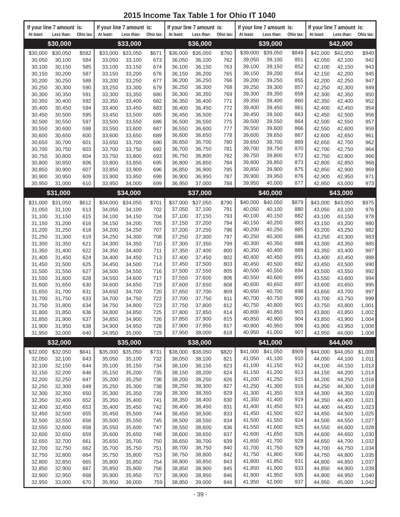|                    | If your line 7 amount is: |              | If your line 7 amount is: |                        |              |                    | If your line 7 amount is: |              | If your line 7 amount is: |                        |              | If your line 7 amount is: |                        |                |
|--------------------|---------------------------|--------------|---------------------------|------------------------|--------------|--------------------|---------------------------|--------------|---------------------------|------------------------|--------------|---------------------------|------------------------|----------------|
| At least:          | Less than:<br>\$30,000    |              | Ohio tax: At least:       | Less than:<br>\$33,000 | Ohio tax:    | At least:          | Less than:<br>\$36,000    | Ohio tax:    | At least:                 | Less than:<br>\$39,000 | Ohio tax:    | At least:                 | Less than:<br>\$42,000 | Ohio tax:      |
|                    |                           |              |                           |                        |              | \$36,000           | \$36,050                  | \$760        | \$39,000                  | \$39,050               | \$849        | \$42,000                  | \$42,050               |                |
| \$30,000<br>30,050 | \$30,050<br>30,100        | \$582<br>584 | \$33,000<br>33,050        | \$33,050<br>33,100     | \$671<br>673 | 36,050             | 36,100                    | 762          | 39.050                    | 39,100                 | 851          | 42,050                    | 42,100                 | \$940<br>942   |
| 30,100             | 30,150                    | 585          | 33,100                    | 33,150                 | 674          | 36,100             | 36,150                    | 763          | 39,100                    | 39,150                 | 852          | 42,100                    | 42,150                 | 943            |
| 30,150             | 30,200                    | 587          | 33,150                    | 33,200                 | 676          | 36,150             | 36,200                    | 765          | 39,150                    | 39,200                 | 854          | 42,150                    | 42,200                 | 945            |
| 30,200             | 30,250                    | 588          | 33,200                    | 33,250                 | 677          | 36,200             | 36,250                    | 766          | 39,200                    | 39,250                 | 855          | 42,200                    | 42,250                 | 947            |
| 30,250             | 30,300                    | 590          | 33,250                    | 33,300                 | 679          | 36,250             | 36,300                    | 768          | 39,250                    | 39,300                 | 857          | 42,250                    | 42,300                 | 949            |
| 30,300             | 30,350                    | 591          | 33,300                    | 33,350                 | 680          | 36,300             | 36,350                    | 769          | 39,300                    | 39,350                 | 858          | 42,300                    | 42,350                 | 950            |
| 30,350<br>30,400   | 30,400<br>30,450          | 592<br>594   | 33,350<br>33,400          | 33,400<br>33,450       | 682<br>683   | 36,350<br>36,400   | 36,400<br>36,450          | 771<br>772   | 39,350<br>39,400          | 39,400<br>39,450       | 860<br>861   | 42,350<br>42,400          | 42,400<br>42,450       | 952<br>954     |
| 30,450             | 30,500                    | 595          | 33,450                    | 33,500                 | 685          | 36,450             | 36,500                    | 774          | 39,450                    | 39,500                 | 863          | 42,450                    | 42,500                 | 956            |
| 30,500             | 30,550                    | 597          | 33,500                    | 33,550                 | 686          | 36,500             | 36,550                    | 775          | 39,500                    | 39,550                 | 864          | 42,500                    | 42,550                 | 957            |
| 30,550             | 30,600                    | 598          | 33,550                    | 33,600                 | 687          | 36,550             | 36,600                    | 777          | 39,550                    | 39,600                 | 866          | 42,550                    | 42,600                 | 959            |
| 30,600             | 30,650                    | 600          | 33,600                    | 33,650                 | 689          | 36,600             | 36,650                    | 778          | 39,600                    | 39,650                 | 867          | 42,600                    | 42,650                 | 961            |
| 30,650             | 30,700                    | 601          | 33,650                    | 33,700                 | 690          | 36,650             | 36,700                    | 780          | 39,650                    | 39,700                 | 869          | 42,650                    | 42,700                 | 962            |
| 30,700             | 30,750                    | 603          | 33,700                    | 33,750                 | 692          | 36,700             | 36,750                    | 781          | 39,700                    | 39,750                 | 870          | 42,700                    | 42,750                 | 964            |
| 30,750             | 30,800                    | 604          | 33,750                    | 33,800                 | 693          | 36,750             | 36,800                    | 782          | 39.750                    | 39,800                 | 872          | 42,750                    | 42,800                 | 966            |
| 30,800             | 30,850                    | 606          | 33,800                    | 33,850                 | 695          | 36,800             | 36,850                    | 784          | 39,800<br>39,850          | 39,850                 | 873<br>875   | 42,800                    | 42,850                 | 968            |
| 30,850<br>30,900   | 30,900<br>30,950          | 607<br>609   | 33,850<br>33,900          | 33,900<br>33,950       | 696<br>698   | 36,850<br>36,900   | 36,900<br>36,950          | 785<br>787   | 39.900                    | 39,900<br>39,950       | 876          | 42,850<br>42,900          | 42,900<br>42,950       | 969<br>971     |
| 30,950             | 31,000                    | 610          | 33,950                    | 34,000                 | 699          | 36,950             | 37,000                    | 788          | 39,950                    | 40,000                 | 877          | 42,950                    | 43,000                 | 973            |
|                    | \$31,000                  |              |                           | \$34,000               |              |                    | \$37,000                  |              |                           | \$40,000               |              |                           | \$43,000               |                |
|                    |                           |              |                           |                        |              |                    |                           |              |                           |                        |              |                           |                        |                |
| \$31,000<br>31,050 | \$31,050<br>31,100        | \$612<br>613 | \$34,000<br>34,050        | \$34,050<br>34,100     | \$701<br>702 | \$37,000<br>37,050 | \$37,050<br>37,100        | \$790<br>791 | \$40,000<br>40,050        | \$40,050<br>40,100     | \$879<br>880 | \$43,000<br>43,050        | \$43,050<br>43.100     | \$975<br>976   |
| 31,100             | 31,150                    | 615          | 34,100                    | 34,150                 | 704          | 37,100             | 37,150                    | 793          | 40,100                    | 40,150                 | 882          | 43,100                    | 43,150                 | 978            |
| 31,150             | 31,200                    | 616          | 34,150                    | 34,200                 | 705          | 37,150             | 37,200                    | 794          | 40,150                    | 40,200                 | 883          | 43,150                    | 43,200                 | 980            |
| 31,200             | 31,250                    | 618          | 34,200                    | 34,250                 | 707          | 37,200             | 37,250                    | 796          | 40,200                    | 40,250                 | 885          | 43,200                    | 43,250                 | 982            |
| 31,250             | 31,300                    | 619          | 34,250                    | 34,300                 | 708          | 37,250             | 37,300                    | 797          | 40,250                    | 40,300                 | 886          | 43,250                    | 43,300                 | 983            |
| 31,300             | 31,350                    | 621          | 34,300                    | 34,350                 | 710          | 37,300             | 37,350                    | 799          | 40,300                    | 40,350                 | 888          | 43,300                    | 43,350                 | 985            |
| 31,350             | 31,400                    | 622          | 34,350                    | 34,400                 | 711          | 37,350             | 37,400                    | 800          | 40,350                    | 40,400                 | 889          | 43,350                    | 43,400                 | 987            |
| 31,400             | 31,450                    | 624          | 34,400                    | 34,450                 | 713          | 37,400             | 37,450                    | 802          | 40,400                    | 40,450                 | 891          | 43,400                    | 43,450                 | 988            |
| 31,450             | 31,500                    | 625          | 34,450                    | 34,500                 | 714          | 37,450             | 37,500                    | 803          | 40,450                    | 40,500                 | 892          | 43,450                    | 43,500                 | 990            |
| 31,500<br>31,550   | 31,550<br>31,600          | 627<br>628   | 34,500<br>34,550          | 34,550<br>34,600       | 716<br>717   | 37,500<br>37,550   | 37,550<br>37,600          | 805<br>806   | 40,500<br>40,550          | 40,550<br>40,600       | 894<br>895   | 43,500<br>43,550          | 43,550<br>43,600       | 992<br>994     |
| 31,600             | 31,650                    | 630          | 34,600                    | 34,650                 | 719          | 37,600             | 37,650                    | 808          | 40,600                    | 40.650                 | 897          | 43.600                    | 43,650                 | 995            |
| 31,650             | 31,700                    | 631          | 34,650                    | 34,700                 | 720          | 37,650             | 37,700                    | 809          | 40,650                    | 40,700                 | 898          | 43,650                    | 43,700                 | 997            |
| 31,700             | 31,750                    | 633          | 34,700                    | 34,750                 | 722          | 37,700             | 37,750                    | 811          | 40,700                    | 40,750                 | 900          | 43,700                    | 43,750                 | 999            |
| 31,750             | 31,800                    | 634          | 34,750                    | 34,800                 | 723          | 37,750             | 37,800                    | 812          | 40,750                    | 40,800                 | 901          | 43,750                    | 43,800                 | 1,001          |
| 31,800             | 31,850                    | 636          | 34,800                    | 34,850                 | 725          | 37,800             | 37,850                    | 814          | 40,800                    | 40,850                 | 903          | 43,800                    | 43,850                 | 1,002          |
| 31,850             | 31,900                    | 637          | 34,850                    | 34,900                 | 726          | 37,850             | 37,900                    | 815          | 40,850                    | 40,900                 | 904          | 43,850                    | 43,900                 | 1,004          |
| 31,900             | 31,950                    | 638          | 34,900                    | 34,950                 | 728          | 37,900             | 37,950                    | 817          | 40,900                    | 40,950                 | 906          | 43,900                    | 43,950                 | 1,006          |
| 31,950             | 32,000                    | 640          | 34,950                    | 35,000                 | 729          | 37,950             | 38,000                    | 818          | 40,950                    | 41,000                 | 907          | 43,950                    | 44,000                 | 1,008          |
|                    | \$32,000                  |              |                           | \$35,000               |              |                    | \$38,000                  |              |                           | \$41,000               |              |                           | \$44,000               |                |
|                    | \$32,000 \$32,050         | \$641        | \$35,000                  | \$35,050               | \$731        | \$38,000 \$38,050  |                           | \$820        | \$41,000                  | \$41,050               | \$909        | \$44,000                  | \$44,050               | \$1,009        |
| 32,050             | 32,100                    | 643          | 35,050                    | 35,100                 | 732          | 38,050             | 38,100                    | 821          | 41,050                    | 41,100                 | 910          | 44,050                    | 44,100                 | 1,011          |
| 32,100             | 32,150                    | 644<br>646   | 35,100                    | 35,150                 | 734<br>735   | 38,100<br>38,150   | 38,150<br>38,200          | 823<br>824   | 41,100<br>41,150          | 41,150<br>41,200       | 912<br>913   | 44,100<br>44,150          | 44,150<br>44,200       | 1,013          |
| 32,150<br>32,200   | 32,200<br>32,250          | 647          | 35,150<br>35,200          | 35,200<br>35,250       | 736          | 38,200             | 38,250                    | 826          | 41,200                    | 41,250                 | 915          | 44,200                    | 44,250                 | 1,014<br>1,016 |
| 32,250             | 32,300                    | 649          | 35,250                    | 35,300                 | 738          | 38,250             | 38,300                    | 827          | 41,250                    | 41,300                 | 916          | 44,250                    | 44,300                 | 1,018          |
| 32,300             | 32,350                    | 650          | 35,300                    | 35,350                 | 739          | 38,300             | 38,350                    | 829          | 41,300                    | 41,350                 | 918          | 44,300                    | 44,350                 | 1,020          |
| 32,350             | 32,400                    | 652          | 35,350                    | 35,400                 | 741          | 38,350             | 38,400                    | 830          | 41,350                    | 41,400                 | 919          | 44,350                    | 44,400                 | 1,021          |
| 32,400             | 32,450                    | 653          | 35,400                    | 35,450                 | 742          | 38,400             | 38,450                    | 831          | 41,400                    | 41,450                 | 921          | 44,400                    | 44,450                 | 1,023          |
| 32,450             | 32,500                    | 655          | 35,450                    | 35,500                 | 744          | 38,450             | 38,500                    | 833          | 41,450                    | 41,500                 | 922          | 44,450                    | 44,500                 | 1,025          |
| 32,500             | 32,550                    | 656          | 35,500                    | 35,550                 | 745          | 38,500             | 38,550                    | 834          | 41,500                    | 41,550                 | 924          | 44,500                    | 44,550                 | 1,027          |
| 32,550             | 32,600                    | 658          | 35,550                    | 35,600                 | 747          | 38,550             | 38,600                    | 836          | 41,550                    | 41,600                 | 925          | 44,550                    | 44,600                 | 1,028          |
| 32,600<br>32,650   | 32,650<br>32,700          | 659<br>661   | 35,600<br>35,650          | 35,650<br>35,700       | 748<br>750   | 38,600<br>38,650   | 38,650<br>38,700          | 837<br>839   | 41,600<br>41,650          | 41,650<br>41,700       | 926<br>928   | 44,600<br>44,650          | 44,650<br>44,700       | 1,030<br>1,032 |
| 32,700             | 32,750                    | 662          | 35,700                    | 35,750                 | 751          | 38,700             | 38,750                    | 840          | 41,700                    | 41,750                 | 929          | 44,700                    | 44,750                 | 1,034          |
| 32,750             | 32,800                    | 664          | 35,750                    | 35,800                 | 753          | 38,750             | 38,800                    | 842          | 41,750                    | 41,800                 | 930          | 44,750                    | 44,800                 | 1,035          |
| 32,800             | 32,850                    | 665          | 35,800                    | 35,850                 | 754          | 38,800             | 38,850                    | 843          | 41,800                    | 41,850                 | 931          | 44,800                    | 44,850                 | 1,037          |
| 32,850             | 32,900                    | 667          | 35,850                    | 35,900                 | 756          | 38,850             | 38,900                    | 845          | 41,850                    | 41,900                 | 933          | 44,850                    | 44,900                 | 1,039          |
| 32,900             | 32,950                    | 668          | 35,900                    | 35,950                 | 757          | 38,900             | 38,950                    | 846          | 41,900                    | 41,950                 | 935          | 44,900                    | 44,950                 | 1,040          |
| 32,950             | 33,000                    | 670          | 35,950                    | 36,000                 | 759          | 38,950             | 39,000                    | 848          | 41,950                    | 42,000                 | 937          | 44,950                    | 45,000                 | 1,042          |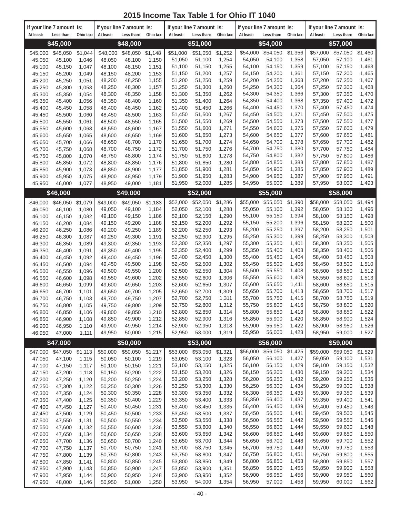|                  | If your line 7 amount is: |                |                  | If your line 7 amount is: |                |                  | If your line 7 amount is: |                |                  | If your line 7 amount is: |                |                  | If your line 7 amount is: |                |
|------------------|---------------------------|----------------|------------------|---------------------------|----------------|------------------|---------------------------|----------------|------------------|---------------------------|----------------|------------------|---------------------------|----------------|
| At least:        | Less than:                | Ohio tax:      | At least:        | Less than:                | Ohio tax:      | At least:        | Less than:                | Ohio tax:      | At least:        | Less than:                | Ohio tax:      | At least:        | Less than:                | Ohio tax:      |
|                  | \$45,000                  |                |                  | \$48,000                  |                |                  | \$51,000                  |                |                  | \$54,000                  |                |                  | \$57,000                  |                |
| \$45,000         | \$45,050                  | \$1,044        | \$48,000         | \$48,050                  | \$1,148        | \$51,000         | \$51,050                  | \$1,252        | \$54,000         | \$54,050                  | \$1,356        | \$57,000         | \$57,050                  | \$1,460        |
| 45,050           | 45,100                    | 1,046          | 48,050           | 48,100                    | 1,150          | 51,050<br>51,100 | 51,100<br>51,150          | 1,254<br>1,255 | 54,050<br>54,100 | 54,100<br>54,150          | 1,358<br>1,359 | 57,050<br>57,100 | 57,100<br>57,150          | 1,461<br>1,463 |
| 45,100<br>45,150 | 45,150<br>45,200          | 1,047<br>1,049 | 48,100<br>48,150 | 48,150<br>48,200          | 1,151<br>1,153 | 51,150           | 51,200                    | 1,257          | 54,150           | 54,200                    | 1,361          | 57,150           | 57,200                    | 1,465          |
| 45,200           | 45,250                    | 1,051          | 48,200           | 48,250                    | 1,155          | 51,200           | 51,250                    | 1,259          | 54,200           | 54,250                    | 1,363          | 57,200           | 57,250                    | 1,467          |
| 45,250           | 45,300                    | 1,053          | 48,250           | 48,300                    | 1,157          | 51,250           | 51,300                    | 1,260          | 54,250           | 54,300                    | 1,364          | 57,250           | 57,300                    | 1,468          |
| 45,300           | 45,350                    | 1,054          | 48,300           | 48,350                    | 1,158          | 51,300           | 51,350                    | 1,262          | 54,300           | 54,350                    | 1,366          | 57,300           | 57,350                    | 1,470          |
| 45,350           | 45,400                    | 1,056          | 48,350           | 48,400                    | 1,160          | 51,350           | 51,400                    | 1,264          | 54,350           | 54,400                    | 1,368          | 57,350           | 57,400                    | 1,472          |
| 45,400           | 45,450                    | 1,058          | 48,400           | 48,450                    | 1,162          | 51,400           | 51,450                    | 1,266          | 54,400           | 54,450                    | 1,370          | 57,400           | 57,450                    | 1,474          |
| 45,450<br>45,500 | 45,500<br>45,550          | 1,060<br>1,061 | 48,450<br>48,500 | 48,500<br>48,550          | 1,163<br>1,165 | 51,450<br>51,500 | 51,500<br>51,550          | 1,267<br>1,269 | 54,450<br>54,500 | 54,500<br>54,550          | 1,371<br>1,373 | 57,450<br>57,500 | 57,500<br>57,550          | 1,475<br>1,477 |
| 45,550           | 45,600                    | 1,063          | 48,550           | 48,600                    | 1,167          | 51,550           | 51,600                    | 1,271          | 54,550           | 54,600                    | 1,375          | 57,550           | 57,600                    | 1,479          |
| 45,600           | 45,650                    | 1,065          | 48,600           | 48,650                    | 1,169          | 51,600           | 51,650                    | 1,273          | 54,600           | 54,650                    | 1,377          | 57,600           | 57,650                    | 1,481          |
| 45,650           | 45,700                    | 1,066          | 48,650           | 48,700                    | 1,170          | 51,650           | 51,700                    | 1,274          | 54,650           | 54,700                    | 1,378          | 57,650           | 57,700                    | 1,482          |
| 45,700           | 45,750                    | 1,068          | 48,700           | 48,750                    | 1,172          | 51,700           | 51,750                    | 1,276          | 54,700           | 54,750                    | 1,380          | 57,700           | 57,750                    | 1,484          |
| 45,750           | 45,800                    | 1,070          | 48,750           | 48,800                    | 1,174          | 51,750           | 51,800                    | 1,278          | 54,750           | 54,800                    | 1,382          | 57,750           | 57,800                    | 1,486          |
| 45,800           | 45,850                    | 1,072          | 48,800           | 48,850                    | 1,176          | 51,800           | 51,850                    | 1,280          | 54,800           | 54,850                    | 1,383          | 57,800           | 57,850                    | 1,487          |
| 45,850           | 45,900<br>45,950          | 1,073<br>1,075 | 48,850<br>48,900 | 48,900<br>48,950          | 1,177<br>1,179 | 51,850<br>51,900 | 51,900<br>51,950          | 1,281<br>1,283 | 54,850<br>54,900 | 54,900<br>54,950          | 1,385<br>1,387 | 57,850<br>57,900 | 57,900<br>57,950          | 1,489<br>1,491 |
| 45,900<br>45,950 | 46,000                    | 1,077          | 48,950           | 49,000                    | 1,181          | 51,950           | 52,000                    | 1,285          | 54,950           | 55,000                    | 1,389          | 57,950           | 58,000                    | 1,493          |
|                  |                           |                |                  |                           |                |                  |                           |                |                  |                           |                |                  |                           |                |
|                  | \$46,000                  |                |                  | \$49,000                  |                |                  | \$52,000                  |                |                  | \$55,000                  |                |                  | \$58,000                  |                |
| \$46,000         | \$46,050                  | \$1,079        | \$49,000         | \$49,050                  | \$1,183        | \$52,000         | \$52,050                  | \$1,286        | \$55,000         | \$55,050                  | \$1,390        | \$58,000         | \$58,050                  | \$1,494        |
| 46,050           | 46,100<br>46,150          | 1,080<br>1,082 | 49,050<br>49,100 | 49,100<br>49,150          | 1,184<br>1,186 | 52,050<br>52,100 | 52,100<br>52,150          | 1,288<br>1,290 | 55,050<br>55,100 | 55,100<br>55,150          | 1,392<br>1,394 | 58,050<br>58,100 | 58,100<br>58,150          | 1,496<br>1,498 |
| 46,100<br>46,150 | 46,200                    | 1,084          | 49,150           | 49,200                    | 1,188          | 52,150           | 52,200                    | 1,292          | 55,150           | 55,200                    | 1,396          | 58,150           | 58,200                    | 1,500          |
| 46,200           | 46,250                    | 1,086          | 49,200           | 49,250                    | 1,189          | 52,200           | 52,250                    | 1,293          | 55,200           | 55,250                    | 1,397          | 58,200           | 58,250                    | 1,501          |
| 46,250           | 46,300                    | 1,087          | 49,250           | 49,300                    | 1,191          | 52,250           | 52,300                    | 1,295          | 55,250           | 55,300                    | 1,399          | 58,250           | 58,300                    | 1,503          |
| 46,300           | 46,350                    | 1,089          | 49,300           | 49,350                    | 1,193          | 52,300           | 52,350                    | 1,297          | 55,300           | 55,350                    | 1,401          | 58,300           | 58,350                    | 1,505          |
| 46,350           | 46,400                    | 1,091          | 49,350           | 49,400                    | 1,195          | 52,350           | 52,400                    | 1,299          | 55,350           | 55,400                    | 1,403          | 58,350           | 58,400                    | 1,506          |
| 46,400           | 46,450                    | 1,092          | 49,400           | 49,450                    | 1,196          | 52,400           | 52,450                    | 1,300          | 55,400           | 55,450                    | 1,404          | 58,400           | 58,450                    | 1,508          |
| 46,450           | 46,500                    | 1,094          | 49,450           | 49,500                    | 1,198          | 52,450           | 52,500<br>52,550          | 1,302          | 55,450<br>55,500 | 55,500                    | 1,406<br>1,408 | 58,450           | 58,500                    | 1,510          |
| 46,500<br>46,550 | 46,550<br>46,600          | 1,096<br>1,098 | 49,500<br>49,550 | 49,550<br>49,600          | 1,200<br>1,202 | 52,500<br>52,550 | 52,600                    | 1,304<br>1,306 | 55,550           | 55,550<br>55,600          | 1,409          | 58,500<br>58,550 | 58,550<br>58,600          | 1,512<br>1,513 |
| 46,600           | 46,650                    | 1,099          | 49.600           | 49,650                    | 1,203          | 52,600           | 52,650                    | 1,307          | 55,600           | 55,650                    | 1,411          | 58,600           | 58,650                    | 1,515          |
| 46,650           | 46,700                    | 1,101          | 49,650           | 49,700                    | 1,205          | 52,650           | 52,700                    | 1,309          | 55,650           | 55,700                    | 1,413          | 58,650           | 58,700                    | 1,517          |
| 46,700           | 46,750                    | 1,103          | 49,700           | 49,750                    | 1,207          | 52,700           | 52,750                    | 1,311          | 55,700           | 55,750                    | 1,415          | 58,700           | 58,750                    | 1,519          |
| 46,750           | 46.800                    | 1,105          | 49.750           | 49,800                    | 1,209          | 52,750           | 52,800                    | 1,312          | 55,750           | 55,800                    | 1,416          | 58,750           | 58,800                    | 1,520          |
| 46,800           | 46,850                    | 1,106          | 49,800           | 49,850                    | 1,210          | 52,800           | 52,850                    | 1,314          | 55,800           | 55,850                    | 1,418          | 58,800           | 58,850                    | 1,522          |
| 46,850           | 46,900                    | 1,108          | 49,850<br>49,900 | 49,900                    | 1,212          | 52,850           | 52,900<br>52,950          | 1,316          | 55,850           | 55,900<br>55,950          | 1,420<br>1,422 | 58,850           | 58,900<br>58,950          | 1,524          |
| 46,900<br>46,950 | 46,950<br>47,000          | 1,110<br>1,111 | 49,950           | 49,950<br>50,000          | 1,214<br>1,215 | 52,900<br>52,950 | 53,000                    | 1,318<br>1,319 | 55,900<br>55,950 | 56,000                    | 1,423          | 58,900<br>58,950 | 59,000                    | 1,526<br>1,527 |
|                  |                           |                |                  |                           |                |                  |                           |                |                  |                           |                |                  |                           |                |
|                  | \$47,000                  |                |                  | \$50,000                  |                |                  | \$53,000                  |                |                  | \$56,000                  |                |                  | \$59,000                  |                |
|                  | \$47,000 \$47,050         | \$1,113        | \$50,000         | \$50,050                  | \$1,217        | \$53,000         | \$53,050                  | \$1,321        | \$56,000         | \$56,050                  | \$1,425        | \$59,000         | \$59,050                  | \$1,529        |
| 47,050           | 47,100                    | 1,115          | 50,050<br>50,100 | 50,100<br>50,150          | 1,219<br>1,221 | 53,050<br>53,100 | 53,100<br>53,150          | 1,323<br>1,325 | 56,050<br>56,100 | 56,100<br>56,150          | 1,427<br>1,429 | 59,050<br>59,100 | 59,100<br>59,150          | 1,531<br>1,532 |
| 47,100<br>47,150 | 47,150<br>47,200          | 1,117<br>1,118 | 50,150           | 50,200                    | 1,222          | 53,150           | 53,200                    | 1,326          | 56,150           | 56,200                    | 1,430          | 59,150           | 59,200                    | 1,534          |
| 47,200           | 47,250                    | 1,120          | 50,200           | 50,250                    | 1,224          | 53,200           | 53,250                    | 1,328          | 56,200           | 56,250                    | 1,432          | 59,200           | 59,250                    | 1,536          |
| 47,250           | 47,300                    | 1,122          | 50,250           | 50,300                    | 1,226          | 53,250           | 53,300                    | 1,330          | 56,250           | 56,300                    | 1,434          | 59,250           | 59,300                    | 1,538          |
| 47,300           | 47,350                    | 1,124          | 50,300           | 50,350                    | 1,228          | 53,300           | 53,350                    | 1,332          | 56,300           | 56,350                    | 1,435          | 59,300           | 59,350                    | 1,539          |
| 47,350           | 47,400                    | 1,125          | 50,350           | 50,400                    | 1,229          | 53,350           | 53,400                    | 1,333          | 56,350           | 56,400                    | 1,437          | 59,350           | 59,400                    | 1,541          |
| 47,400           | 47,450                    | 1,127          | 50,400           | 50,450                    | 1,231          | 53,400           | 53,450                    | 1,335          | 56,400           | 56,450                    | 1,439          | 59,400           | 59,450                    | 1,543          |
| 47,450           | 47,500                    | 1,129          | 50,450           | 50,500                    | 1,233          | 53,450           | 53,500                    | 1,337          | 56,450           | 56,500                    | 1,441          | 59,450           | 59,500                    | 1,545          |
| 47,500<br>47,550 | 47,550<br>47,600          | 1,131<br>1,132 | 50,500<br>50,550 | 50,550<br>50,600          | 1,234<br>1,236 | 53,500<br>53,550 | 53,550<br>53,600          | 1,338<br>1,340 | 56,500<br>56,550 | 56,550<br>56,600          | 1,442<br>1,444 | 59,500<br>59,550 | 59,550<br>59,600          | 1,546<br>1,548 |
| 47,600           | 47,650                    | 1,134          | 50,600           | 50,650                    | 1,238          | 53,600           | 53,650                    | 1,342          | 56,600           | 56,650                    | 1,446          | 59,600           | 59,650                    | 1,550          |
| 47,650           | 47,700                    | 1,136          | 50,650           | 50,700                    | 1,240          | 53,650           | 53,700                    | 1,344          | 56,650           | 56,700                    | 1,448          | 59,650           | 59,700                    | 1,552          |
| 47,700           | 47,750                    | 1,137          | 50,700           | 50,750                    | 1,241          | 53,700           | 53,750                    | 1,345          | 56,700           | 56,750                    | 1,449          | 59,700           | 59,750                    | 1,553          |
| 47,750           | 47,800                    | 1,139          | 50,750           | 50,800                    | 1,243          | 53,750           | 53,800                    | 1,347          | 56,750           | 56,800                    | 1,451          | 59,750           | 59,800                    | 1,555          |
| 47,800           | 47,850                    | 1,141          | 50,800           | 50,850                    | 1,245          | 53,800           | 53,850                    | 1,349          | 56,800           | 56,850                    | 1,453          | 59,800           | 59,850                    | 1,557          |
| 47,850           | 47,900                    | 1,143          | 50,850           | 50,900                    | 1,247          | 53,850           | 53,900                    | 1,351          | 56,850           | 56,900                    | 1,455          | 59,850           | 59,900                    | 1,558          |
| 47,900           | 47,950                    | 1,144          | 50,900           | 50,950                    | 1,248          | 53,900           | 53,950                    | 1,352          | 56,900<br>56,950 | 56,950<br>57,000          | 1,456<br>1,458 | 59,900<br>59,950 | 59,950<br>60,000          | 1,560<br>1,562 |
| 47,950           | 48,000                    | 1,146          | 50,950           | 51,000                    | 1,250          | 53,950           | 54,000                    | 1,354          |                  |                           |                |                  |                           |                |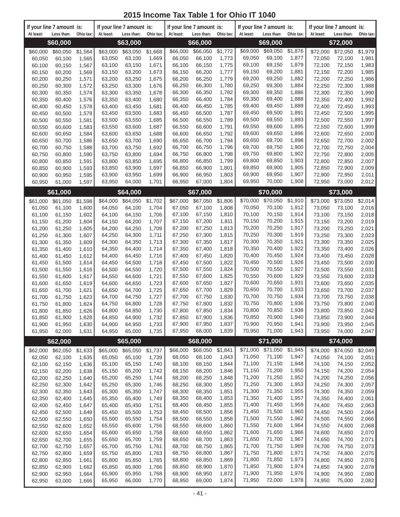| At least:        | If your line 7 amount is:<br>Less than: | Ohio tax:      | At least:        | If your line 7 amount is:<br>Less than: | Ohio tax:      | At least:        | If your line 7 amount is:<br>Less than: | Ohio tax:      | If your line 7 amount is:<br>At least: | Less than:       | Ohio tax:      | At least:        | If your line 7 amount is:<br>Less than: | Ohio tax:      |
|------------------|-----------------------------------------|----------------|------------------|-----------------------------------------|----------------|------------------|-----------------------------------------|----------------|----------------------------------------|------------------|----------------|------------------|-----------------------------------------|----------------|
|                  | \$60,000                                |                |                  | \$63,000                                |                |                  | \$66,000                                |                |                                        | \$69,000         |                |                  | \$72,000                                |                |
| \$60,000         | \$60,050                                | \$1,564        | \$63,000         | \$63,050                                | \$1,668        | \$66,000         | \$66,050                                | \$1,772        | \$69,000                               | \$69,050         | \$1,876        | \$72,000         | \$72,050                                | \$1,979        |
| 60,050           | 60,100                                  | 1,565          | 63,050           | 63,100                                  | 1,669          | 66,050           | 66,100                                  | 1,773          | 69,050                                 | 69,100           | 1,877          | 72,050           | 72,100                                  | 1,981          |
| 60,100           | 60,150                                  | 1,567          | 63,100           | 63,150                                  | 1,671          | 66,100           | 66,150                                  | 1,775          | 69,100                                 | 69,150           | 1,879          | 72,100           | 72,150                                  | 1,983          |
| 60,150           | 60,200                                  | 1,569          | 63,150           | 63,200                                  | 1,673          | 66,150           | 66,200                                  | 1,777          | 69,150                                 | 69,200           | 1,881          | 72,150           | 72,200                                  | 1,985          |
| 60,200           | 60,250                                  | 1,571          | 63,200           | 63,250                                  | 1,675          | 66,200           | 66,250                                  | 1,779          | 69,200                                 | 69,250           | 1,882          | 72,200           | 72,250                                  | 1,986          |
| 60,250           | 60,300                                  | 1,572          | 63,250           | 63,300                                  | 1,676          | 66,250           | 66,300                                  | 1,780          | 69,250                                 | 69,300           | 1,884          | 72,250           | 72,300                                  | 1,988          |
| 60,300           | 60,350                                  | 1,574          | 63,300           | 63,350                                  | 1,678          | 66,300           | 66,350                                  | 1,782          | 69,300                                 | 69,350           | 1,886          | 72,300           | 72,350                                  | 1,990          |
| 60,350           | 60,400                                  | 1,576          | 63,350           | 63,400                                  | 1,680          | 66,350           | 66,400                                  | 1,784          | 69,350                                 | 69,400           | 1,888          | 72,350           | 72,400                                  | 1,992          |
| 60,400           | 60,450                                  | 1,578          | 63,400           | 63,450                                  | 1,681          | 66,400           | 66,450                                  | 1,785          | 69,400                                 | 69,450           | 1,889          | 72,400           | 72,450                                  | 1,993          |
| 60,450           | 60,500                                  | 1,579          | 63,450           | 63,500                                  | 1,683          | 66,450           | 66,500                                  | 1,787          | 69,450                                 | 69,500           | 1,891          | 72,450           | 72,500                                  | 1,995          |
| 60,500           | 60,550                                  | 1,581          | 63,500           | 63,550                                  | 1,685          | 66,500           | 66,550                                  | 1,789          | 69,500                                 | 69,550           | 1,893          | 72,500           | 72,550                                  | 1,997          |
| 60,550           | 60,600                                  | 1,583          | 63,550           | 63,600                                  | 1,687          | 66,550           | 66,600                                  | 1,791          | 69,550                                 | 69,600           | 1,895          | 72,550           | 72,600                                  | 1,999          |
| 60,600           | 60,650                                  | 1,584          | 63,600           | 63,650                                  | 1,688          | 66,600           | 66,650                                  | 1,792          | 69,600<br>69,650                       | 69,650<br>69,700 | 1,896<br>1,898 | 72,600           | 72,650                                  | 2,000          |
| 60,650<br>60,700 | 60,700<br>60,750                        | 1,586<br>1,588 | 63,650<br>63,700 | 63,700<br>63,750                        | 1,690<br>1,692 | 66,650<br>66,700 | 66,700<br>66,750                        | 1,794<br>1,796 | 69,700                                 | 69,750           | 1,900          | 72,650<br>72,700 | 72,700<br>72,750                        | 2,002<br>2,004 |
| 60,750           | 60,800                                  | 1,590          | 63,750           | 63,800                                  | 1,694          | 66,750           | 66,800                                  | 1,798          | 69,750                                 | 69,800           | 1,902          | 72,750           | 72,800                                  | 2,005          |
| 60,800           | 60,850                                  | 1,591          | 63,800           | 63,850                                  | 1,695          | 66,800           | 66,850                                  | 1,799          | 69,800                                 | 69,850           | 1,903          | 72,800           | 72,850                                  | 2,007          |
| 60,850           | 60,900                                  | 1,593          | 63,850           | 63,900                                  | 1,697          | 66,850           | 66,900                                  | 1,801          | 69,850                                 | 69,900           | 1,905          | 72,850           | 72,900                                  | 2,009          |
| 60,900           | 60,950                                  | 1,595          | 63,900           | 63,950                                  | 1,699          | 66,900           | 66,950                                  | 1,803          | 69,900                                 | 69,950           | 1,907          | 72,900           | 72,950                                  | 2,011          |
| 60,950           | 61,000                                  | 1,597          | 63,950           | 64,000                                  | 1,701          | 66,950           | 67,000                                  | 1,804          | 69,950                                 | 70,000           | 1,908          | 72,950           | 73,000                                  | 2,012          |
|                  | \$61,000                                |                |                  |                                         |                |                  | \$67,000                                |                |                                        | \$70,000         |                |                  |                                         |                |
|                  |                                         |                |                  | \$64,000                                |                |                  |                                         |                |                                        |                  |                |                  | \$73,000                                |                |
| \$61,000         | \$61,050                                | \$1,598        | \$64,000         | \$64,050                                | \$1,702        | \$67,000         | \$67,050                                | \$1,806        | \$70,000                               | \$70,050         | \$1,910        | \$73,000         | \$73,050                                | \$2,014        |
| 61,050           | 61,100                                  | 1,600          | 64,050           | 64,100                                  | 1,704          | 67,050           | 67,100                                  | 1,808<br>1,810 | 70,050<br>70,100                       | 70,100<br>70,150 | 1,912<br>1,914 | 73,050           | 73,100                                  | 2,016          |
| 61,100<br>61,150 | 61,150<br>61,200                        | 1,602<br>1,604 | 64,100<br>64,150 | 64,150<br>64,200                        | 1,706<br>1,707 | 67,100<br>67,150 | 67,150<br>67,200                        | 1,811          | 70,150                                 | 70,200           | 1,915          | 73,100<br>73,150 | 73,150<br>73,200                        | 2,018<br>2,019 |
| 61,200           | 61,250                                  | 1,605          | 64,200           | 64,250                                  | 1,709          | 67,200           | 67,250                                  | 1,813          | 70,200                                 | 70,250           | 1,917          | 73,200           | 73,250                                  | 2,021          |
| 61,250           | 61,300                                  | 1,607          | 64,250           | 64,300                                  | 1,711          | 67,250           | 67,300                                  | 1,815          | 70,250                                 | 70,300           | 1,919          | 73,250           | 73,300                                  | 2,023          |
| 61,300           | 61,350                                  | 1,609          | 64,300           | 64,350                                  | 1,713          | 67,300           | 67,350                                  | 1,817          | 70,300                                 | 70,350           | 1,921          | 73,300           | 73,350                                  | 2,025          |
| 61,350           | 61,400                                  | 1,610          | 64,350           | 64,400                                  | 1,714          | 67,350           | 67,400                                  | 1,818          | 70,350                                 | 70,400           | 1,922          | 73,350           | 73,400                                  | 2,026          |
| 61,400           | 61,450                                  | 1,612          | 64,400           | 64,450                                  | 1,716          | 67,400           | 67,450                                  | 1,820          | 70,400                                 | 70,450           | 1,924          | 73,400           | 73,450                                  | 2,028          |
| 61,450           | 61,500                                  | 1,614          | 64,450           | 64,500                                  | 1,718          | 67,450           | 67,500                                  | 1,822          | 70,450                                 | 70,500           | 1,926          | 73,450           | 73,500                                  | 2,030          |
| 61,500           | 61,550                                  | 1,616          | 64,500           | 64,550                                  | 1,720          | 67,500           | 67,550                                  | 1,824          | 70,500                                 | 70,550           | 1,927          | 73,500           | 73,550                                  | 2,031          |
| 61,550           | 61,600                                  | 1,617          | 64,550           | 64,600                                  | 1,721          | 67,550           | 67,600                                  | 1,825          | 70,550                                 | 70,600           | 1,929          | 73,550           | 73,600                                  | 2,033          |
| 61,600           | 61,650                                  | 1,619          | 64,600           | 64,650                                  | 1,723          | 67,600           | 67,650                                  | 1,827          | 70,600                                 | 70,650           | 1,931          | 73,600           | 73,650                                  | 2,035          |
| 61,650           | 61,700                                  | 1,621          | 64,650           | 64,700                                  | 1,725          | 67,650           | 67,700                                  | 1,829          | 70,650                                 | 70,700           | 1,933          | 73,650           | 73,700                                  | 2,037          |
| 61,700           | 61,750                                  | 1,623          | 64,700           | 64,750                                  | 1,727          | 67,700           | 67,750                                  | 1,830          | 70,700                                 | 70,750           | 1,934          | 73,700           | 73,750                                  | 2,038          |
| 61,750           | 61,800                                  | 1,624          | 64,750           | 64,800                                  | 1,728          | 67,750           | 67,800                                  | 1,832          | 70,750<br>70,800                       | 70,800<br>70,850 | 1,936<br>1,938 | 73,750           | 73,800                                  | 2,040          |
| 61,800           | 61,850                                  | 1,626          | 64,800           | 64,850                                  | 1,730          | 67,800           | 67,850                                  | 1,834<br>1,836 | 70,850                                 | 70,900           | 1,940          | 73,800           | 73,850                                  | 2,042          |
| 61,850<br>61,900 | 61,900<br>61,950                        | 1,628<br>1,630 | 64,850<br>64,900 | 64,900<br>64,950                        | 1,732<br>1,733 | 67,850<br>67,900 | 67,900<br>67,950                        | 1,837          | 70,900                                 | 70,950           | 1,941          | 73,850<br>73,900 | 73,900<br>73,950                        | 2,044<br>2,045 |
| 61,950           | 62,000                                  | 1,631          | 64,950           | 65,000                                  | 1,735          | 67,950           | 68,000                                  | 1,839          | 70,950                                 | 71,000           | 1,943          | 73,950           | 74,000                                  | 2,047          |
|                  |                                         |                |                  |                                         |                |                  |                                         |                |                                        |                  |                |                  |                                         |                |
|                  | \$62,000                                |                |                  | \$65,000                                |                |                  | \$68,000                                |                |                                        | \$71,000         |                |                  | \$74,000                                |                |
| \$62,000         | \$62,050                                | \$1,633        | \$65,000         | \$65,050                                | \$1,737        | \$68,000         | \$68,050                                | \$1,841        | \$71,000                               | \$71,050         | \$1,945        | \$74,000         | \$74,050                                | \$2,049        |
| 62,050           | 62,100                                  | 1,635<br>1,636 | 65,050           | 65,100                                  | 1,739          | 68,050           | 68,100                                  | 1,843          | 71,050<br>71,100                       | 71,100<br>71,150 | 1,947<br>1,948 | 74,050           | 74,100                                  | 2,051<br>2,052 |
| 62,100           | 62,150                                  |                | 65,100<br>65,150 | 65,150<br>65,200                        | 1,740<br>1,742 | 68,100<br>68,150 | 68,150<br>68,200                        | 1,844<br>1,846 | 71,150                                 | 71,200           | 1,950          | 74,100<br>74,150 | 74,150<br>74,200                        | 2,054          |
| 62,150<br>62,200 | 62,200<br>62,250                        | 1,638<br>1,640 | 65,200           | 65,250                                  | 1,744          | 68,200           | 68,250                                  | 1,848          | 71,200                                 | 71,250           | 1,952          | 74,200           | 74,250                                  | 2,056          |
| 62,250           | 62,300                                  | 1,642          | 65,250           | 65,300                                  | 1,746          | 68,250           | 68,300                                  | 1,850          | 71,250                                 | 71,300           | 1,953          | 74,250           | 74,300                                  | 2,057          |
| 62,300           | 62,350                                  | 1,643          | 65,300           | 65,350                                  | 1,747          | 68,300           | 68,350                                  | 1,851          | 71,300                                 | 71,350           | 1,955          | 74,300           | 74,350                                  | 2,059          |
| 62,350           | 62,400                                  | 1,645          | 65,350           | 65,400                                  | 1,749          | 68,350           | 68,400                                  | 1,853          | 71,350                                 | 71,400           | 1,957          | 74,350           | 74,400                                  | 2,061          |
| 62,400           | 62,450                                  | 1,647          | 65,400           | 65,450                                  | 1,751          | 68,400           | 68,450                                  | 1,855          | 71,400                                 | 71,450           | 1,959          | 74,400           | 74,450                                  | 2,063          |
| 62,450           | 62,500                                  | 1,649          | 65,450           | 65,500                                  | 1,753          | 68,450           | 68,500                                  | 1,856          | 71,450                                 | 71,500           | 1,960          | 74,450           | 74,500                                  | 2,064          |
| 62,500           | 62,550                                  | 1,650          | 65,500           | 65,550                                  | 1,754          | 68,500           | 68,550                                  | 1,858          | 71,500                                 | 71,550           | 1,962          | 74,500           | 74,550                                  | 2,066          |
| 62,550           | 62,600                                  | 1,652          | 65,550           | 65,600                                  | 1,756          | 68,550           | 68,600                                  | 1,860          | 71,550                                 | 71,600           | 1,964          | 74,550           | 74,600                                  | 2,068          |
| 62,600           | 62,650                                  | 1,654          | 65,600           | 65,650                                  | 1,758          | 68,600           | 68,650                                  | 1,862          | 71,600                                 | 71,650           | 1,966          | 74,600           | 74,650                                  | 2,070          |
| 62,650           | 62,700                                  | 1,655          | 65,650           | 65,700                                  | 1,759          | 68,650           | 68,700                                  | 1,863          | 71,650                                 | 71,700           | 1,967          | 74,650           | 74,700                                  | 2,071          |
| 62,700           | 62,750                                  | 1,657          | 65,700           | 65,750                                  | 1,761          | 68,700           | 68,750                                  | 1,865          | 71,700                                 | 71,750           | 1,969          | 74,700           | 74,750                                  | 2,073          |
| 62,750           | 62,800                                  | 1,659          | 65,750           | 65,800                                  | 1,763          | 68,750           | 68,800                                  | 1,867          | 71,750                                 | 71,800           | 1,971          | 74,750           | 74,800                                  | 2,075          |
| 62,800           | 62,850                                  | 1,661          | 65,800           | 65,850                                  | 1,765          | 68,800           | 68,850                                  | 1,869          | 71,800                                 | 71,850           | 1,973          | 74,800           | 74,850                                  | 2,076          |
| 62,850           | 62,900                                  | 1,662          | 65,850           | 65,900                                  | 1,766          | 68,850           | 68,900                                  | 1,870          | 71,850                                 | 71,900           | 1,974          | 74,850           | 74,900                                  | 2,078          |
| 62,900           | 62,950                                  | 1,664          | 65,900           | 65,950                                  | 1,768          | 68,900           | 68,950                                  | 1,872          | 71,900<br>71,950                       | 71,950<br>72,000 | 1,976          | 74,900           | 74,950                                  | 2,080          |
| 62,950           | 63,000                                  | 1,666          | 65,950           | 66,000                                  | 1,770          | 68,950           | 69,000                                  | 1,874          |                                        |                  | 1,978          | 74,950           | 75,000                                  | 2,082          |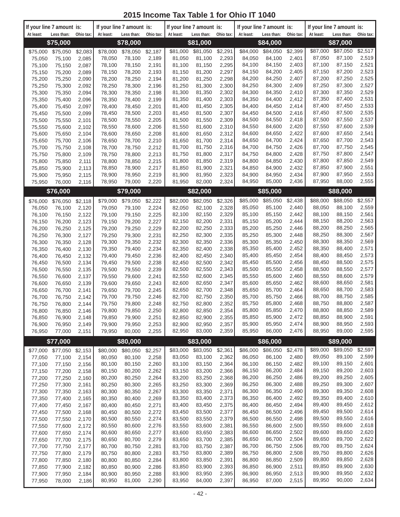| At least:        | If your line 7 amount is:<br>Less than: | Ohio tax:      | If your line 7 amount is:<br>At least: | Less than:       | Ohio tax:      | If your line 7 amount is:<br>At least: | Less than:       | Ohio tax:      | If your line 7 amount is:<br>At least: | Less than:       | Ohio tax:      | At least:        | If your line 7 amount is:<br>Less than: | Ohio tax:      |
|------------------|-----------------------------------------|----------------|----------------------------------------|------------------|----------------|----------------------------------------|------------------|----------------|----------------------------------------|------------------|----------------|------------------|-----------------------------------------|----------------|
|                  | \$75,000                                |                |                                        | \$78,000         |                |                                        | \$81,000         |                |                                        | \$84,000         |                |                  | \$87,000                                |                |
| \$75,000         |                                         | \$2,083        | \$78,000                               | \$78,050         | \$2,187        | \$81,000                               | \$81,050         | \$2,291        | \$84,000                               | \$84,050         | \$2,399        | \$87,000         | \$87,050                                | \$2,517        |
| 75,050           | \$75,050<br>75,100                      | 2,085          | 78,050                                 | 78,100           | 2,189          | 81.050                                 | 81,100           | 2,293          | 84,050                                 | 84,100           | 2,401          | 87,050           | 87,100                                  | 2,519          |
| 75,100           | 75,150                                  | 2,087          | 78,100                                 | 78,150           | 2,191          | 81,100                                 | 81,150           | 2,295          | 84,100                                 | 84,150           | 2,403          | 87,100           | 87,150                                  | 2,521          |
| 75,150           | 75,200                                  | 2,089          | 78,150                                 | 78,200           | 2,193          | 81,150                                 | 81,200           | 2,297          | 84,150                                 | 84,200           | 2,405          | 87,150           | 87,200                                  | 2,523          |
| 75,200           | 75,250                                  | 2,090          | 78,200                                 | 78,250           | 2,194          | 81,200                                 | 81,250           | 2,298          | 84,200                                 | 84,250           | 2,407          | 87,200           | 87,250                                  | 2,525          |
| 75,250           | 75,300                                  | 2,092          | 78,250                                 | 78,300           | 2,196          | 81,250                                 | 81,300           | 2,300          | 84,250                                 | 84,300           | 2,409          | 87,250<br>87,300 | 87,300<br>87,350                        | 2,527<br>2,529 |
| 75,300<br>75,350 | 75,350<br>75,400                        | 2,094<br>2,096 | 78,300<br>78,350                       | 78,350<br>78,400 | 2,198<br>2,199 | 81,300<br>81,350                       | 81,350<br>81,400 | 2,302<br>2,303 | 84,300<br>84,350                       | 84,350<br>84,400 | 2,410<br>2,412 | 87,350           | 87,400                                  | 2,531          |
| 75,400           | 75,450                                  | 2,097          | 78,400                                 | 78,450           | 2,201          | 81,400                                 | 81,450           | 2,305          | 84,400                                 | 84,450           | 2,414          | 87,400           | 87,450                                  | 2,533          |
| 75,450           | 75,500                                  | 2,099          | 78,450                                 | 78,500           | 2,203          | 81,450                                 | 81,500           | 2,307          | 84,450                                 | 84,500           | 2,416          | 87,450           | 87,500                                  | 2,535          |
| 75,500           | 75,550                                  | 2,101          | 78,500                                 | 78,550           | 2,205          | 81,500                                 | 81,550           | 2,309          | 84,500                                 | 84,550           | 2,418          | 87,500           | 87,550                                  | 2,537          |
| 75,550           | 75,600                                  | 2,102          | 78,550                                 | 78,600           | 2,206          | 81,550                                 | 81,600           | 2,310          | 84,550                                 | 84,600           | 2,420          | 87,550           | 87,600                                  | 2,539          |
| 75,600           | 75,650                                  | 2,104          | 78,600                                 | 78,650           | 2,208          | 81,600                                 | 81,650           | 2,312          | 84,600                                 | 84,650           | 2,422          | 87,600           | 87,650                                  | 2,541          |
| 75,650<br>75,700 | 75,700<br>75,750                        | 2,106<br>2,108 | 78,650<br>78,700                       | 78,700<br>78,750 | 2,210<br>2,212 | 81,650<br>81,700                       | 81,700<br>81,750 | 2,314<br>2,316 | 84,650<br>84,700                       | 84,700<br>84,750 | 2,424<br>2,426 | 87,650<br>87,700 | 87,700<br>87,750                        | 2,543<br>2,545 |
| 75,750           | 75,800                                  | 2,109          | 78,750                                 | 78,800           | 2,213          | 81,750                                 | 81,800           | 2,317          | 84,750                                 | 84,800           | 2,428          | 87,750           | 87,800                                  | 2,547          |
| 75,800           | 75,850                                  | 2,111          | 78,800                                 | 78,850           | 2,215          | 81,800                                 | 81,850           | 2,319          | 84,800                                 | 84,850           | 2,430          | 87,800           | 87,850                                  | 2,549          |
| 75,850           | 75,900                                  | 2,113          | 78,850                                 | 78,900           | 2,217          | 81,850                                 | 81,900           | 2,321          | 84,850                                 | 84,900           | 2,432          | 87,850           | 87,900                                  | 2,551          |
| 75,900           | 75,950                                  | 2,115          | 78,900                                 | 78,950           | 2,219          | 81,900                                 | 81,950           | 2,323          | 84,900                                 | 84,950           | 2,434          | 87,900           | 87,950                                  | 2,553          |
| 75,950           | 76,000                                  | 2,116          | 78,950                                 | 79,000           | 2,220          | 81,950                                 | 82,000           | 2,324          | 84,950                                 | 85,000           | 2,436          | 87,950           | 88,000                                  | 2,555          |
|                  | \$76,000                                |                |                                        | \$79,000         |                |                                        | \$82,000         |                |                                        | \$85,000         |                |                  | \$88,000                                |                |
| \$76.000         | \$76,050                                | \$2,118        | \$79,000                               | \$79,050         | \$2,222        | \$82,000                               | \$82,050         | \$2,326        | \$85,000                               | \$85,050         | \$2,438        | \$88,000         | \$88,050                                | \$2,557        |
| 76,050           | 76,100                                  | 2,120          | 79,050                                 | 79,100           | 2,224          | 82,050                                 | 82,100           | 2,328          | 85,050                                 | 85,100           | 2,440          | 88,050           | 88,100                                  | 2,559          |
| 76,100           | 76,150                                  | 2,122          | 79,100                                 | 79,150           | 2,225          | 82,100                                 | 82,150           | 2,329          | 85,100                                 | 85,150           | 2,442          | 88,100           | 88,150<br>88,200                        | 2,561<br>2,563 |
| 76,150<br>76,200 | 76,200<br>76,250                        | 2,123<br>2,125 | 79,150<br>79,200                       | 79,200<br>79,250 | 2,227<br>2,229 | 82,150<br>82,200                       | 82,200<br>82,250 | 2,331<br>2,333 | 85,150<br>85,200                       | 85,200<br>85,250 | 2,444<br>2,446 | 88,150<br>88,200 | 88,250                                  | 2,565          |
| 76,250           | 76,300                                  | 2,127          | 79,250                                 | 79,300           | 2,231          | 82,250                                 | 82,300           | 2,335          | 85,250                                 | 85,300           | 2,448          | 88,250           | 88,300                                  | 2,567          |
| 76,300           | 76,350                                  | 2,128          | 79,300                                 | 79,350           | 2,232          | 82,300                                 | 82,350           | 2,336          | 85,300                                 | 85,350           | 2,450          | 88,300           | 88,350                                  | 2,569          |
| 76,350           | 76,400                                  | 2,130          | 79,350                                 | 79,400           | 2,234          | 82,350                                 | 82,400           | 2,338          | 85,350                                 | 85,400           | 2,452          | 88,350           | 88,400                                  | 2,571          |
| 76,400           | 76,450                                  | 2,132          | 79,400                                 | 79,450           | 2,236          | 82,400                                 | 82,450           | 2,340          | 85,400                                 | 85,450           | 2,454          | 88,400           | 88,450                                  | 2,573          |
| 76,450           | 76,500                                  | 2,134          | 79,450                                 | 79,500           | 2,238          | 82,450                                 | 82,500           | 2,342          | 85,450                                 | 85,500           | 2,456          | 88,450           | 88,500                                  | 2,575          |
| 76,500<br>76,550 | 76,550<br>76,600                        | 2,135<br>2,137 | 79,500<br>79,550                       | 79,550<br>79,600 | 2,239<br>2,241 | 82,500<br>82,550                       | 82,550<br>82,600 | 2,343<br>2,345 | 85,500<br>85,550                       | 85,550<br>85,600 | 2,458<br>2,460 | 88,500<br>88,550 | 88,550<br>88,600                        | 2,577<br>2,579 |
| 76,600           | 76,650                                  | 2,139          | 79,600                                 | 79,650           | 2,243          | 82,600                                 | 82,650           | 2,347          | 85,600                                 | 85,650           | 2,462          | 88,600           | 88,650                                  | 2,581          |
| 76,650           | 76,700                                  | 2,141          | 79,650                                 | 79,700           | 2,245          | 82,650                                 | 82,700           | 2,348          | 85,650                                 | 85,700           | 2,464          | 88,650           | 88,700                                  | 2,583          |
| 76,700           | 76,750                                  | 2,142          | 79,700                                 | 79,750           | 2,246          | 82,700                                 | 82,750           | 2,350          | 85,700                                 | 85,750           | 2,466          | 88,700           | 88,750                                  | 2,585          |
| 76,750           | 76,800                                  | 2,144          | 79,750                                 | 79,800           | 2,248          | 82,750                                 | 82,800           | 2,352          | 85,750                                 | 85,800           | 2,468          | 88,750           | 88,800                                  | 2,587          |
| 76,800           | 76,850                                  | 2,146          | 79,800                                 | 79,850           | 2,250          | 82,800                                 | 82,850           | 2,354          | 85,800                                 | 85,850           | 2,470          | 88,800           | 88,850                                  | 2,589          |
| 76,850           | 76,900<br>76,950                        | 2,148          | 79,850                                 | 79,900           | 2,251          | 82,850<br>82,900                       | 82,900           | 2,355          | 85,850<br>85,900                       | 85,900<br>85,950 | 2,472<br>2,474 | 88,850<br>88,900 | 88,900<br>88,950                        | 2,591<br>2,593 |
| 76,900<br>76,950 | 77,000                                  | 2,149<br>2,151 | 79,900<br>79,950                       | 79,950<br>80,000 | 2,253<br>2,255 | 82,950                                 | 82,950<br>83,000 | 2,357<br>2,359 | 85,950                                 | 86,000           | 2,476          | 88,950           | 89,000                                  | 2,595          |
|                  |                                         |                |                                        | \$80,000         |                |                                        | \$83,000         |                |                                        | \$86,000         |                |                  | \$89,000                                |                |
| \$77,000         | \$77,000<br>\$77,050                    | \$2,153        | \$80,000                               | \$80,050         | \$2,257        | \$83,000                               | \$83,050         | \$2,361        | \$86,000                               | \$86,050         | \$2,478        | \$89,000         | \$89,050                                | \$2,597        |
| 77,050           | 77,100                                  | 2,154          | 80,050                                 | 80,100           | 2,258          | 83,050                                 | 83,100           | 2,362          | 86,050                                 | 86,100           | 2,480          | 89,050           | 89,100                                  | 2,599          |
| 77,100           | 77,150                                  | 2,156          | 80,100                                 | 80,150           | 2,260          | 83,100                                 | 83,150           | 2,364          | 86,100                                 | 86,150           | 2,482          | 89,100           | 89,150                                  | 2,601          |
| 77,150           | 77,200                                  | 2,158          | 80,150                                 | 80,200           | 2,262          | 83,150                                 | 83,200           | 2,366          | 86,150                                 | 86,200           | 2,484          | 89,150           | 89,200                                  | 2,603          |
| 77,200           | 77,250                                  | 2,160          | 80,200                                 | 80,250           | 2,264          | 83,200                                 | 83,250           | 2,368          | 86,200                                 | 86,250           | 2,486          | 89,200           | 89,250                                  | 2,605          |
| 77,250           | 77,300                                  | 2,161          | 80,250                                 | 80,300           | 2,265          | 83,250                                 | 83,300           | 2,369          | 86,250                                 | 86,300           | 2,488          | 89,250           | 89,300                                  | 2,607          |
| 77,300           | 77,350                                  | 2,163          | 80,300                                 | 80,350           | 2,267          | 83,300                                 | 83,350           | 2,371          | 86,300                                 | 86,350           | 2,490          | 89,300<br>89,350 | 89,350<br>89,400                        | 2,608<br>2,610 |
| 77,350<br>77,400 | 77,400<br>77,450                        | 2,165<br>2,167 | 80,350<br>80,400                       | 80,400<br>80,450 | 2,269<br>2,271 | 83,350<br>83,400                       | 83,400<br>83,450 | 2,373<br>2,375 | 86,350<br>86,400                       | 86,400<br>86,450 | 2,492<br>2,494 | 89,400           | 89,450                                  | 2,612          |
| 77,450           | 77,500                                  | 2,168          | 80,450                                 | 80,500           | 2,272          | 83,450                                 | 83,500           | 2,377          | 86,450                                 | 86,500           | 2,496          | 89,450           | 89,500                                  | 2,614          |
| 77,500           | 77,550                                  | 2,170          | 80,500                                 | 80,550           | 2,274          | 83,500                                 | 83,550           | 2,379          | 86,500                                 | 86,550           | 2,498          | 89,500           | 89,550                                  | 2,616          |
| 77,550           | 77,600                                  | 2,172          | 80,550                                 | 80,600           | 2,276          | 83,550                                 | 83,600           | 2,381          | 86,550                                 | 86,600           | 2,500          | 89,550           | 89,600                                  | 2,618          |
| 77,600           | 77,650                                  | 2,174          | 80,600                                 | 80,650           | 2,277          | 83,600                                 | 83,650           | 2,383          | 86,600                                 | 86,650           | 2,502          | 89,600           | 89,650                                  | 2,620          |
| 77,650           | 77,700                                  | 2,175          | 80,650                                 | 80,700           | 2,279          | 83,650                                 | 83,700           | 2,385          | 86,650                                 | 86,700           | 2,504          | 89,650           | 89,700                                  | 2,622          |
| 77,700           | 77,750                                  | 2,177          | 80,700                                 | 80,750           | 2,281          | 83,700<br>83,750                       | 83,750<br>83,800 | 2,387<br>2,389 | 86,700<br>86,750                       | 86,750<br>86,800 | 2,506<br>2,508 | 89,700<br>89,750 | 89,750<br>89,800                        | 2,624<br>2,626 |
| 77,750<br>77,800 | 77,800<br>77,850                        | 2,179<br>2,180 | 80,750<br>80,800                       | 80,800<br>80,850 | 2,283<br>2,284 | 83,800                                 | 83,850           | 2,391          | 86,800                                 | 86,850           | 2,509          | 89,800           | 89,850                                  | 2,628          |
| 77,850           | 77,900                                  | 2,182          | 80,850                                 | 80,900           | 2,286          | 83,850                                 | 83,900           | 2,393          | 86,850                                 | 86,900           | 2,511          | 89,850           | 89,900                                  | 2,630          |
| 77,900           | 77,950                                  | 2,184          | 80,900                                 | 80,950           | 2,288          | 83,900                                 | 83,950           | 2,395          | 86,900                                 | 86,950           | 2,513          | 89,900           | 89,950                                  | 2,632          |
| 77,950           | 78,000                                  | 2,186          | 80,950                                 | 81,000           | 2,290          | 83,950                                 | 84,000           | 2,397          | 86,950                                 | 87,000           | 2,515          | 89,950           | 90,000                                  | 2,634          |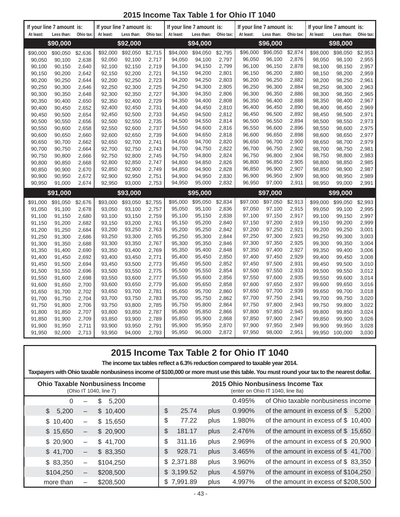| At least:          | If your line 7 amount is: |                  | At least: | If your line 7 amount is: |           | At least: | If your line 7 amount is: |           | At least: | If your line 7 amount is: | Ohio tax: | At least: | If your line 7 amount is: |                  |
|--------------------|---------------------------|------------------|-----------|---------------------------|-----------|-----------|---------------------------|-----------|-----------|---------------------------|-----------|-----------|---------------------------|------------------|
|                    | Less than:<br>\$90,000    | Ohio tax:        |           | Less than:<br>\$92,000    | Ohio tax: |           | Less than:<br>\$94,000    | Ohio tax: |           | Less than:<br>\$96,000    |           |           | Less than:<br>\$98,000    | Ohio tax:        |
|                    | \$90,050                  |                  | \$92,000  |                           | \$2,715   | \$94,000  | \$94,050                  | \$2,795   | \$96,000  | \$96,050                  | \$2,874   | \$98,000  |                           |                  |
| \$90,000<br>90,050 | 90,100                    | \$2,636<br>2,638 | 92,050    | \$92,050<br>92,100        | 2,717     | 94,050    | 94,100                    | 2,797     | 96,050    | 96,100                    | 2,876     | 98,050    | \$98,050<br>98,100        | \$2,953<br>2,955 |
| 90,100             | 90,150                    | 2,640            | 92,100    | 92,150                    | 2,719     | 94,100    | 94,150                    | 2,799     | 96,100    | 96,150                    | 2,878     | 98,100    | 98,150                    | 2,957            |
| 90,150             | 90,200                    | 2,642            | 92,150    | 92,200                    | 2,721     | 94,150    | 94,200                    | 2,801     | 96,150    | 96,200                    | 2,880     | 98,150    | 98,200                    | 2,959            |
| 90,200             | 90,250                    | 2,644            | 92,200    | 92,250                    | 2,723     | 94,200    | 94,250                    | 2,803     | 96,200    | 96,250                    | 2,882     | 98,200    | 98,250                    | 2,961            |
| 90,250             | 90,300                    | 2,646            | 92,250    | 92,300                    | 2,725     | 94,250    | 94,300                    | 2,805     | 96,250    | 96,300                    | 2,884     | 98,250    | 98,300                    | 2,963            |
| 90,300             | 90,350                    | 2,648            | 92,300    | 92,350                    | 2,727     | 94,300    | 94,350                    | 2,806     | 96,300    | 96,350                    | 2,886     | 98,300    | 98,350                    | 2,965            |
| 90,350             | 90,400                    | 2,650            | 92,350    | 92,400                    | 2,729     | 94,350    | 94,400                    | 2,808     | 96,350    | 96,400                    | 2,888     | 98,350    | 98,400                    | 2,967            |
| 90,400             | 90,450                    | 2,652            | 92,400    | 92,450                    | 2,731     | 94,400    | 94,450                    | 2,810     | 96,400    | 96,450                    | 2,890     | 98,400    | 98,450                    | 2,969            |
| 90,450             | 90,500                    | 2,654            | 92,450    | 92,500                    | 2,733     | 94,450    | 94,500                    | 2,812     | 96,450    | 96,500                    | 2,892     | 98,450    | 98,500                    | 2,971            |
| 90,500             | 90,550                    | 2,656            | 92,500    | 92,550                    | 2,735     | 94,500    | 94,550                    | 2,814     | 96,500    | 96,550                    | 2,894     | 98,500    | 98,550                    | 2,973            |
| 90,550             | 90,600                    | 2,658            | 92,550    | 92,600                    | 2,737     | 94,550    | 94,600                    | 2,816     | 96,550    | 96,600                    | 2,896     | 98,550    | 98,600                    | 2,975            |
| 90,600             | 90,650                    | 2,660            | 92.600    | 92,650                    | 2,739     | 94,600    | 94,650                    | 2,818     | 96,600    | 96,650                    | 2,898     | 98,600    | 98,650                    | 2,977            |
| 90,650             | 90,700                    | 2,662            | 92,650    | 92,700                    | 2,741     | 94,650    | 94,700                    | 2,820     | 96,650    | 96,700                    | 2,900     | 98,650    | 98,700                    | 2,979            |
| 90,700             | 90,750                    | 2,664            | 92,700    | 92,750                    | 2,743     | 94,700    | 94,750                    | 2,822     | 96,700    | 96,750                    | 2,902     | 98,700    | 98,750                    | 2,981            |
| 90,750             | 90,800                    | 2,666            | 92,750    | 92,800                    | 2,745     | 94,750    | 94,800                    | 2,824     | 96,750    | 96,800                    | 2,904     | 98,750    | 98,800                    | 2,983            |
| 90,800             | 90,850                    | 2,668            | 92,800    | 92,850                    | 2,747     | 94,800    | 94,850                    | 2,826     | 96,800    | 96,850                    | 2,905     | 98,800    | 98,850                    | 2,985            |
| 90,850             | 90,900                    | 2,670            | 92,850    | 92,900                    | 2,749     | 94,850    | 94,900                    | 2,828     | 96,850    | 96,900                    | 2,907     | 98,850    | 98,900                    | 2,987            |
| 90,900             | 90,950                    | 2,672            | 92,900    | 92,950                    | 2,751     | 94,900    | 94,950                    | 2,830     | 96,900    | 96,950                    | 2,909     | 98,900    | 98,950                    | 2,989            |
| 90,950             | 91,000                    | 2,674            | 92,950    | 93,000                    | 2,753     | 94,950    | 95,000                    | 2,832     | 96,950    | 97,000                    | 2,911     | 98,950    | 99,000                    | 2,991            |
|                    | \$91,000                  |                  |           | \$93,000                  |           |           | \$95,000                  |           |           | \$97,000                  |           |           | \$99,000                  |                  |
| \$91,000           | \$91,050                  | \$2,676          | \$93,000  | \$93,050                  | \$2,755   | \$95,000  | \$95,050                  | \$2,834   | \$97,000  | \$97,050                  | \$2,913   | \$99,000  | \$99,050                  | \$2,993          |
| 91.050             | 91.100                    | 2,678            | 93,050    | 93,100                    | 2,757     | 95,050    | 95,100                    | 2,836     | 97,050    | 97,100                    | 2,915     | 99,050    | 99.100                    | 2,995            |
| 91,100             | 91,150                    | 2,680            | 93,100    | 93,150                    | 2,759     | 95,100    | 95,150                    | 2,838     | 97,100    | 97,150                    | 2,917     | 99,100    | 99,150                    | 2,997            |
| 91,150             | 91,200                    | 2,682            | 93,150    | 93,200                    | 2,761     | 95,150    | 95,200                    | 2,840     | 97,150    | 97,200                    | 2,919     | 99,150    | 99,200                    | 2,999            |
| 91,200             | 91,250                    | 2,684            | 93,200    | 93,250                    | 2,763     | 95,200    | 95,250                    | 2,842     | 97,200    | 97,250                    | 2,921     | 99,200    | 99,250                    | 3,001            |
| 91,250             | 91,300                    | 2,686            | 93,250    | 93,300                    | 2,765     | 95,250    | 95,300                    | 2,844     | 97,250    | 97,300                    | 2,923     | 99,250    | 99,300                    | 3,003            |
| 91,300             | 91,350                    | 2,688            | 93,300    | 93,350                    | 2,767     | 95,300    | 95,350                    | 2,846     | 97,300    | 97,350                    | 2,925     | 99,300    | 99,350                    | 3,004            |
| 91,350             | 91,400                    | 2,690            | 93,350    | 93,400                    | 2,769     | 95,350    | 95,400                    | 2,848     | 97,350    | 97,400                    | 2,927     | 99,350    | 99,400                    | 3,006            |
| 91,400             | 91,450                    | 2,692            | 93,400    | 93,450                    | 2,771     | 95,400    | 95,450                    | 2,850     | 97,400    | 97,450                    | 2,929     | 99,400    | 99,450                    | 3,008            |
| 91,450             | 91,500                    | 2,694            | 93,450    | 93,500                    | 2,773     | 95,450    | 95,500                    | 2,852     | 97,450    | 97,500                    | 2,931     | 99,450    | 99,500                    | 3,010            |
| 91,500             | 91,550                    | 2,696            | 93,500    | 93,550                    | 2,775     | 95,500    | 95,550                    | 2,854     | 97,500    | 97,550                    | 2,933     | 99,500    | 99,550                    | 3,012            |
| 91,550             | 91,600                    | 2,698            | 93,550    | 93,600                    | 2,777     | 95,550    | 95,600                    | 2,856     | 97,550    | 97,600                    | 2,935     | 99,550    | 99,600                    | 3,014            |
| 91,600             | 91,650                    | 2,700            | 93,600    | 93,650                    | 2,779     | 95,600    | 95,650                    | 2,858     | 97,600    | 97,650                    | 2,937     | 99,600    | 99,650                    | 3,016            |
| 91,650             | 91,700                    | 2,702            | 93,650    | 93,700                    | 2,781     | 95,650    | 95,700                    | 2,860     | 97,650    | 97,700                    | 2,939     | 99,650    | 99,700                    | 3,018            |
| 91,700             | 91,750                    | 2,704            | 93,700    | 93,750                    | 2,783     | 95,700    | 95,750                    | 2,862     | 97,700    | 97,750                    | 2,941     | 99,700    | 99,750                    | 3,020            |
| 91,750             | 91,800                    | 2,706            | 93,750    | 93,800                    | 2,785     | 95,750    | 95,800                    | 2,864     | 97.750    | 97,800                    | 2,943     | 99,750    | 99,800                    | 3,022            |
| 91,800             | 91,850                    | 2,707            | 93,800    | 93,850                    | 2,787     | 95,800    | 95,850                    | 2,866     | 97,800    | 97,850                    | 2,945     | 99,800    | 99,850                    | 3,024            |
| 91,850             | 91,900                    | 2,709            | 93,850    | 93,900                    | 2,789     | 95,850    | 95,900                    | 2,868     | 97.850    | 97,900                    | 2,947     | 99,850    | 99,900                    | 3,026            |
| 91,900             | 91,950                    | 2,711            | 93,900    | 93,950                    | 2,791     | 95,900    | 95,950                    | 2,870     | 97,900    | 97,950                    | 2,949     | 99,900    | 99,950                    | 3,028            |
| 91,950             | 92,000                    | 2,713            | 93,950    | 94,000                    | 2,793     | 95,950    | 96,000                    | 2,872     | 97,950    | 98,000                    | 2,951     | 99,950    | 100,000                   | 3,030            |

# **2015 Income Tax Table 2 for Ohio IT 1040**

The income tax tables reflect a 6.3% reduction compared to taxable year 2014.

**Taxpayers with Ohio taxable nonbusiness income of \$100,000 or more must use this table. You must round your tax to the nearest dollar.**

| <b>Ohio Taxable Nonbusiness Income</b><br>(Ohio IT 1040, line 7) |                          |              | 2015 Ohio Nonbusiness Income Tax<br>(enter on Ohio IT 1040, line 8a) |      |        |                                        |  |
|------------------------------------------------------------------|--------------------------|--------------|----------------------------------------------------------------------|------|--------|----------------------------------------|--|
| 0                                                                | -                        | 5.200<br>S   |                                                                      |      | 0.495% | of Ohio taxable nonbusiness income     |  |
| $\mathbb{S}^-$<br>5,200                                          | —                        | \$10,400     | \$<br>25.74                                                          | plus | 0.990% | of the amount in excess of \$<br>5.200 |  |
| \$10,400                                                         | $\overline{\phantom{0}}$ | 15,650<br>\$ | \$<br>77.22                                                          | plus | 1.980% | of the amount in excess of \$10,400    |  |
| \$15,650                                                         | $\qquad \qquad -$        | \$20,900     | \$<br>181.17                                                         | plus | 2.476% | of the amount in excess of \$15,650    |  |
| \$20,900                                                         | $\overline{\phantom{0}}$ | \$41,700     | \$<br>311.16                                                         | plus | 2.969% | of the amount in excess of \$20,900    |  |
| \$41,700                                                         | $\overline{\phantom{0}}$ | \$83,350     | \$<br>928.71                                                         | plus | 3.465% | of the amount in excess of \$41,700    |  |
| \$83,350                                                         |                          | \$104,250    | \$2,371.88                                                           | plus | 3.960% | of the amount in excess of \$83,350    |  |
| \$104,250                                                        | $\qquad \qquad -$        | \$208,500    | \$3,199.52                                                           | plus | 4.597% | of the amount in excess of \$104,250   |  |
| more than                                                        |                          | \$208,500    | \$7,991.89                                                           | plus | 4.997% | of the amount in excess of \$208,500   |  |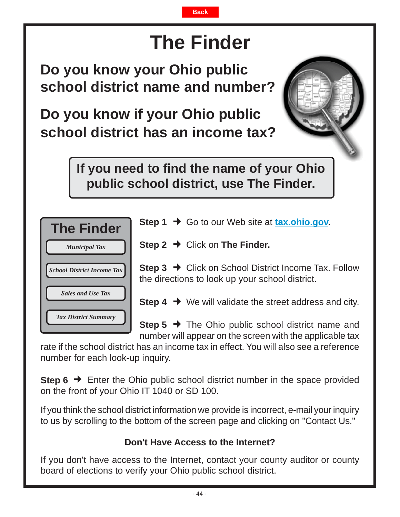# **The Finder**

**Back**

<span id="page-43-0"></span>**Do you know your Ohio public school district name and number?**

**Do you know if your Ohio public school district has an income tax?**



**If you need to find the name of your Ohio public school district, use The Finder.**

| <b>The Finder</b>                 |
|-----------------------------------|
| <b>Municipal Tax</b>              |
| <b>School District Income Tax</b> |
| <b>Sales and Use Tax</b>          |
| <b>Tax District Summary</b>       |

**Step 1 → Go to our Web site at <b>[tax.ohio.gov.](http://tax.ohio.gov/)** 

**Step 2**  Click on **The Finder.**

**Step 3 → Click on School District Income Tax. Follow** the directions to look up your school district.

**Step 4 → We will validate the street address and city.** 

**Step 5 → The Ohio public school district name and** number will appear on the screen with the applicable tax

rate if the school district has an income tax in effect. You will also see a reference number for each look-up inquiry.

**Step 6 →** Enter the Ohio public school district number in the space provided on the front of your Ohio IT 1040 or SD 100.

If you think the school district information we provide is incorrect, e-mail your inquiry to us by scrolling to the bottom of the screen page and clicking on "Contact Us."

# **Don't Have Access to the Internet?**

If you don't have access to the Internet, contact your county auditor or county board of elections to verify your Ohio public school district.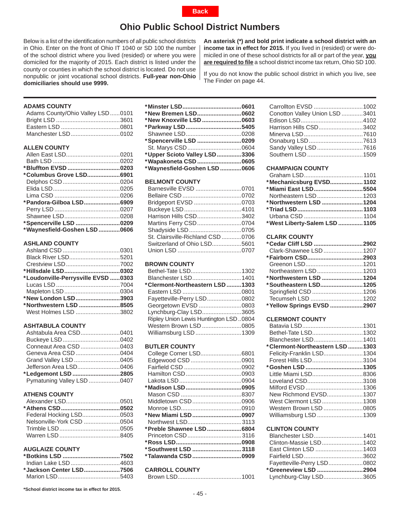# **Ohio Public School District Numbers**

<span id="page-44-0"></span>Below is a list of the identification numbers of all public school districts in Ohio. Enter on the front of Ohio IT 1040 or SD 100 the number of the school district where you lived (resided) or where you were domiciled for the majority of 2015. Each district is listed under the county or counties in which the school district is located. Do not use nonpublic or joint vocational school districts. **Full-year non-Ohio domiciliaries should use 9999.**

**An asterisk (\*) and bold print indicate a school district with an income tax in effect for 2015.** If you lived in (resided) or were domiciled in one of these school districts for all or part of the year, **you are required to file** a school district income tax return, Ohio SD 100.

If you do not know the public school district in which you live, see The Finder on page 44.

#### **ADAMS COUNTY**

| Adams County/Ohio Valley LSD0101 |  |
|----------------------------------|--|
|                                  |  |
|                                  |  |
| Manchester LSD0102               |  |
|                                  |  |

#### **ALLEN COUNTY**

| *Bluffton EVSD 0203          |  |
|------------------------------|--|
| *Columbus Grove LSD6901      |  |
|                              |  |
|                              |  |
|                              |  |
| *Pandora-Gilboa LSD6909      |  |
|                              |  |
|                              |  |
| *Spencerville LSD 0209       |  |
| *Waynesfield-Goshen LSD 0606 |  |

#### **ASHLAND COUNTY**

| Black River LSD5201                |  |
|------------------------------------|--|
|                                    |  |
|                                    |  |
| *Loudonville-Perrysville EVSD 0303 |  |
|                                    |  |
|                                    |  |
| *New London LSD3903                |  |
| *Northwestern LSD 8505             |  |
| West Holmes LSD 3802               |  |
|                                    |  |

#### **ASHTABULA COUNTY**

| Ashtabula Area CSD0401     |  |
|----------------------------|--|
|                            |  |
| Conneaut Area CSD 0403     |  |
| Geneva Area CSD 0404       |  |
|                            |  |
| Jefferson Area LSD0406     |  |
| *Ledgemont LSD 2805        |  |
| Pymatuning Valley LSD 0407 |  |
|                            |  |

#### **ATHENS COUNTY**

#### **AUGLAIZE COUNTY**

| Indian Lake LSD 4603    |  |
|-------------------------|--|
| *Jackson Center LSD7506 |  |
|                         |  |

**\*School district income tax in effect for 2015.**

| *New Bremen LSD0602          |  |
|------------------------------|--|
| *New Knoxville LSD 0603      |  |
| *Parkway LSD5405             |  |
|                              |  |
| *Spencerville LSD 0209       |  |
|                              |  |
| *Upper Scioto Valley LSD3306 |  |
| *Wapakoneta CSD 0605         |  |
| *Waynesfield-Goshen LSD 0606 |  |
|                              |  |

# **BELMONT COUNTY**

| Barnesville EVSD 0701             |  |
|-----------------------------------|--|
|                                   |  |
| Bridgeport EVSD 0703              |  |
|                                   |  |
| Harrison Hills CSD3402            |  |
| Martins Ferry CSD0704             |  |
| Shadyside LSD0705                 |  |
| St. Clairsville-Richland CSD 0706 |  |
| Switzerland of Ohio LSD5601       |  |
|                                   |  |

#### **BROWN COUNTY**

| Bethel-Tate LSD1302                   |  |
|---------------------------------------|--|
| Blanchester LSD1401                   |  |
| *Clermont-Northeastern LSD 1303       |  |
|                                       |  |
| Fayetteville-Perry LSD0802            |  |
| Georgetown EVSD 0803                  |  |
| Lynchburg-Clay LSD3605                |  |
| Ripley Union Lewis Huntington LSD0804 |  |
| Western Brown LSD 0805                |  |
| Williamsburg LSD 1309                 |  |
|                                       |  |

#### **BUTLER COUNTY**

| College Corner LSD6801  |  |
|-------------------------|--|
| Edgewood CSD 0901       |  |
|                         |  |
|                         |  |
|                         |  |
| *Madison LSD0905        |  |
|                         |  |
| Middletown CSD0906      |  |
|                         |  |
| *New Miami LSD0907      |  |
| Northwest LSD3113       |  |
| *Preble Shawnee LSD6804 |  |
| Princeton CSD 3116      |  |
|                         |  |
| *Southwest LSD 3118     |  |
| *Talawanda CSD 0909     |  |
|                         |  |

#### **CARROLL COUNTY**

|--|--|--|

| Conotton Valley Union LSD 3401 |  |
|--------------------------------|--|
|                                |  |
| Harrison Hills CSD3402         |  |
|                                |  |
|                                |  |
|                                |  |
|                                |  |

#### **CHAMPAIGN COUNTY**

| *Mechanicsburg EVSD1102       |  |
|-------------------------------|--|
| *Miami East LSD5504           |  |
| Northeastern LSD1203          |  |
|                               |  |
|                               |  |
|                               |  |
| *West Liberty-Salem LSD  1105 |  |

#### **CLARK COUNTY**

| *Cedar Cliff LSD 2902     |
|---------------------------|
| Clark-Shawnee LSD 1207    |
| *Fairborn CSD2903         |
|                           |
| Northeastern LSD1203      |
| *Northwestern LSD 1204    |
| *Southeastern LSD1205     |
|                           |
| Tecumseh LSD 1202         |
| *Yellow Springs EVSD 2907 |
|                           |

#### **CLERMONT COUNTY**

| Bethel-Tate LSD1302             |  |
|---------------------------------|--|
| Blanchester LSD1401             |  |
| *Clermont-Northeastern LSD 1303 |  |
| Felicity-Franklin LSD1304       |  |
| Forest Hills LSD3104            |  |
|                                 |  |
|                                 |  |
| Loveland CSD3108                |  |
|                                 |  |
| New Richmond EVSD1307           |  |
| West Clermont LSD 1308          |  |
| Western Brown LSD 0805          |  |
| Williamsburg LSD 1309           |  |

#### **CLINTON COUNTY**

| Clinton-Massie LSD1402     |  |
|----------------------------|--|
|                            |  |
|                            |  |
| Fayetteville-Perry LSD0802 |  |
| *Greeneview LSD 2904       |  |
| Lynchburg-Clay LSD3605     |  |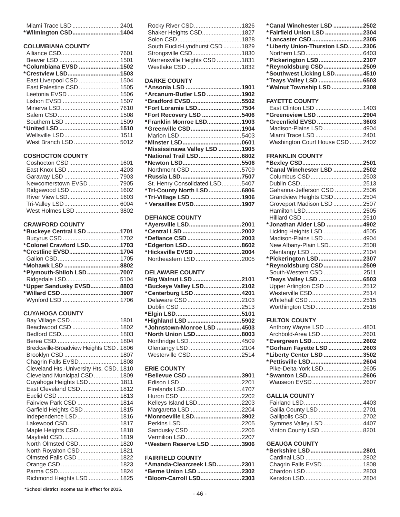| Miami Trace LSD 2401 |  |
|----------------------|--|
| *Wilmington CSD1404  |  |

#### **COLUMBIANA COUNTY**

| *Columbiana EVSD 1502   |  |
|-------------------------|--|
| *Crestview LSD1503      |  |
| East Liverpool CSD 1504 |  |
| East Palestine CSD 1505 |  |
| Leetonia EVSD 1506      |  |
|                         |  |
|                         |  |
|                         |  |
|                         |  |
|                         |  |
| Wellsville LSD 1511     |  |
| West Branch LSD 5012    |  |

#### **COSHOCTON COUNTY**

| East Knox LSD 4203      |  |
|-------------------------|--|
|                         |  |
| Newcomerstown EVSD 7905 |  |
| Ridgewood LSD1602       |  |
| River View LSD1603      |  |
|                         |  |
| West Holmes LSD 3802    |  |
|                         |  |

#### **CRAWFORD COUNTY**

| *Buckeye Central LSD 1701 |  |
|---------------------------|--|
|                           |  |
| *Colonel Crawford LSD1703 |  |
| *Crestline EVSD1704       |  |
|                           |  |
| *Mohawk LSD 8802          |  |
| *Plymouth-Shiloh LSD7007  |  |
|                           |  |
| *Upper Sandusky EVSD8803  |  |
|                           |  |
|                           |  |

#### **CUYAHOGA COUNTY**

| Bay Village CSD 1801                   |
|----------------------------------------|
| Beachwood CSD 1802                     |
|                                        |
|                                        |
| Brecksville-Broadview Heights CSD1806  |
|                                        |
| Chagrin Falls EVSD1808                 |
| Cleveland Hts.-University Hts. CSD1810 |
| Cleveland Municipal CSD1809            |
| Cuyahoga Heights LSD  1811             |
| East Cleveland CSD1812                 |
|                                        |
| Fairview Park CSD 1814                 |
| Garfield Heights CSD 1815              |
| Independence LSD1816                   |
| Lakewood CSD1817                       |
| Maple Heights CSD 1818                 |
|                                        |
| North Olmsted CSD1820                  |
| North Royalton CSD 1821                |
| Olmsted Falls CSD 1822                 |
|                                        |
|                                        |
| Richmond Heights LSD 1825              |

 Rocky River CSD .............................1826 Shaker Heights CSD........................1827 Solon CSD .......................................1828 South Euclid-Lyndhurst CSD ...........1829 Strongsville CSD..............................1830 Warrensville Heights CSD ...............1831 Westlake CSD .................................1832

#### **DARKE COUNTY**

| *Ansonia LSD 1901                              |  |
|------------------------------------------------|--|
| *Arcanum-Butler LSD 1902                       |  |
| *Bradford EVSD5502                             |  |
| *Fort Loramie LSD7504                          |  |
| *Fort Recovery LSD 5406                        |  |
| *Franklin Monroe LSD1903                       |  |
| *Greenville CSD1904                            |  |
|                                                |  |
|                                                |  |
|                                                |  |
| *Mississinawa Valley LSD 1905                  |  |
| *National Trail LSD6802                        |  |
|                                                |  |
| Northmont CSD 5709                             |  |
|                                                |  |
| St. Henry Consolidated LSD5407                 |  |
| *Tri-County North LSD6806                      |  |
| *Tri-Village LSD 1906<br>* Versailles EVSD1907 |  |

#### **DEFIANCE COUNTY**

| *Ayersville LSD2001   |  |
|-----------------------|--|
|                       |  |
| *Defiance CSD 2003    |  |
| *Edgerton LSD8602     |  |
| *Hicksville EVSD 2004 |  |
| Northeastern LSD2005  |  |

# **DELAWARE COUNTY**

| *Big Walnut LSD2101        |  |
|----------------------------|--|
| *Buckeye Valley LSD2102    |  |
| *Centerburg LSD 4201       |  |
| Delaware CSD2103           |  |
|                            |  |
|                            |  |
| *Highland LSD 5902         |  |
| *Johnstown-Monroe LSD 4503 |  |
|                            |  |
| *North Union LSD8003       |  |
| Northridge LSD4509         |  |
| Olentangy LSD 2104         |  |
| Westerville CSD2514        |  |

### **ERIE COUNTY**

| *Bellevue CSD 3901        |  |
|---------------------------|--|
|                           |  |
|                           |  |
|                           |  |
| Kelleys Island LSD2203    |  |
| Margaretta LSD 2204       |  |
| *Monroeville LSD3902      |  |
|                           |  |
|                           |  |
| Vermilion LSD2207         |  |
| *Western Reserve LSD 3906 |  |

#### **FAIRFIELD COUNTY**

| *Amanda-Clearcreek LSD2301 |  |
|----------------------------|--|
| *Berne Union LSD 2302      |  |
| *Bloom-Carroll LSD2303     |  |

| *Canal Winchester LSD 2502      |
|---------------------------------|
| *Fairfield Union LSD 2304       |
| *Lancaster CSD 2305             |
| *Liberty Union-Thurston LSD2306 |
|                                 |
| *Pickerington LSD2307           |
| *Reynoldsburg CSD2509           |
| *Southwest Licking LSD4510      |
| *Teays Valley LSD 6503          |
| *Walnut Township LSD 2308       |
|                                 |

#### **FAYETTE COUNTY**

| *Greeneview LSD 2904           |  |
|--------------------------------|--|
| *Greenfield EVSD 3603          |  |
| Madison-Plains LSD 4904        |  |
| Miami Trace LSD 2401           |  |
| Washington Court House CSD2402 |  |

### **FRANKLIN COUNTY**

| *Canal Winchester LSD 2502 |  |
|----------------------------|--|
| Columbus CSD2503           |  |
|                            |  |
| Gahanna-Jefferson CSD 2506 |  |
| Grandview Heights CSD2504  |  |
| Groveport Madison LSD 2507 |  |
|                            |  |
|                            |  |
| *Jonathan Alder LSD 4902   |  |
| Licking Heights LSD 4505   |  |
| Madison-Plains LSD 4904    |  |
| New Albany-Plain LSD2508   |  |
| Olentangy LSD 2104         |  |
| *Pickerington LSD2307      |  |
| *Reynoldsburg CSD2509      |  |
| South-Western CSD 2511     |  |
| *Teays Valley LSD 6503     |  |
| Upper Arlington CSD 2512   |  |
| Westerville CSD2514        |  |
| Whitehall CSD 2515         |  |
| Worthington CSD2516        |  |

#### **FULTON COUNTY**

| Anthony Wayne LSD 4801   |  |
|--------------------------|--|
|                          |  |
| Archbold-Area LSD2601    |  |
| *Evergreen LSD2602       |  |
| *Gorham Fayette LSD 2603 |  |
| *Liberty Center LSD 3502 |  |
| *Pettisville LSD2604     |  |
| Pike-Delta-York LSD2605  |  |
| *Swanton LSD2606         |  |
| Wauseon EVSD2607         |  |

# **GALLIA COUNTY**

| Gallia County LSD 2701 |  |
|------------------------|--|
|                        |  |
| Symmes Valley LSD 4407 |  |
| Vinton County LSD 8201 |  |

### **GEAUGA COUNTY**

| *Berkshire LSD2801     |  |
|------------------------|--|
|                        |  |
| Chagrin Falls EVSD1808 |  |
|                        |  |
|                        |  |

**\*School district income tax in effect for 2015.**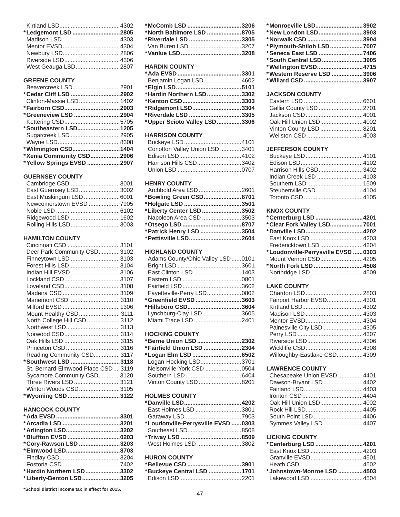| *Ledgemont LSD 2805 |  |
|---------------------|--|
|                     |  |
|                     |  |
|                     |  |
|                     |  |
| West Geauga LSD2807 |  |

# **GREENE COUNTY**

| Beavercreek LSD2901       |  |
|---------------------------|--|
| *Cedar Cliff LSD 2902     |  |
| Clinton-Massie LSD1402    |  |
| *Fairborn CSD2903         |  |
| *Greeneview LSD 2904      |  |
|                           |  |
| *Southeastern LSD1205     |  |
| Sugarcreek LSD 2905       |  |
|                           |  |
| *Wilmington CSD1404       |  |
| *Xenia Community CSD2906  |  |
| *Yellow Springs EVSD 2907 |  |

### **GUERNSEY COUNTY**

| Cambridge CSD3001        |  |
|--------------------------|--|
| East Guernsey LSD3002    |  |
| East Muskingum LSD 6001  |  |
| Newcomerstown EVSD  7905 |  |
|                          |  |
|                          |  |
| Rolling Hills LSD3003    |  |

### **HAMILTON COUNTY**

| Cincinnati CSD 3101               |  |
|-----------------------------------|--|
| Deer Park Community CSD3102       |  |
| Finneytown LSD 3103               |  |
| Forest Hills LSD3104              |  |
| Indian Hill EVSD 3106             |  |
| Lockland CSD3107                  |  |
| Loveland CSD3108                  |  |
|                                   |  |
| Mariemont CSD 3110                |  |
|                                   |  |
| Mount Healthy CSD 3111            |  |
| North College Hill CSD 3112       |  |
| Northwest LSD3113                 |  |
| Norwood CSD3114                   |  |
|                                   |  |
| Princeton CSD3116                 |  |
| Reading Community CSD3117         |  |
| *Southwest LSD 3118               |  |
| St. Bernard-Elmwood Place CSD3119 |  |
| Sycamore Community CSD3120        |  |
| Three Rivers LSD 3121             |  |
| Winton Woods CSD3105              |  |
| *Wyoming CSD 3122                 |  |

#### **HANCOCK COUNTY**

| *Arlington LSD3202       |  |
|--------------------------|--|
| *Bluffton EVSD 0203      |  |
| *Cory-Rawson LSD 3203    |  |
| *Elmwood LSD8703         |  |
|                          |  |
|                          |  |
| *Hardin Northern LSD3302 |  |
| *Liberty-Benton LSD3205  |  |

**\*School district income tax in effect for 2015.**

| *McComb LSD 3206          |  |
|---------------------------|--|
| *North Baltimore LSD 8705 |  |
| *Riverdale LSD 3305       |  |
| Van Buren LSD 3207        |  |
|                           |  |

#### **HARDIN COUNTY**

| Benjamin Logan LSD4602       |  |
|------------------------------|--|
|                              |  |
| *Hardin Northern LSD3302     |  |
|                              |  |
| *Ridgemont LSD3304           |  |
| *Riverdale LSD 3305          |  |
| *Upper Scioto Valley LSD3306 |  |

#### **HARRISON COUNTY**

| Conotton Valley Union LSD 3401 |  |
|--------------------------------|--|
|                                |  |
| Harrison Hills CSD3402         |  |
|                                |  |
|                                |  |

### **HENRY COUNTY**

| Archbold Area LSD 2601   |
|--------------------------|
| *Bowling Green CSD8701   |
|                          |
| *Liberty Center LSD 3502 |
| Napoleon Area CSD 3503   |
|                          |
| *Patrick Henry LSD 3504  |
| *Pettisville LSD2604     |
|                          |

#### **HIGHLAND COUNTY**

| Adams County/Ohio Valley LSD0101 |  |
|----------------------------------|--|
|                                  |  |
| East Clinton LSD 1403            |  |
|                                  |  |
|                                  |  |
| Fayetteville-Perry LSD0802       |  |
| *Greenfield EVSD 3603            |  |
| *Hillsboro CSD3604               |  |
| Lynchburg-Clay LSD3605           |  |
| Miami Trace LSD 2401             |  |
|                                  |  |

### **HOCKING COUNTY**

| *Berne Union LSD 2302     |  |
|---------------------------|--|
| *Fairfield Union LSD 2304 |  |
|                           |  |
| Logan-Hocking LSD3701     |  |
| Nelsonville-York CSD 0504 |  |
|                           |  |
| Vinton County LSD 8201    |  |

#### **HOLMES COUNTY**

| *Danville LSD4202                  |
|------------------------------------|
| East Holmes LSD 3801               |
|                                    |
| *Loudonville-Perrysville EVSD 0303 |
|                                    |
|                                    |
| West Holmes LSD 3802               |
|                                    |

# **HURON COUNTY**

| *Bellevue CSD 3901        |  |
|---------------------------|--|
| *Buckeye Central LSD 1701 |  |
|                           |  |

| *Monroeville LSD3902      |  |
|---------------------------|--|
| *New London LSD3903       |  |
| *Norwalk CSD 3904         |  |
| *Plymouth-Shiloh LSD7007  |  |
| *Seneca East LSD 7406     |  |
| *South Central LSD3905    |  |
| *Wellington EVSD4715      |  |
| *Western Reserve LSD 3906 |  |
|                           |  |
|                           |  |

#### **JACKSON COUNTY**

| Gallia County LSD 2701 |  |
|------------------------|--|
|                        |  |
| Oak Hill Union LSD4002 |  |
| Vinton County LSD 8201 |  |
|                        |  |

### **JEFFERSON COUNTY**

| Harrison Hills CSD3402 |
|------------------------|
| Indian Creek LSD 4103  |
|                        |
| Steubenville CSD4104   |
|                        |
|                        |

#### **KNOX COUNTY**

| *Centerburg LSD 4201               |  |
|------------------------------------|--|
| *Clear Fork Valley LSD7001         |  |
| *Danville LSD4202                  |  |
|                                    |  |
| Fredericktown LSD 4204             |  |
| *Loudonville-Perrysville EVSD 0303 |  |
| Mount Vernon CSD4205               |  |
| *North Fork LSD 4508               |  |
| Northridge LSD4509                 |  |
|                                    |  |

#### **LAKE COUNTY**

| Fairport Harbor EVSD4301    |  |
|-----------------------------|--|
|                             |  |
|                             |  |
|                             |  |
| Painesville City LSD 4305   |  |
|                             |  |
| Riverside LSD4306           |  |
|                             |  |
| Willoughby-Eastlake CSD4309 |  |
|                             |  |

#### **LAWRENCE COUNTY**

| Chesapeake Union EVSD 4401 |  |
|----------------------------|--|
| Dawson-Bryant LSD 4402     |  |
|                            |  |
|                            |  |
| Oak Hill Union LSD4002     |  |
|                            |  |
| South Point LSD 4406       |  |
| Symmes Valley LSD 4407     |  |

#### **LICKING COUNTY**

| *Centerburg LSD 4201       |  |
|----------------------------|--|
|                            |  |
|                            |  |
|                            |  |
| *Johnstown-Monroe LSD 4503 |  |
|                            |  |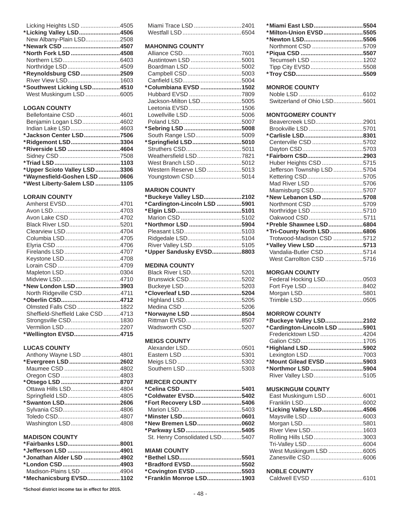| Licking Heights LSD 4505   |  |
|----------------------------|--|
| *Licking Valley LSD4506    |  |
| New Albany-Plain LSD2508   |  |
|                            |  |
| *North Fork LSD 4508       |  |
|                            |  |
| Northridge LSD4509         |  |
| *Reynoldsburg CSD2509      |  |
| River View LSD1603         |  |
| *Southwest Licking LSD4510 |  |
| West Muskingum LSD 6005    |  |

# **LOGAN COUNTY**

| Bellefontaine CSD 4601       |  |
|------------------------------|--|
| Benjamin Logan LSD4602       |  |
| Indian Lake LSD 4603         |  |
| *Jackson Center LSD7506      |  |
| *Ridgemont LSD3304           |  |
| *Riverside LSD 4604          |  |
|                              |  |
|                              |  |
| *Upper Scioto Valley LSD3306 |  |
| *Waynesfield-Goshen LSD 0606 |  |
| *West Liberty-Salem LSD 1105 |  |
|                              |  |

#### **LORAIN COUNTY**

| Amherst EVSD4701                  |  |
|-----------------------------------|--|
|                                   |  |
| Avon Lake CSD 4702                |  |
| Black River LSD5201               |  |
| Clearview LSD4704                 |  |
| Columbia LSD4705                  |  |
|                                   |  |
| Firelands LSD4707                 |  |
| Keystone LSD4708                  |  |
|                                   |  |
|                                   |  |
|                                   |  |
| *New London LSD3903               |  |
| North Ridgeville CSD 4711         |  |
|                                   |  |
| Olmsted Falls CSD 1822            |  |
| Sheffield-Sheffield Lake CSD 4713 |  |
| Strongsville CSD1830              |  |
| Vermilion LSD2207                 |  |
| *Wellington EVSD4715              |  |
|                                   |  |

### **LUCAS COUNTY**

| Anthony Wayne LSD 4801 |  |
|------------------------|--|
| *Evergreen LSD2602     |  |
| Maumee CSD 4802        |  |
|                        |  |
|                        |  |
| Ottawa Hills LSD4804   |  |
| Springfield LSD4805    |  |
| *Swanton LSD2606       |  |
|                        |  |
|                        |  |
| Washington LSD4808     |  |

### **MADISON COUNTY**

| *Fairbanks LSD8001       |  |
|--------------------------|--|
| *Jefferson LSD 4901      |  |
| *Jonathan Alder LSD 4902 |  |
|                          |  |
| Madison-Plains LSD 4904  |  |
| *Mechanicsburg EVSD 1102 |  |

**\*School district income tax in effect for 2015.**

| Miami Trace LSD 2401 |  |
|----------------------|--|
|                      |  |

#### **MAHONING COUNTY**

| Austintown LSD 5001      |  |
|--------------------------|--|
| Boardman LSD 5002        |  |
| Campbell CSD5003         |  |
|                          |  |
| *Columbiana EVSD 1502    |  |
| Hubbard EVSD 7809        |  |
| Jackson-Milton LSD5005   |  |
| Leetonia EVSD 1506       |  |
| Lowellville LSD 5006     |  |
|                          |  |
|                          |  |
| South Range LSD5009      |  |
| *Springfield LSD5010     |  |
|                          |  |
| Weathersfield LSD7821    |  |
| West Branch LSD 5012     |  |
| Western Reserve LSD 5013 |  |
| Youngstown CSD5014       |  |
|                          |  |

### **MARION COUNTY**

| *Buckeye Valley LSD2102      |  |
|------------------------------|--|
| *Cardington-Lincoln LSD 5901 |  |
|                              |  |
|                              |  |
| *Northmor LSD 5904           |  |
|                              |  |
|                              |  |
| River Valley LSD5105         |  |
| *Upper Sandusky EVSD8803     |  |

#### **MEDINA COUNTY**

| Black River LSD5201  |  |
|----------------------|--|
| Brunswick CSD5202    |  |
|                      |  |
| *Cloverleaf LSD 5204 |  |
|                      |  |
|                      |  |
| *Norwayne LSD 8504   |  |
|                      |  |
| Wadsworth CSD 5207   |  |

#### **MEIGS COUNTY**

### **MERCER COUNTY**

| *Coldwater EVSD5402            |  |
|--------------------------------|--|
| *Fort Recovery LSD 5406        |  |
|                                |  |
|                                |  |
| *New Bremen LSD0602            |  |
| *Parkway LSD5405               |  |
| St. Henry Consolidated LSD5407 |  |

#### **MIAMI COUNTY**

| *Bradford EVSD5502       |  |
|--------------------------|--|
| *Covington EVSD 5503     |  |
| *Franklin Monroe LSD1903 |  |

| *Miami East LSD5504    |  |
|------------------------|--|
| *Milton-Union EVSD5505 |  |
|                        |  |
| Northmont CSD 5709     |  |
|                        |  |
| Tecumseh LSD 1202      |  |
| Tipp City EVSD5508     |  |
|                        |  |

#### **MONROE COUNTY**

| Switzerland of Ohio LSD5601 |  |
|-----------------------------|--|

#### **MONTGOMERY COUNTY**

| Beavercreek LSD2901         |  |
|-----------------------------|--|
|                             |  |
|                             |  |
| Centerville CSD 5702        |  |
|                             |  |
| *Fairborn CSD2903           |  |
| Huber Heights CSD 5715      |  |
| Jefferson Township LSD 5704 |  |
| Kettering CSD5705           |  |
| Mad River LSD 5706          |  |
| Miamisburg CSD5707          |  |
| *New Lebanon LSD 5708       |  |
| Northmont CSD 5709          |  |
| Northridge LSD5710          |  |
| Oakwood CSD5711             |  |
| *Preble Shawnee LSD6804     |  |
| *Tri-County North LSD6806   |  |
| Trotwood-Madison CSD 5712   |  |
| *Valley View LSD 5713       |  |
| Vandalia-Butler CSD5714     |  |
| West Carrollton CSD 5716    |  |
|                             |  |

#### **MORGAN COUNTY**

| Federal Hocking LSD0503 |  |
|-------------------------|--|
|                         |  |
|                         |  |
|                         |  |

#### **MORROW COUNTY**

| *Buckeye Valley LSD2102      |  |
|------------------------------|--|
| *Cardington-Lincoln LSD 5901 |  |
| Fredericktown LSD 4204       |  |
|                              |  |
| *Highland LSD 5902           |  |
|                              |  |
| *Mount Gilead EVSD 5903      |  |
| *Northmor LSD 5904           |  |
|                              |  |

### **MUSKINGUM COUNTY**

| East Muskingum LSD 6001 |  |
|-------------------------|--|
|                         |  |
| *Licking Valley LSD4506 |  |
|                         |  |
|                         |  |
| River View LSD1603      |  |
| Rolling Hills LSD3003   |  |
|                         |  |
| West Muskingum LSD 6005 |  |
|                         |  |

# **NOBLE COUNTY**

| . |  |
|---|--|
|   |  |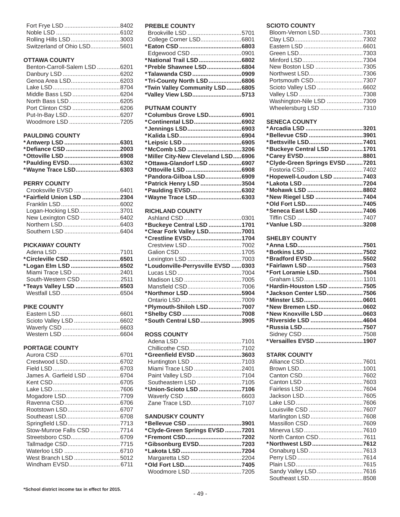| Rolling Hills LSD3003       |  |
|-----------------------------|--|
| Switzerland of Ohio LSD5601 |  |

#### **OTTAWA COUNTY**

| Benton-Carroll-Salem LSD 6201 |  |
|-------------------------------|--|
|                               |  |
| Genoa Area LSD6203            |  |
|                               |  |
|                               |  |
|                               |  |
|                               |  |
|                               |  |
| Woodmore LSD 7205             |  |
|                               |  |

#### **PAULDING COUNTY**

| *Defiance CSD 2003   |  |
|----------------------|--|
|                      |  |
| *Paulding EVSD6302   |  |
| *Wayne Trace LSD6303 |  |

#### **PERRY COUNTY**

| *Fairfield Union LSD 2304 |  |
|---------------------------|--|
|                           |  |
| Logan-Hocking LSD3701     |  |
| New Lexington CSD 6402    |  |
|                           |  |
|                           |  |

### **PICKAWAY COUNTY**

| *Logan Elm LSD 6502    |
|------------------------|
| Miami Trace LSD 2401   |
| South-Western CSD 2511 |
| *Teays Valley LSD 6503 |
|                        |
|                        |

#### **PIKE COUNTY**

#### **PORTAGE COUNTY**

| James A. Garfield LSD 6704 |  |
|----------------------------|--|
|                            |  |
|                            |  |
| Mogadore LSD7709           |  |
|                            |  |
|                            |  |
|                            |  |
| Springfield LSD7713        |  |
| Stow-Munroe Falls CSD 7714 |  |
|                            |  |
| Tallmadge CSD7715          |  |
|                            |  |
| West Branch LSD 5012       |  |
|                            |  |
|                            |  |

### **PREBLE COUNTY**

| College Corner LSD6801         |  |
|--------------------------------|--|
|                                |  |
|                                |  |
| *National Trail LSD6802        |  |
|                                |  |
| *Preble Shawnee LSD6804        |  |
| *Talawanda CSD 0909            |  |
| *Tri-County North LSD6806      |  |
| *Twin Valley Community LSD6805 |  |
| *Valley View LSD5713           |  |

# **PUTNAM COUNTY**

| *Columbus Grove LSD6901            |  |
|------------------------------------|--|
| *Continental LSD6902               |  |
| *Jennings LSD6903                  |  |
|                                    |  |
|                                    |  |
| *McComb LSD 3206                   |  |
| *Miller City-New Cleveland LSD6906 |  |
| *Ottawa-Glandorf LSD 6907          |  |
|                                    |  |
| *Pandora-Gilboa LSD6909            |  |
| *Patrick Henry LSD 3504            |  |
| *Paulding EVSD6302                 |  |
| *Wayne Trace LSD6303               |  |
|                                    |  |

#### **RICHLAND COUNTY**

| *Buckeye Central LSD 1701          |  |
|------------------------------------|--|
| *Clear Fork Valley LSD7001         |  |
| *Crestline EVSD1704                |  |
|                                    |  |
|                                    |  |
|                                    |  |
| *Loudonville-Perrysville EVSD 0303 |  |
|                                    |  |
|                                    |  |
| Mansfield CSD7006                  |  |
| *Northmor LSD 5904                 |  |
|                                    |  |
| *Plymouth-Shiloh LSD7007           |  |
|                                    |  |
| *South Central LSD3905             |  |

#### **ROSS COUNTY**

| *Greenfield EVSD 3603  |  |
|------------------------|--|
|                        |  |
| Miami Trace LSD 2401   |  |
|                        |  |
| Southeastern LSD 7105  |  |
| *Union-Scioto LSD 7106 |  |
|                        |  |
| Zane Trace LSD7107     |  |

### **SANDUSKY COUNTY**

| *Bellevue CSD 3901             |  |
|--------------------------------|--|
| *Clyde-Green Springs EVSD 7201 |  |
| *Fremont CSD7202               |  |
| *Gibsonburg EVSD7203           |  |
|                                |  |
| Margaretta LSD 2204            |  |
| *Old Fort LSD7405              |  |
| Woodmore LSD 7205              |  |

#### **SCIOTO COUNTY**

| Bloom-Vernon LSD7301     |  |
|--------------------------|--|
|                          |  |
|                          |  |
|                          |  |
|                          |  |
| New Boston LSD 7305      |  |
| Northwest LSD7306        |  |
| Portsmouth CSD7307       |  |
| Scioto Valley LSD 6602   |  |
|                          |  |
| Washington-Nile LSD 7309 |  |
| Wheelersburg LSD 7310    |  |

#### **SENECA COUNTY**

| *Arcadia LSD 3201              |  |
|--------------------------------|--|
|                                |  |
| *Bettsville LSD7401            |  |
| *Buckeye Central LSD 1701      |  |
|                                |  |
| *Clyde-Green Springs EVSD 7201 |  |
|                                |  |
| *Hopewell-Loudon LSD 7403      |  |
|                                |  |
| *Mohawk LSD 8802               |  |
| *New Riegel LSD 7404           |  |
|                                |  |
| *Seneca East LSD 7406          |  |
|                                |  |
|                                |  |
|                                |  |

#### **SHELBY COUNTY**

| *Bradford EVSD5502       |  |
|--------------------------|--|
| *Fairlawn LSD7503        |  |
| *Fort Loramie LSD7504    |  |
|                          |  |
| *Hardin-Houston LSD 7505 |  |
| *Jackson Center LSD7506  |  |
|                          |  |
| *New Bremen LSD0602      |  |
| *New Knoxville LSD 0603  |  |
| *Riverside LSD 4604      |  |
|                          |  |
|                          |  |
| *Versailles EVSD 1907    |  |
|                          |  |

#### **STARK COUNTY**

| Louisville CSD 7607   |  |
|-----------------------|--|
| Marlington LSD7608    |  |
|                       |  |
| Minerva LSD7610       |  |
| North Canton CSD7611  |  |
| *Northwest LSD7612    |  |
|                       |  |
|                       |  |
|                       |  |
| Sandy Valley LSD 7616 |  |
| Southeast LSD8508     |  |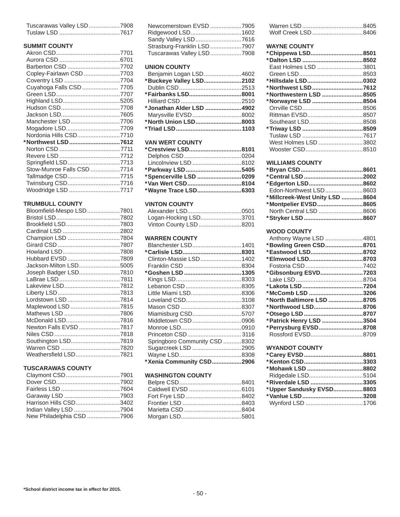| Tuscarawas Valley LSD7908 |  |
|---------------------------|--|
|                           |  |

#### **SUMMIT COUNTY**

| Barberton CSD 7702         |  |
|----------------------------|--|
| Copley-Fairlawn CSD 7703   |  |
| Coventry LSD 7704          |  |
| Cuyahoga Falls CSD  7705   |  |
|                            |  |
| Highland LSD5205           |  |
|                            |  |
|                            |  |
| Manchester LSD7706         |  |
| Mogadore LSD7709           |  |
| Nordonia Hills CSD7710     |  |
| *Northwest LSD7612         |  |
|                            |  |
|                            |  |
| Springfield LSD7713        |  |
| Stow-Munroe Falls CSD 7714 |  |
| Tallmadge CSD7715          |  |
| Twinsburg CSD7716          |  |
| Woodridge LSD 7717         |  |
|                            |  |

#### **TRUMBULL COUNTY**

| Brookfield LSD7803     |
|------------------------|
|                        |
|                        |
|                        |
| Champion LSD 7804      |
|                        |
|                        |
| Hubbard EVSD 7809      |
| Jackson-Milton LSD5005 |
| Joseph Badger LSD7810  |
|                        |
| Lakeview LSD7812       |
|                        |
| Lordstown LSD 7814     |
| Maplewood LSD 7815     |
| Mathews LSD 7806       |
| McDonald LSD7816       |
| Newton Falls EVSD 7817 |
|                        |
| Southington LSD7819    |
|                        |
| Weathersfield LSD7821  |
|                        |

# **TUSCARAWAS COUNTY**

| Harrison Hills CSD3402    |  |
|---------------------------|--|
| Indian Valley LSD 7904    |  |
| New Philadelphia CSD 7906 |  |

| Newcomerstown EVSD 7905     |  |
|-----------------------------|--|
|                             |  |
| Sandy Valley LSD 7616       |  |
| Strasburg-Franklin LSD 7907 |  |
| Tuscarawas Valley LSD7908   |  |

#### **UNION COUNTY**

| Benjamin Logan LSD4602   |  |
|--------------------------|--|
| *Buckeye Valley LSD2102  |  |
|                          |  |
| *Fairbanks LSD8001       |  |
|                          |  |
| *Jonathan Alder LSD 4902 |  |
| Marysville EVSD8002      |  |
| *North Union LSD8003     |  |
|                          |  |

# **VAN WERT COUNTY**

# **VINTON COUNTY**

| Logan-Hocking LSD3701  |  |
|------------------------|--|
| Vinton County LSD 8201 |  |

# **WARREN COUNTY**

| Blanchester LSD1401           |  |
|-------------------------------|--|
|                               |  |
| Clinton-Massie LSD1402        |  |
|                               |  |
|                               |  |
|                               |  |
|                               |  |
| Little Miami LSD8306          |  |
| Loveland CSD3108              |  |
|                               |  |
| Miamisburg CSD5707            |  |
| Middletown CSD0906            |  |
|                               |  |
| Princeton CSD3116             |  |
| Springboro Community CSD 8302 |  |
| Sugarcreek LSD 2905           |  |
|                               |  |
| *Xenia Community CSD2906      |  |

# **WASHINGTON COUNTY**

# **WAYNE COUNTY**

| *Chippewa LSD8501      |  |
|------------------------|--|
|                        |  |
| East Holmes LSD 3801   |  |
|                        |  |
|                        |  |
| *Northwest LSD7612     |  |
| *Northwestern LSD 8505 |  |
| *Norwayne LSD 8504     |  |
|                        |  |
|                        |  |
| Southeast LSD8508      |  |
|                        |  |
|                        |  |
| West Holmes LSD 3802   |  |
|                        |  |
|                        |  |

# **WILLIAMS COUNTY**

| *Edgerton LSD8602              |  |
|--------------------------------|--|
| Edon-Northwest LSD8603         |  |
| *Millcreek-West Unity LSD 8604 |  |
| *Montpelier EVSD8605           |  |
| North Central LSD 8606         |  |
|                                |  |
|                                |  |

#### **WOOD COUNTY**

| Anthony Wayne LSD 4801    |  |
|---------------------------|--|
| *Bowling Green CSD8701    |  |
| *Eastwood LSD8702         |  |
| *Elmwood LSD8703          |  |
|                           |  |
| *Gibsonburg ESVD7203      |  |
|                           |  |
|                           |  |
| *McComb LSD 3206          |  |
| *North Baltimore LSD 8705 |  |
| *Northwood LSD8706        |  |
|                           |  |
| *Patrick Henry LSD 3504   |  |
| *Perrysburg EVSD8708      |  |
| Rossford EVSD8709         |  |
|                           |  |

# **WYANDOT COUNTY**

| *Riverdale LSD 3305      |  |
|--------------------------|--|
| *Upper Sandusky EVSD8803 |  |
|                          |  |
|                          |  |
|                          |  |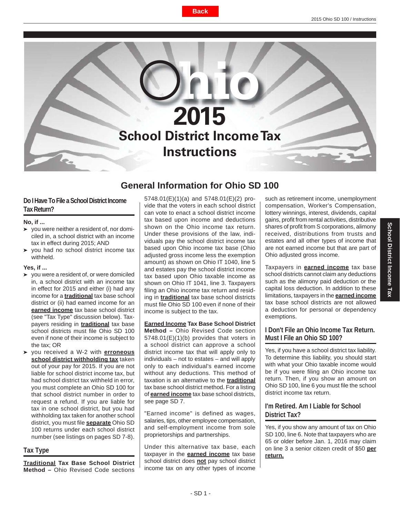<span id="page-50-0"></span>

# **General Information for Ohio SD 100**

# **Do I Have To File a School District Income Tax Return?**

#### **No, if ...**

- $\rightarrow$  you were neither a resident of, nor domiciled in, a school district with an income tax in effect during 2015; AND
- ▶ you had no school district income tax withheld.

#### **Yes, if ...**

- ‰you were a resident of, or were domiciled in, a school district with an income tax in effect for 2015 and either (i) had any income for a **traditional** tax base school district or (ii) had earned income for an **earned income** tax base school district (see "Tax Type" discussion below). Taxpayers residing in **traditional** tax base school districts must file Ohio SD 100 even if none of their income is subject to the tax; OR
- ‰ you received a W-2 with **erroneous school district withholding tax** taken out of your pay for 2015. If you are not liable for school district income tax, but had school district tax withheld in error, you must complete an Ohio SD 100 for that school district number in order to request a refund. If you are liable for tax in one school district, but you had withholding tax taken for another school district, you must file **separate** Ohio SD 100 returns under each school district number (see listings on pages SD 7-8).

#### **Tax Type**

**Traditional Tax Base School District Method –** Ohio Revised Code sections

5748.01(E)(1)(a) and 5748.01(E)(2) provide that the voters in each school district can vote to enact a school district income tax based upon income and deductions shown on the Ohio income tax return. Under these provisions of the law, individuals pay the school district income tax based upon Ohio income tax base (Ohio adjusted gross income less the exemption amount) as shown on Ohio IT 1040, line 5 and estates pay the school district income tax based upon Ohio taxable income as shown on Ohio IT 1041, line 3. Taxpayers filing an Ohio income tax return and residing in **traditional** tax base school districts must file Ohio SD 100 even if none of their income is subject to the tax.

**Earned Income Tax Base School District Method –** Ohio Revised Code section 5748.01(E)(1)(b) provides that voters in a school district can approve a school district income tax that will apply only to individuals – not to estates – and will apply only to each individual's earned income without any deductions. This method of taxation is an alternative to the **traditional** tax base school district method. For a listing of **earned income** tax base school districts, see page SD 7.

"Earned income" is defined as wages, salaries, tips, other employee compensation, and self-employment income from sole proprietorships and partnerships.

Under this alternative tax base, each taxpayer in the **earned income** tax base school district does **not** pay school district income tax on any other types of income

such as retirement income, unemployment compensation, Worker's Compensation, lottery winnings, interest, dividends, capital gains, profit from rental activities, distributive shares of profit from S corporations, alimony received, distributions from trusts and estates and all other types of income that are not earned income but that are part of Ohio adjusted gross income.

Taxpayers in **earned income** tax base school districts cannot claim any deductions such as the alimony paid deduction or the capital loss deduction. In addition to these limitations, taxpayers in the **earned income**  tax base school districts are not allowed a deduction for personal or dependency exemptions.

### **I Don't File an Ohio Income Tax Return. Must I File an Ohio SD 100?**

Yes, if you have a school district tax liability. To determine this liability, you should start with what your Ohio taxable income would be if you were filing an Ohio income tax return. Then, if you show an amount on Ohio SD 100, line 6 you must file the school district income tax return.

# **I'm Retired. Am I Liable for School District Tax?**

Yes, if you show any amount of tax on Ohio SD 100, line 6. Note that taxpayers who are 65 or older before Jan. 1, 2016 may claim on line 3 a senior citizen credit of \$50 **per return.**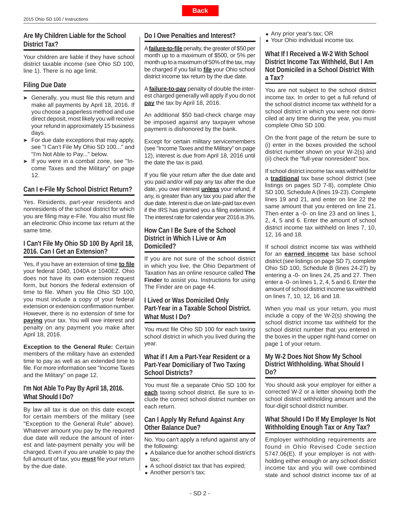# <span id="page-51-0"></span>**Are My Children Liable for the School District Tax?**

Your children are liable if they have school district taxable income (see Ohio SD 100, line 1). There is no age limit.

### **Filing Due Date**

- $\blacktriangleright$  Generally, you must file this return and make all payments by April 18, 2016. If you choose a paperless method and use direct deposit, most likely you will receive your refund in approximately 15 business days.
- $\blacktriangleright$  For due date exceptions that may apply, see "I Can't File My Ohio SD 100..." and "I'm Not Able to Pay..." below.
- ► If you were in a combat zone, see "Income Taxes and the Military" on page 12.

# **Can I e-File My School District Return?**

Yes. Residents, part-year residents and nonresidents of the school district for which you are filing may e-File. You also must file an electronic Ohio income tax return at the same time.

### **I Can't File My Ohio SD 100 By April 18, 2016. Can I Get an Extension?**

Yes, if you have an extension of time **to file** your federal 1040, 1040A or 1040EZ. Ohio does not have its own extension request form, but honors the federal extension of time to file. When you file Ohio SD 100, you must include a copy of your federal extension or extension confirmation number. However, there is no extension of time for **paying** your tax. You will owe interest and penalty on any payment you make after April 18, 2016.

**Exception to the General Rule:** Certain members of the military have an extended time to pay as well as an extended time to file. For more information see "Income Taxes and the Military" on page 12.

# **I'm Not Able To Pay By April 18, 2016. What Should I Do?**

By law all tax is due on this date except for certain members of the military (see "Exception to the General Rule" above). Whatever amount you pay by the required due date will reduce the amount of interest and late-payment penalty you will be charged. Even if you are unable to pay the full amount of tax, you **must** file your return by the due date.

# **Do I Owe Penalties and Interest?**

A **failure-to-fi le** penalty, the greater of \$50 per month up to a maximum of \$500, or 5% per month up to a maximum of 50% of the tax, may be charged if you fail to **file** your Ohio school district income tax return by the due date.

**Back**

A **failure-to-pay** penalty of double the interest charged generally will apply if you do not **pay** the tax by April 18, 2016.

An additional \$50 bad-check charge may be imposed against any taxpayer whose payment is dishonored by the bank.

Except for certain military servicemembers (see "Income Taxes and the Military" on page 12), interest is due from April 18, 2016 until the date the tax is paid.

If you file your return after the due date and you paid and/or will pay any tax after the due date, you owe interest **unless** your refund, if any, is greater than any tax you paid after the due date. Interest is due on late-paid tax even if the IRS has granted you a filing extension. The interest rate for calendar year 2016 is 3%.

### **How Can I Be Sure of the School District in Which I Live or Am Domiciled?**

If you are not sure of the school district in which you live, the Ohio Department of Taxation has an online resource called **The Finder** to assist you. Instructions for using The Finder are on page 44.

# **I Lived or Was Domiciled Only Part-Year in a Taxable School District. What Must I Do?**

You must file Ohio SD 100 for each taxing school district in which you lived during the year.

# **What if I Am a Part-Year Resident or a Part-Year Domiciliary of Two Taxing School Districts?**

You must file a separate Ohio SD 100 for **each** taxing school district. Be sure to include the correct school district number on each return.

# **Can I Apply My Refund Against Any Other Balance Due?**

No. You can't apply a refund against any of the following:

- A balance due for another school district's tax;
- A school district tax that has expired;
- Another person's tax;
- Any prior year's tax; OR
- Your Ohio individual income tax.

**What If I Received a W-2 With School District Income Tax Withheld, But I Am Not Domiciled in a School District With a Tax?**

You are not subject to the school district income tax. In order to get a full refund of the school district income tax withheld for a school district in which you were not domiciled at any time during the year, you must complete Ohio SD 100.

On the front page of the return be sure to (i) enter in the boxes provided the school district number shown on your W-2(s) and (ii) check the "full-year nonresident" box.

If school district income tax was withheld for a **traditional** tax base school district (see listings on pages SD 7-8), complete Ohio SD 100, Schedule A (lines 19-23). Complete lines 19 and 21, and enter on line 22 the same amount that you entered on line 21. Then enter a -0- on line 23 and on lines 1, 2, 4, 5 and 6. Enter the amount of school district income tax withheld on lines 7, 10, 12, 16 and 18.

If school district income tax was withheld for an **earned income** tax base school district (see listings on page SD 7), complete Ohio SD 100, Schedule B (lines 24-27) by entering a -0- on lines 24, 25 and 27. Then enter a -0- on lines 1, 2, 4, 5 and 6. Enter the amount of school district income tax withheld on lines 7, 10, 12, 16 and 18.

When you mail us your return, you must include a copy of the W-2(s) showing the school district income tax withheld for the school district number that you entered in the boxes in the upper right-hand corner on page 1 of your return.

### **My W-2 Does Not Show My School District Withholding. What Should I Do?**

You should ask your employer for either a corrected W-2 or a letter showing both the school district withholding amount and the four-digit school district number.

# **What Should I Do If My Employer Is Not Withholding Enough Tax or Any Tax?**

Employer withholding requirements are found in Ohio Revised Code section 5747.06(E). If your employer is not withholding either enough or any school district income tax and you will owe combined state and school district income tax of at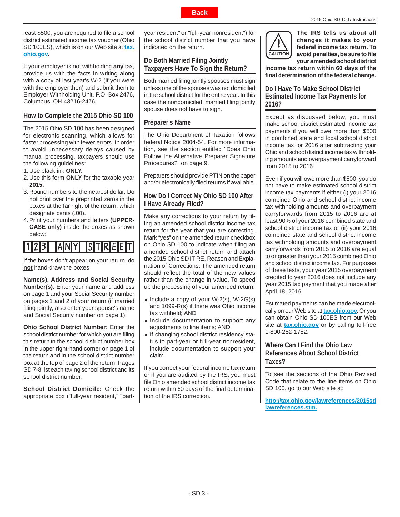<span id="page-52-0"></span>least \$500, you are required to file a school district estimated income tax voucher (Ohio SD 100ES), which is on our Web site at **tax. ohio.gov.**

If your employer is not withholding **any** tax, provide us with the facts in writing along with a copy of last year's W-2 (if you were with the employer then) and submit them to Employer Withholding Unit, P.O. Box 2476, Columbus, OH 43216-2476.

### **How to Complete the 2015 Ohio SD 100**

The 2015 Ohio SD 100 has been designed for electronic scanning, which allows for faster processing with fewer errors. In order to avoid unnecessary delays caused by manual processing, taxpayers should use the following guidelines:

1. Use black ink **ONLY.**

- 2. Use this form **ONLY** for the taxable year **2015.**
- 3. Round numbers to the nearest dollar. Do not print over the preprinted zeros in the boxes at the far right of the return, which designate cents (.00).
- 4. Print your numbers and letters **(UPPER-CASE only)** inside the boxes as shown below:

# 123 ANY STREET

If the boxes don't appear on your return, do **not** hand-draw the boxes.

**Name(s), Address and Social Security Number(s).** Enter your name and address on page 1 and your Social Security number on pages 1 and 2 of your return (if married filing jointly, also enter your spouse's name and Social Security number on page 1).

**Ohio School District Number:** Enter the school district number for which you are filing this return in the school district number box in the upper right-hand corner on page 1 of the return and in the school district number box at the top of page 2 of the return. Pages SD 7-8 list each taxing school district and its school district number.

**School District Domicile:** Check the appropriate box ("full-year resident," "part-

year resident" or "full-year nonresident") for the school district number that you have indicated on the return.

#### **Do Both Married Filing Jointly Taxpayers Have To Sign the Return?**

Both married filing jointly spouses must sign unless one of the spouses was not domiciled in the school district for the entire year. In this case the nondomiciled, married filing jointly spouse does not have to sign.

#### **Preparer's Name**

The Ohio Department of Taxation follows federal Notice 2004-54. For more information, see the section entitled "Does Ohio Follow the Alternative Preparer Signature Procedures?" on page 9.

Preparers should provide PTIN on the paper and/or electronically filed returns if available.

### **How Do I Correct My Ohio SD 100 After I Have Already Filed?**

Make any corrections to your return by filing an amended school district income tax return for the year that you are correcting. Mark "yes" on the amended return checkbox on Ohio SD 100 to indicate when filing an amended school district return and attach the 2015 Ohio SD IT RE, Reason and Explanation of Corrections. The amended return should reflect the total of the new values rather than the change in value. To speed up the processing of your amended return:

- $\bullet$  Include a copy of your W-2(s), W-2G(s) and 1099-R(s) if there was Ohio income tax withheld; AND
- Include documentation to support any adjustments to line items; AND
- If changing school district residency status to part-year or full-year nonresident, include documentation to support your claim.

If you correct your federal income tax return or if you are audited by the IRS, you must file Ohio amended school district income tax return within 60 days of the final determination of the IRS correction.



**The IRS tells us about all changes it makes to your federal income tax return. To avoid penalties, be sure to fi le your amended school district** 

**income tax return within 60 days of the fi nal determination of the federal change.**

### **Do I Have To Make School District Estimated Income Tax Payments for 2016?**

Except as discussed below, you must make school district estimated income tax payments if you will owe more than \$500 in combined state and local school district income tax for 2016 after subtracting your Ohio and school district income tax withholding amounts and overpayment carryforward from 2015 to 2016.

Even if you will owe more than \$500, you do not have to make estimated school district income tax payments if either (i) your 2016 combined Ohio and school district income tax withholding amounts and overpayment carryforwards from 2015 to 2016 are at least 90% of your 2016 combined state and school district income tax or (ii) your 2016 combined state and school district income tax withholding amounts and overpayment carryforwards from 2015 to 2016 are equal to or greater than your 2015 combined Ohio and school district income tax. For purposes of these tests, your year 2015 overpayment credited to year 2016 does not include any year 2015 tax payment that you made after April 18, 2016.

Estimated payments can be made electronically on our Web site at **[tax.ohio.gov.](http://tax.ohio.gov/)** Or you can obtain Ohio SD 100ES from our Web site at **[tax.ohio.gov](http://tax.ohio.gov/)** or by calling toll-free 1-800-282-1782.

# **Where Can I Find the Ohio Law References About School District Taxes?**

To see the sections of the Ohio Revised Code that relate to the line items on Ohio SD 100, go to our Web site at:

**[http://tax.ohio.gov/lawreferences/2015sd](http://tax.ohio.gov/lawreferences/2015sdlawreferences.stm) [lawreferences.stm.](http://tax.ohio.gov/lawreferences/2015sdlawreferences.stm)**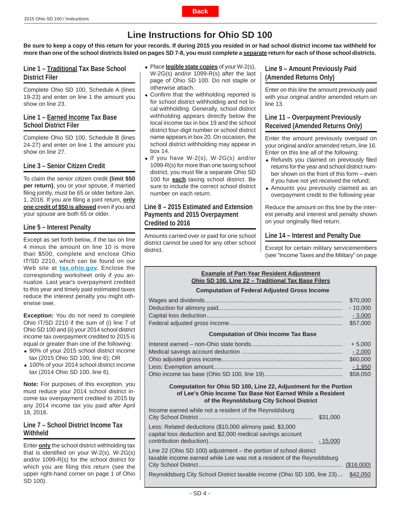# **Line Instructions for Ohio SD 100**

<span id="page-53-1"></span><span id="page-53-0"></span>**Be sure to keep a copy of this return for your records. If during 2015 you resided in or had school district income tax withheld for more than one of the school districts listed on pages SD 7-8, you must complete a separate return for each of those school districts.**

# **Line 1 – Traditional Tax Base School District Filer**

Complete Ohio SD 100, Schedule A (lines 19-23) and enter on line 1 the amount you show on line 23.

# **Line 1 – Earned Income Tax Base School District Filer**

Complete Ohio SD 100, Schedule B (lines 24-27) and enter on line 1 the amount you show on line 27.

# **Line 3 – Senior Citizen Credit**

To claim the senior citizen credit **(limit \$50 per return)**, you or your spouse, if married filing jointly, must be 65 or older before Jan. 1, 2016. If you are filing a joint return, only **one credit of \$50 is allowed** even if you and your spouse are both 65 or older.

# **Line 5 – Interest Penalty**

Except as set forth below, if the tax on line 4 minus the amount on line 10 is more than \$500, complete and enclose Ohio IT/SD 2210, which can be found on our Web site at **[tax.ohio.gov.](http://tax.ohio.gov/)** Enclose the corresponding worksheet only if you annualize. Last year's overpayment credited to this year and timely paid estimated taxes reduce the interest penalty you might otherwise owe.

**Exception:** You do not need to complete Ohio IT/SD 2210 if the sum of (i) line 7 of Ohio SD 100 and (ii) your 2014 school district income tax overpayment credited to 2015 is equal or greater than one of the following:

- 90% of your 2015 school district income tax (2015 Ohio SD 100, line 6); OR
- 100% of your 2014 school district income tax (2014 Ohio SD 100, line 6).

**Note:** For purposes of this exception, you must reduce your 2014 school district income tax overpayment credited to 2015 by any 2014 income tax you paid after April 18, 2016.

### **Line 7 – School District Income Tax Withheld**

Enter **only** the school district withholding tax that is identified on your  $W-2(s)$ ,  $W-2G(s)$ and/or 1099-R(s) for the school district for which you are filing this return (see the upper right-hand corner on page 1 of Ohio SD 100).

- Place **legible state copies** of your W-2(s), W-2G(s) and/or 1099-R(s) after the last page of Ohio SD 100. Do not staple or otherwise attach.
- Confirm that the withholding reported is for school district withholding and not local withholding. Generally, school district withholding appears directly below the local income tax in box 19 and the school district four-digit number or school district name appears in box 20. On occasion, the school district withholding may appear in box 14.
- $\bullet$  If you have W-2(s), W-2G(s) and/or 1099-R(s) for more than one taxing school district, you must file a separate Ohio SD 100 for **each** taxing school district. Be sure to include the correct school district number on each return.

### **Line 8 – 2015 Estimated and Extension Payments and 2015 Overpayment Credited to 2016**

Amounts carried over or paid for one school district cannot be used for any other school district.

# **Line 9 – Amount Previously Paid (Amended Returns Only)**

Enter on this line the amount previously paid with your original and/or amended return on line 13.

# **Line 11 – Overpayment Previously Received (Amended Returns Only)**

Enter the amount previously overpaid on your original and/or amended return, line 16. Enter on this line all of the following:

- Refunds you claimed on previously filed returns for the year and school district number shown on the front of this form – even if you have not yet received the refund;
- Amounts you previously claimed as an overpayment credit to the following year

Reduce the amount on this line by the interest penalty and interest and penalty shown on your originally filed return.

# **Line 14 – Interest and Penalty Due**

Except for certain military servicemembers (see "Income Taxes and the Military" on page

#### **Example of Part-Year Resident Adjustment Ohio SD 100, Line 22 – Traditional Tax Base Filers**

# **Computation of Federal Adjusted Gross Income**

|                                            | \$70,000  |  |
|--------------------------------------------|-----------|--|
|                                            | $-10,000$ |  |
|                                            | $-3,000$  |  |
|                                            | \$57,000  |  |
| <b>Computation of Ohio Income Tax Base</b> |           |  |
|                                            | $+5.000$  |  |

| + 5.UUU  |
|----------|
| $-2,000$ |
| \$60,000 |
| - 1.950  |
| \$58.050 |

#### **Computation for Ohio SD 100, Line 22, Adjustment for the Portion of Lee's Ohio Income Tax Base Not Earned While a Resident of the Reynoldsburg City School District**

| Income earned while not a resident of the Reynoldsburg                                                                                      |          |
|---------------------------------------------------------------------------------------------------------------------------------------------|----------|
| Less: Related deductions (\$10,000 alimony paid, \$3,000<br>capital loss deduction and \$2,000 medical savings account                      |          |
| Line 22 (Ohio SD 100) adjustment – the portion of school district<br>taxable income earned while Lee was not a resident of the Reynoldsburg |          |
|                                                                                                                                             |          |
| Reynoldsburg City School District taxable income (Ohio SD 100, line 23)                                                                     | \$42,050 |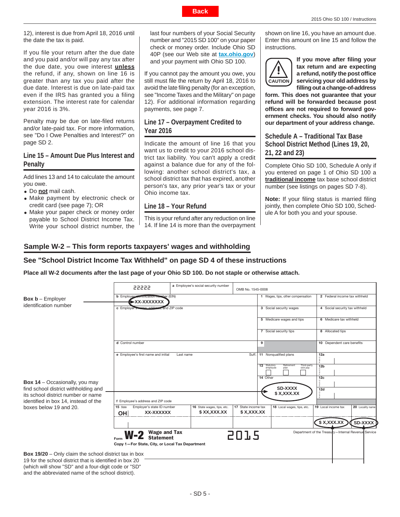<span id="page-54-0"></span>12), interest is due from April 18, 2016 until the date the tax is paid.

If you file your return after the due date and you paid and/or will pay any tax after the due date, you owe interest **unless** the refund, if any, shown on line 16 is greater than any tax you paid after the due date. Interest is due on late-paid tax even if the IRS has granted you a filing extension. The interest rate for calendar year 2016 is 3%.

Penalty may be due on late-filed returns and/or late-paid tax. For more information, see "Do I Owe Penalties and Interest?" on page SD 2.

# **Line 15 – Amount Due Plus Interest and Penalty**

Add lines 13 and 14 to calculate the amount you owe.

- Do **not** mail cash.
- Make payment by electronic check or credit card (see page 7); OR
- Make your paper check or money order payable to School District Income Tax. Write your school district number, the

last four numbers of your Social Security number and "2015 SD 100" on your paper check or money order. Include Ohio SD 40P (see our Web site at **[tax.ohio.gov](http://tax.ohio.gov/)**) and your payment with Ohio SD 100.

If you cannot pay the amount you owe, you still must file the return by April 18, 2016 to avoid the late filing penalty (for an exception, see "Income Taxes and the Military" on page 12). For additional information regarding payments, see page 7.

### **Line 17 – Overpayment Credited to Year 2016**

Indicate the amount of line 16 that you want us to credit to your 2016 school district tax liability. You can't apply a credit against a balance due for any of the following: another school district's tax, a school district tax that has expired, another person's tax, any prior year's tax or your Ohio income tax.

#### **Line 18 – Your Refund** ĺ

This is your refund after any reduction on line 14. If line 14 is more than the overpayment shown on line 16, you have an amount due. Enter this amount on line 15 and follow the instructions.



**If you move after fi ling your tax return and are expecting a refund, notify the post offi ce servicing your old address by fi lling out a change-of-address** 

**form. This does not guarantee that your refund will be forwarded because post**  offices are not required to forward gov**ernment checks. You should also notify our department of your address change.**

**Schedule A – Traditional Tax Base School District Method (Lines 19, 20, 21, 22 and 23)**

Complete Ohio SD 100, Schedule A only if you entered on page 1 of Ohio SD 100 a **traditional income** tax base school district number (see listings on pages SD 7-8).

**Note:** If your filing status is married filing jointly, then complete Ohio SD 100, Schedule A for both you and your spouse.

# **Sample W-2 – This form reports taxpayers' wages and withholding**

# **See "School District Income Tax Withheld" on page SD 4 of these instructions**

**Place all W-2 documents after the last page of your Ohio SD 100. Do not staple or otherwise attach.**

|                                                                                                                         | 22222                                                                                                     | a Employee's social security number       |                                   |                                                                           |                                         |
|-------------------------------------------------------------------------------------------------------------------------|-----------------------------------------------------------------------------------------------------------|-------------------------------------------|-----------------------------------|---------------------------------------------------------------------------|-----------------------------------------|
| <b>Box <math>b</math></b> – Employer                                                                                    | <b>b</b> Employer identification number (EIN)<br>$\blacktriangleright$ XX-XXXXXX                          | OMB No. 1545-0008                         |                                   | 1 Wages, tips, other compensation                                         | 2 Federal income tax withheld           |
| identification number                                                                                                   | c Employer 3 memo address, and ZIP code                                                                   |                                           | 3 Social security wages           | 4 Social security tax withheld                                            |                                         |
|                                                                                                                         |                                                                                                           |                                           |                                   | 5 Medicare wages and tips                                                 | 6 Medicare tax withheld                 |
|                                                                                                                         |                                                                                                           |                                           |                                   | 7 Social security tips                                                    | 8 Allocated tips                        |
|                                                                                                                         | d Control number                                                                                          |                                           |                                   | 9                                                                         | 10 Dependent care benefits              |
|                                                                                                                         | e Employee's first name and initial<br>Last name                                                          |                                           |                                   | Suff. 11 Nonqualified plans<br>12a<br>c                                   |                                         |
|                                                                                                                         |                                                                                                           |                                           |                                   | 13 Statutory<br>employee<br>Retirement<br>Third-party<br>sick pay<br>plan | 12 <sub>b</sub>                         |
| <b>Box 14 - Occasionally, you may</b><br>find school district withholding and<br>its school district number or name     |                                                                                                           |                                           |                                   | 14 Other<br>12c                                                           |                                         |
|                                                                                                                         |                                                                                                           |                                           |                                   | SD-XXXX<br>\$X,XXX.XX                                                     | 12d                                     |
| identified in box 14, instead of the                                                                                    | f Employee's address and ZIP code                                                                         |                                           |                                   |                                                                           |                                         |
| boxes below 19 and 20.                                                                                                  | Employer's state ID number<br>15 State<br>XX-XXXXXX<br><b>OH</b>                                          | 16 State wages, tips, etc.<br>\$XX,XXX.XX | 17 State income tax<br>\$X,XXX.XX | 18 Local wages, tips, etc.                                                | 19 Local income tax<br>20 Locality name |
|                                                                                                                         |                                                                                                           |                                           |                                   |                                                                           | \$X,XXX.XX<br>SD-XXXX D                 |
|                                                                                                                         | Wage and Tax<br>Statement<br>Department of the Treasury-Internal Revenue Service<br>$W-2$<br>2015<br>Form |                                           |                                   |                                                                           |                                         |
|                                                                                                                         | Copy 1-For State, City, or Local Tax Department                                                           |                                           |                                   |                                                                           |                                         |
| <b>Box 19/20</b> – Only claim the school district tax in box<br>19 for the school district that is identified in box 20 |                                                                                                           |                                           |                                   |                                                                           |                                         |

19 for the school district that is identified in box 20

(which will show "SD" and a four-digit code or "SD"

and the abbreviated name of the school district).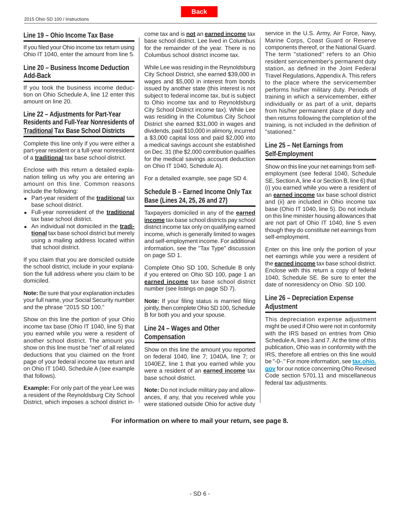# <span id="page-55-1"></span><span id="page-55-0"></span>**Line 19 – Ohio Income Tax Base**

If you filed your Ohio income tax return using Ohio IT 1040, enter the amount from line 5.

#### **Line 20 – Business Income Deduction Add-Back** i

If you took the business income deduction on Ohio Schedule A, line 12 enter this amount on line 20.

# **Line 22 – Adjustments for Part-Year Residents and Full-Year Nonresidents of Traditional Tax Base School Districts**

Complete this line only if you were either a part-year resident or a full-year nonresident of a **traditional** tax base school district.

Enclose with this return a detailed explanation telling us why you are entering an amount on this line. Common reasons include the following:

- Part-year resident of the **traditional** tax base school district.
- Full-year nonresident of the **traditional** tax base school district.
- An individual not domiciled in the **traditional** tax base school district but merely using a mailing address located within that school district.

If you claim that you are domiciled outside the school district, include in your explanation the full address where you claim to be domiciled.

**Note:** Be sure that your explanation includes your full name, your Social Security number and the phrase "2015 SD 100."

Show on this line the portion of your Ohio income tax base (Ohio IT 1040, line 5) that you earned while you were a resident of another school district. The amount you show on this line must be "net" of all related deductions that you claimed on the front page of your federal income tax return and on Ohio IT 1040, Schedule A (see example that follows).

**Example:** For only part of the year Lee was a resident of the Reynoldsburg City School District, which imposes a school district income tax and is **not** an **earned income** tax base school district. Lee lived in Columbus for the remainder of the year. There is no Columbus school district income tax.

While Lee was residing in the Reynoldsburg City School District, she earned \$39,000 in wages and \$5,000 in interest from bonds issued by another state (this interest is not subject to federal income tax, but is subject to Ohio income tax and to Reynoldsburg City School District income tax). While Lee was residing in the Columbus City School District she earned \$31,000 in wages and dividends, paid \$10,000 in alimony, incurred a \$3,000 capital loss and paid \$2,000 into a medical savings account she established on Dec. 31 (the \$2,000 contribution qualifies for the medical savings account deduction on Ohio IT 1040, Schedule A).

For a detailed example, see page SD 4.

**Schedule B – Earned Income Only Tax Base (Lines 24, 25, 26 and 27)**

Taxpayers domiciled in any of the **earned income** tax base school districts pay school district income tax only on qualifying earned income, which is generally limited to wages and self-employment income. For additional information, see the "Tax Type" discussion on page SD 1.

Complete Ohio SD 100, Schedule B only if you entered on Ohio SD 100, page 1 an **earned income** tax base school district number (see listings on page SD 7).

**Note:** If your filing status is married filing jointly, then complete Ohio SD 100, Schedule B for both you and your spouse.

#### **Line 24 – Wages and Other Compensation**

Show on this line the amount you reported on federal 1040, line 7; 1040A, line 7; or 1040EZ, line 1 that you earned while you were a resident of an **earned income** tax base school district.

**Note:** Do not include military pay and allowances, if any, that you received while you were stationed outside Ohio for active duty service in the U.S. Army, Air Force, Navy, Marine Corps, Coast Guard or Reserve components thereof, or the National Guard. The term "stationed" refers to an Ohio resident servicemember's permanent duty station, as defined in the Joint Federal Travel Regulations, Appendix A. This refers to the place where the servicemember performs his/her military duty. Periods of training in which a servicemember, either individually or as part of a unit, departs from his/her permanent place of duty and then returns following the completion of the training, is not included in the definition of "stationed."

# **Line 25 – Net Earnings from Self-Employment**

Show on this line your net earnings from selfemployment (see federal 1040, Schedule SE, Section A, line 4 or Section B, line 6) that (i) you earned while you were a resident of an **earned income** tax base school district and (ii) are included in Ohio income tax base (Ohio IT 1040, line 5). Do not include on this line minister housing allowances that are not part of Ohio IT 1040, line 5 even though they do constitute net earnings from self-employment.

Enter on this line only the portion of your net earnings while you were a resident of the **earned income** tax base school district. Enclose with this return a copy of federal 1040, Schedule SE. Be sure to enter the date of nonresidency on Ohio SD 100.

# **Line 26 – Depreciation Expense Adjustment**

This depreciation expense adjustment might be used if Ohio were not in conformity with the IRS based on entries from Ohio Schedule A, lines 3 and 7. At the time of this publication, Ohio was in conformity with the IRS, therefore all entries on this line would be "-0-." For more information, see **[tax.ohio.](http://tax.ohio.gov/) [gov](http://tax.ohio.gov/)** for our notice concerning Ohio Revised Code section 5701.11 and miscellaneous federal tax adiustments.

**For information on where to mail your return, see page 8.**

# **Back**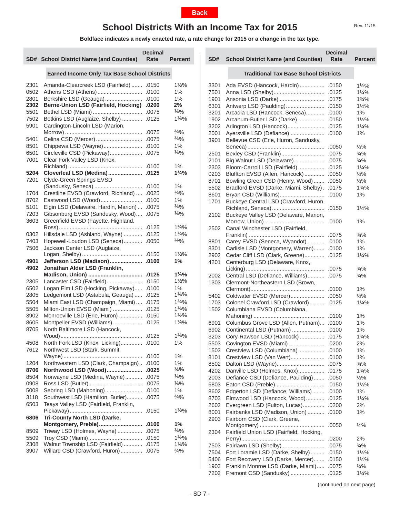# **School Districts With an Income Tax for 2015**

### **Boldface indicates a newly enacted rate, a rate change for 2015 or a change in the tax type.**

<span id="page-56-0"></span>

|                                                     | <b>SD# School District Name (and Counties)</b>                             | <b>Decimal</b><br>Rate | <b>Percent</b>   |
|-----------------------------------------------------|----------------------------------------------------------------------------|------------------------|------------------|
| <b>Earned Income Only Tax Base School Districts</b> |                                                                            |                        |                  |
| 2301                                                | Amanda-Clearcreek LSD (Fairfield)                                          | .0150                  | $1\frac{1}{2}\%$ |
| 0502                                                | Athens CSD (Athens)                                                        | .0100                  | 1%               |
| 2801                                                | Berkshire LSD (Geauga)                                                     | .0100                  | 1%               |
| 2302                                                | <b>Berne-Union LSD (Fairfield, Hocking)</b>                                | .0200                  | 2%               |
| 5501                                                | Bethel LSD (Miami)                                                         | .0075                  | $\frac{3}{4}$ %  |
| 7502                                                | Botkins LSD (Auglaize, Shelby)                                             | .0125                  | $1\frac{1}{4}$ % |
| 5901                                                | Cardington-Lincoln LSD (Marion,                                            |                        | $\frac{3}{4}$ %  |
| 5401                                                | Celina CSD (Mercer)                                                        | .0075<br>.0075         | $\frac{3}{4}$ %  |
| 8501                                                | Chippewa LSD (Wayne)                                                       | .0100                  | $1\%$            |
| 6501                                                | Circleville CSD (Pickaway)                                                 | .0075                  | $\frac{3}{4}$ %  |
| 7001                                                | Clear Fork Valley LSD (Knox,                                               |                        |                  |
|                                                     |                                                                            | .0100                  | 1%               |
| 5204<br>7201                                        | Cloverleaf LSD (Medina)<br>Clyde-Green Springs EVSD                        | .0125                  | $1\frac{1}{4}$ % |
|                                                     | (Sandusky, Seneca)                                                         | .0100                  | 1%               |
| 1704                                                | Crestline EVSD (Crawford, Richland)                                        | .0025                  | $\frac{1}{4}$ %  |
| 8702                                                | Eastwood LSD (Wood)                                                        | .0100                  | $1\%$            |
| 5101                                                | Elgin LSD (Delaware, Hardin, Marion)                                       | .0075                  | $\frac{3}{4}$ %  |
| 7203                                                | Gibsonburg EVSD (Sandusky, Wood)                                           | .0075                  | $\frac{3}{4}$ %  |
| 3603                                                | Greenfield EVSD (Fayette, Highland,                                        |                        | $1\frac{1}{4}$ % |
|                                                     | Hillsdale LSD (Ashland, Wayne)                                             | .0125<br>.0125         | $1\frac{1}{4}$ % |
| 0302                                                | Hopewell-Loudon LSD (Seneca)                                               |                        | $\frac{1}{2}\%$  |
| 7403<br>7506                                        | Jackson Center LSD (Auglaize,                                              | .0050                  |                  |
|                                                     |                                                                            | .0150                  | $1\frac{1}{2}\%$ |
| 4901<br>4902                                        | Jefferson LSD (Madison)<br>Jonathan Alder LSD (Franklin,                   | .0100                  | 1%               |
|                                                     |                                                                            | .0125                  | $1\frac{1}{4}$ % |
| 2305                                                | Lancaster CSD (Fairfield)                                                  | .0150                  | $1\frac{1}{2}\%$ |
| 6502                                                | Logan Elm LSD (Hocking, Pickaway)                                          | .0100                  | $1\%$            |
| 2805                                                | Ledgemont LSD (Astabula, Geauga)                                           | .0125                  | $1\frac{1}{4}$ % |
| 5504                                                | Miami East LSD (Champaign, Miami)                                          | .0175                  | $1\frac{3}{4}\%$ |
| 5505                                                | Milton-Union EVSD (Miami)                                                  | .0125                  | $1\frac{1}{4}\%$ |
| 3902                                                | Monroeville LSD (Erie, Huron)                                              | .0150                  | $1\frac{1}{2}\%$ |
| 8605                                                | Montpelier EVSD (Williams)                                                 | .0125                  | $1\frac{1}{4}$ % |
| 8705                                                | North Baltimore LSD (Hancock,                                              | .0125                  | $1\frac{1}{4}$ % |
| 4508                                                | North Fork LSD (Knox, Licking) .0100                                       |                        | $1\%$            |
| 7612                                                | Northwest LSD (Stark, Summit,                                              |                        |                  |
|                                                     |                                                                            | .0100                  | 1%               |
| 1204                                                | Northwestern LSD (Clark, Champaign)                                        | .0100                  | $1\%$            |
| 8706                                                | Northwood LSD (Wood)                                                       | .0025                  | $\frac{1}{4}$ %  |
| 8504                                                | Norwayne LSD (Medina, Wayne)                                               | .0075                  | $\frac{3}{4}\%$  |
| 0908                                                |                                                                            | .0075                  | $\frac{3}{4}\%$  |
| 5008                                                | Sebring LSD (Mahoning)                                                     | .0100                  | 1%               |
| 3118<br>6503                                        | Southwest LSD (Hamilton, Butler)<br>Teays Valley LSD (Fairfield, Franklin, | .0075                  | $\frac{3}{4}$ %  |
| 6806                                                | Tri-County North LSD (Darke,                                               | .0150                  | $1\frac{1}{2}\%$ |
|                                                     | Montgomery, Preble)                                                        | .0100                  | 1%               |
| 8509                                                | Triway LSD (Holmes, Wayne)                                                 | .0075                  | $\frac{3}{4}$ %  |
| 5509                                                |                                                                            | .0150                  | $1\frac{1}{2}\%$ |
| 2308                                                | Walnut Township LSD (Fairfield)                                            | .0175                  | $1\frac{3}{4}\%$ |
| 3907                                                | Willard CSD (Crawford, Huron)                                              | .0075                  | $\frac{3}{4}$ %  |

| SD#  | <b>School District Name (and Counties)</b>   | <b>Decimal</b><br>Rate | Percent          |
|------|----------------------------------------------|------------------------|------------------|
|      |                                              |                        |                  |
|      | <b>Traditional Tax Base School Districts</b> |                        |                  |
| 3301 | Ada EVSD (Hancock, Hardin)                   | .0150                  | $1\frac{1}{2}\%$ |
| 7501 | Anna LSD (Shelby)                            | .0125                  | $1\frac{1}{4}$ % |
| 1901 | Ansonia LSD (Darke)                          | .0175                  | 1¾%              |
| 6301 | Antwerp LSD (Paulding)                       | .0150                  | $1\frac{1}{2}\%$ |
| 3201 | Arcadia LSD (Hancock, Seneca)                | .0100                  | 1%               |
| 1902 | Arcanum-Butler LSD (Darke)                   | .0150                  | $1\frac{1}{2}\%$ |
| 3202 | Arlington LSD (Hancock)                      | .0125                  | $1\frac{1}{4}$ % |
| 2001 | Ayersville LSD (Defiance)                    | .0100                  | 1%               |
| 3901 | Bellevue CSD (Erie, Huron, Sandusky,         |                        |                  |
|      |                                              | .0050                  | $\frac{1}{2}\%$  |
| 2501 | Bexley CSD (Franklin)                        | .0075                  | $\frac{3}{4}$ %  |
| 2101 | Big Walnut LSD (Delaware)                    | .0075                  | $\frac{3}{4}$ %  |
| 2303 | Bloom-Carroll LSD (Fairfield)                | .0125                  | $1\frac{1}{4}$ % |
| 0203 | Bluffton EVSD (Allen, Hancock)               | .0050                  | $\frac{1}{2}\%$  |
| 8701 | Bowling Green CSD (Henry, Wood)              | .0050                  | $\frac{1}{2}\%$  |
| 5502 | Bradford EVSD (Darke, Miami, Shelby).        | .0175                  | $1\frac{3}{4}\%$ |
| 8601 | Bryan CSD (Williams)                         | .0100                  | 1%               |
| 1701 | Buckeye Central LSD (Crawford, Huron,        |                        |                  |
|      |                                              | .0150                  | $1\frac{1}{2}\%$ |
| 2102 | Buckeye Valley LSD (Delaware, Marion,        |                        |                  |
|      |                                              | .0100                  | $1\%$            |
| 2502 | Canal Winchester LSD (Fairfield,             |                        |                  |
|      |                                              | .0075                  | $\frac{3}{4}$ %  |
| 8801 | Carey EVSD (Seneca, Wyandot)                 | .0100                  | 1%               |
| 8301 | Carlisle LSD (Montgomery, Warren)            | .0100                  | 1%               |
| 2902 | Cedar Cliff LSD (Clark, Greene)              | .0125                  | $1\frac{1}{4}$ % |
| 4201 | Centerburg LSD (Delaware, Knox,              |                        |                  |
|      |                                              | .0075                  | $\frac{3}{4}\%$  |
| 2002 | Central LSD (Defiance, Williams)             | .0075                  | $\frac{3}{4}$ %  |
| 1303 | Clermont-Northeastern LSD (Brown,            |                        |                  |
|      |                                              | .0100                  | 1%               |
| 5402 | Coldwater EVSD (Mercer)                      | .0050                  | $\frac{1}{2}\%$  |
| 1703 | Colonel Crawford LSD (Crawford)              | .0125                  | $1\frac{1}{4}$ % |
| 1502 | Columbiana EVSD (Columbiana,                 |                        |                  |
|      |                                              | .0100                  | 1%               |
| 6901 | Columbus Grove LSD (Allen, Putnam)           | .0100                  | 1%               |
| 6902 | Continental LSD (Putnam)                     | .0100                  | 1%               |
| 3203 | Cory-Rawson LSD (Hancock)                    | .0175                  | $1\frac{3}{4}\%$ |
|      |                                              |                        |                  |
| 5503 | Covington EVSD (Miami)                       | .0200                  | 2%               |
| 1503 | Crestview LSD (Columbiana)                   | .0100                  | $1\%$            |
| 8101 | Crestview LSD (Van Wert)                     | .0100                  | 1%               |
| 8502 | Dalton LSD (Wayne)                           | .0075                  | $\frac{3}{4}$ %  |
| 4202 | Danville LSD (Holmes, Knox)                  | .0175                  | 1¾%              |
| 2003 | Defiance CSD (Defiance, Paulding)            | .0050                  | 1⁄2%             |
| 6803 | Eaton CSD (Preble)                           | .0150                  | $1\frac{1}{2}\%$ |
| 8602 | Edgerton LSD (Defiance, Williams)            | .0100                  | $1\%$            |
| 8703 | Elmwood LSD (Hancock, Wood)                  | .0125                  | $1\frac{1}{4}$ % |
| 2602 | Evergreen LSD (Fulton, Lucas)                | .0200                  | 2%               |
| 8001 | Fairbanks LSD (Madison, Union)               | .0100                  | 1%               |
| 2903 | Fairborn CSD (Clark, Greene,                 |                        |                  |
|      |                                              | .0050                  | ⅛%               |
| 2304 | Fairfield Union LSD (Fairfield, Hocking,     |                        |                  |
|      |                                              | .0200                  | 2%               |
| 7503 | Fairlawn LSD (Shelby)                        | .0075                  | $\frac{3}{4}$ %  |
| 7504 | Fort Loramie LSD (Darke, Shelby)             | .0150                  | $1\frac{1}{2}\%$ |
| 5406 | Fort Recovery LSD (Darke, Mercer)            | .0150                  | $1\frac{1}{2}\%$ |
| 1903 | Franklin Monroe LSD (Darke, Miami)           | .0075                  | $\frac{3}{4}$ %  |
| 7202 | Fremont CSD (Sandusky)                       | .0125                  | $1\frac{1}{4}$ % |

(continued on next page)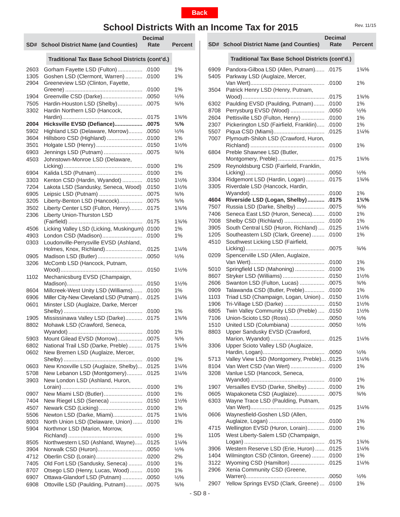# **School Districts With an Income Tax for 2015**

<span id="page-57-0"></span>

|              | <b>SD# School District Name (and Counties)</b>                                 | <b>Decimal</b><br>Rate | Percent          |
|--------------|--------------------------------------------------------------------------------|------------------------|------------------|
|              | Traditional Tax Base School Districts (cont'd.)                                |                        |                  |
| 2603         | Gorham Fayette LSD (Fulton)                                                    | .0100                  | 1%               |
| 1305<br>2904 | Goshen LSD (Clermont, Warren)<br>Greeneview LSD (Clinton, Fayette,             | .0100                  | 1%               |
|              |                                                                                | .0100                  | 1%               |
| 1904         | Greenville CSD (Darke)                                                         | .0050                  | $\frac{1}{2}\%$  |
| 7505<br>3302 | Hardin-Houston LSD (Shelby)<br>Hardin Northern LSD (Hancock,                   | .0075                  | $\frac{3}{4}\%$  |
|              |                                                                                | .0175                  | $1\frac{3}{4}\%$ |
| 2004         | Hicksville EVSD (Defiance)                                                     | .0075                  | $\frac{3}{4}$ %  |
| 5902         | Highland LSD (Delaware, Morrow)                                                | .0050                  | $\frac{1}{2}\%$  |
| 3604         | Hillsboro CSD (Highland)                                                       | .0100                  | 1%               |
| 3501         | Holgate LSD (Henry)                                                            | .0150                  | $1\frac{1}{2}\%$ |
| 6903<br>4503 | Jennings LSD (Putnam)<br>Johnstown-Monroe LSD (Delaware,                       | .0075                  | $\frac{3}{4}\%$  |
|              |                                                                                | .0100                  | 1%               |
| 6904         | Kalida LSD (Putnam)                                                            | .0100                  | 1%               |
| 3303         | Kenton CSD (Hardin, Wyandot)                                                   | .0150                  | $1\frac{1}{2}\%$ |
| 7204         | Lakota LSD (Sandusky, Seneca, Wood)                                            | .0150                  | $1\frac{1}{2}\%$ |
| 6905         | Leipsic LSD (Putnam)                                                           | .0075                  | $\frac{3}{4}$ %  |
| 3205         | Liberty-Benton LSD (Hancock)                                                   | .0075                  | $\frac{3}{4}\%$  |
| 3502<br>2306 | Liberty Center LSD (Fulton, Henry)<br>Liberty Union-Thurston LSD               | .0175                  | $1\frac{3}{4}\%$ |
|              |                                                                                | .0175                  | $1\frac{3}{4}\%$ |
| 4506         | Licking Valley LSD (Licking, Muskingum)                                        | .0100                  | 1%               |
| 4903         | London CSD (Madison)                                                           | .0100                  | 1%               |
| 0303         | Loudonville-Perrysville EVSD (Ashland,                                         |                        |                  |
|              | Holmes, Knox, Richland)                                                        | .0125                  | $1\frac{1}{4}$ % |
| 0905<br>3206 | Madison LSD (Butler)<br>McComb LSD (Hancock, Putnam,                           | .0050                  | $\frac{1}{2}\%$  |
| 1102         | Mechanicsburg EVSD (Champaign,                                                 | .0150                  | $1\frac{1}{2}\%$ |
|              |                                                                                | .0150                  | $1\frac{1}{2}\%$ |
| 8604         | Millcreek-West Unity LSD (Williams)                                            | .0100                  | 1%               |
| 6906<br>0601 | Miller City-New Cleveland LSD (Putnam)<br>Minster LSD (Auglaize, Darke, Mercer | .0125                  | $1\frac{1}{4}$ % |
|              |                                                                                | .0100                  | 1%               |
| 1905<br>8802 | Mississinawa Valley LSD (Darke)<br>Mohawk LSD (Crawford, Seneca,               | .0175                  | $1\frac{3}{4}\%$ |
|              |                                                                                | .0100                  | 1%               |
| 5903         | Mount Gilead EVSD (Morrow)                                                     | .0075                  | $\frac{3}{4}\%$  |
| 6802<br>0602 | National Trail LSD (Darke, Preble)<br>New Bremen LSD (Auglaize, Mercer,        | .0175                  | $1\frac{3}{4}\%$ |
|              |                                                                                | .0100                  | 1%               |
| 0603         | New Knoxville LSD (Auglaize, Shelby)                                           | .0125                  | $1\frac{1}{4}$ % |
| 5708<br>3903 | New Lebanon LSD (Montgomery)<br>New London LSD (Ashland, Huron,                | .0125                  | $1\frac{1}{4}$ % |
|              |                                                                                | .0100                  | 1%               |
| 0907         | New Miami LSD (Butler)                                                         | .0100                  | 1%               |
| 7404         | New Riegel LSD (Seneca)                                                        | .0150                  | $1\frac{1}{2}\%$ |
| 4507         | Newark CSD (Licking)                                                           | .0100                  | 1%               |
| 5506         | Newton LSD (Darke, Miami)                                                      | .0175                  | $1\frac{3}{4}\%$ |
| 8003         | North Union LSD (Delaware, Union)                                              | .0100                  | 1%               |
| 5904         | Northmor LSD (Marion, Morrow,                                                  | .0100                  | $1\%$            |
| 8505         | Northwestern LSD (Ashland, Wayne)                                              | .0125                  | $1\frac{1}{4}$ % |
| 3904         | Norwalk CSD (Huron)                                                            | .0050                  | $\frac{1}{2}\%$  |
| 4712         | Oberlin CSD (Lorain)                                                           | .0200                  | 2%               |
| 7405         | Old Fort LSD (Sandusky, Seneca)                                                | .0100                  | $1\%$            |
| 8707         | Otsego LSD (Henry, Lucas, Wood)                                                | .0100                  | $1\%$            |
| 6907         | Ottawa-Glandorf LSD (Putnam)                                                   | .0050                  | $\frac{1}{2}\%$  |
| 6908         | Ottoville LSD (Paulding, Putnam)                                               | .0075                  | $\frac{3}{4}$ %  |

|              |                                                                      | <b>Decimal</b> |                  |
|--------------|----------------------------------------------------------------------|----------------|------------------|
| SD#          | <b>School District Name (and Counties)</b>                           | Rate           | <b>Percent</b>   |
|              | Traditional Tax Base School Districts (cont'd.)                      |                |                  |
| 6909<br>5405 | Pandora-Gilboa LSD (Allen, Putnam)<br>Parkway LSD (Auglaize, Mercer, | .0175          | $1\frac{3}{4}\%$ |
| 3504         | Patrick Henry LSD (Henry, Putnam,                                    | .0100          | 1%               |
|              |                                                                      | .0175          | $1\frac{3}{4}\%$ |
| 6302         | Paulding EVSD (Paulding, Putnam)                                     | .0100          | 1%               |
| 8708         | Perrysburg EVSD (Wood)                                               | .0050          | 1⁄2%             |
| 2604         | Pettisville LSD (Fulton, Henry)                                      | .0100          | 1%               |
| 2307         | Pickerington LSD (Fairfield, Franklin)                               | .0100          | 1%               |
| 5507         | Piqua CSD (Miami)                                                    | .0125          | $1\frac{1}{4}$ % |
| 7007         | Plymouth-Shiloh LSD (Crawford, Huron,                                | .0100          | $1\%$            |
| 6804         | Preble Shawnee LSD (Butler,                                          |                |                  |
| 2509         | Montgomery, Preble)<br>Reynoldsburg CSD (Fairfield, Franklin,        | .0175          | $1\frac{3}{4}\%$ |
|              |                                                                      | .0050          | $\frac{1}{2}\%$  |
| 3304<br>3305 | Ridgemont LSD (Hardin, Logan)<br>Riverdale LSD (Hancock, Hardin,     | .0175          | $1\frac{3}{4}\%$ |
|              |                                                                      | .0100          | 1%               |
| 4604         | Riverside LSD (Logan, Shelby)                                        | .0175          | $1\frac{3}{4}\%$ |
| 7507         | Russia LSD (Darke, Shelby)                                           | .0075          | $\frac{3}{4}$ %  |
| 7406         | Seneca East LSD (Huron, Seneca)                                      | .0100          | 1%               |
| 7008         | Shelby CSD (Richland)                                                | .0100          | 1%               |
| 3905         | South Central LSD (Huron, Richland)                                  | .0125          | $1\frac{1}{4}$ % |
| 1205         | Southeastern LSD (Clark, Greene)                                     | .0100          | $1\%$            |
| 4510         | Southwest Licking LSD (Fairfield,                                    |                |                  |
|              |                                                                      | .0075          | $\frac{3}{4}$ %  |
| 0209         | Spencerville LSD (Allen, Auglaize,                                   |                |                  |
|              |                                                                      | .0100          | $1\%$            |
| 5010         | Springfield LSD (Mahoning)                                           | .0100          | 1%               |
| 8607         | Stryker LSD (Williams)                                               | .0150          | $1\frac{1}{2}\%$ |
| 2606         | Swanton LSD (Fulton, Lucas)                                          | .0075          | $\frac{3}{4}$ %  |
| 0909         | Talawanda CSD (Butler, Preble)                                       | .0100          | 1%               |
| 1103         | Triad LSD (Champaign, Logan, Union)                                  | .0150          | $1\frac{1}{2}\%$ |
| 1906         | Tri-Village LSD (Darke)                                              | .0150          | $1\frac{1}{2}\%$ |
| 6805         | Twin Valley Community LSD (Preble)                                   | .0150          | $1\frac{1}{2}\%$ |
| 7106         | Union-Scioto LSD (Ross)                                              | .0050          | 1⁄2%             |
| 1510         |                                                                      |                | $\frac{1}{2}\%$  |
| 8803         | Upper Sandusky EVSD (Crawford,                                       |                |                  |
| 3306         | Upper Scioto Valley LSD (Auglaize,                                   | .0125          | $1\frac{1}{4}$ % |
|              |                                                                      | .0050          | $\frac{1}{2}\%$  |
| 5713         | Valley View LSD (Montgomery, Preble) .0125                           |                | $1\frac{1}{4}$ % |
| 8104         | Van Wert CSD (Van Wert)                                              | .0100          | $1\%$            |
| 3208         | Vanlue LSD (Hancock, Seneca,                                         |                |                  |
|              |                                                                      | .0100          | $1\%$            |
| 1907         | Versailles EVSD (Darke, Shelby)                                      | .0100          | 1%               |
| 0605<br>6303 | Wapakoneta CSD (Auglaize)<br>Wayne Trace LSD (Paulding, Putnam,      | .0075          | $\frac{3}{4}$ %  |
|              |                                                                      | .0125          | $1\frac{1}{4}$ % |
| 0606         | Waynesfield-Goshen LSD (Allen,                                       | .0100          | $1\%$            |
| 4715         | Wellington EVSD (Huron, Lorain)                                      | .0100          | $1\%$            |
| 1105         | West Liberty-Salem LSD (Champaign,                                   |                |                  |
|              |                                                                      | .0175          | $1\frac{3}{4}\%$ |
| 3906         | Western Reserve LSD (Erie, Huron)                                    | .0125          | $1\frac{1}{4}$ % |
| 1404         | Wilmington CSD (Clinton, Greene)                                     | .0100          | 1%               |
| 3122         | Wyoming CSD (Hamilton)                                               | .0125          | $1\frac{1}{4}$ % |
| 2906         | Xenia Community CSD (Greene,                                         |                |                  |
|              |                                                                      | .0050          | $\frac{1}{2}\%$  |
| 2907         | Yellow Springs EVSD (Clark, Greene)                                  | .0100          | 1%               |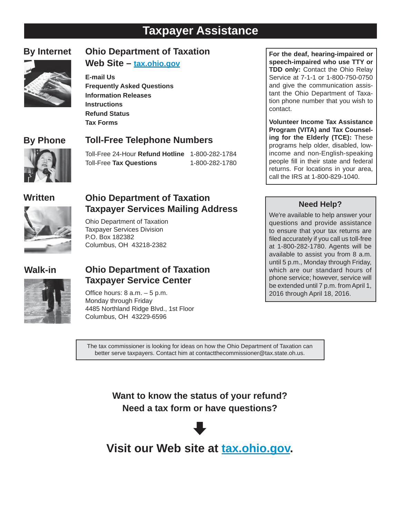# **Taxpayer Assistance**

# **By Internet**

# **Ohio Department of Taxation**

# **Web Site – [tax.ohio.gov](http://tax.ohio.gov/)**

**E-mail Us Frequently Asked Questions Information Releases Instructions Refund Status Tax Forms** 

# **By Phone**

# **Toll-Free Telephone Numbers**



Toll-Free 24-Hour **Refund Hotline** 1-800-282-1784 Toll-Free **Tax Questions** 1-800-282-1780

# **Written**



# **Ohio Department of Taxation Taxpayer Services Mailing Address**

Ohio Department of Taxation Taxpayer Services Division P.O. Box 182382 Columbus, OH 43218-2382

# **Walk-in**



# **Ohio Department of Taxation Taxpayer Service Center**

Office hours:  $8$  a.m.  $-5$  p.m. Monday through Friday 4485 Northland Ridge Blvd., 1st Floor Columbus, OH 43229-6596

**For the deaf, hearing-impaired or speech-impaired who use TTY or TDD only:** Contact the Ohio Relay Service at 7-1-1 or 1-800-750-0750 and give the communication assistant the Ohio Department of Taxation phone number that you wish to contact.

**Volunteer Income Tax Assistance Program (VITA) and Tax Counseling for the Elderly (TCE):** These programs help older, disabled, lowincome and non-English-speaking people fill in their state and federal returns. For locations in your area, call the IRS at 1-800-829-1040.

# **Need Help?**

We're available to help answer your questions and provide assistance to ensure that your tax returns are filed accurately if you call us toll-free at 1-800-282-1780. Agents will be available to assist you from 8 a.m. until 5 p.m., Monday through Friday, which are our standard hours of phone service; however, service will be extended until 7 p.m. from April 1, 2016 through April 18, 2016.

The tax commissioner is looking for ideas on how the Ohio Department of Taxation can better serve taxpayers. Contact him at contactthecommissioner@tax.state.oh.us.

> **Want to know the status of your refund? Need a tax form or have questions?**



**Visit our Web site at tax.ohio.gov.**